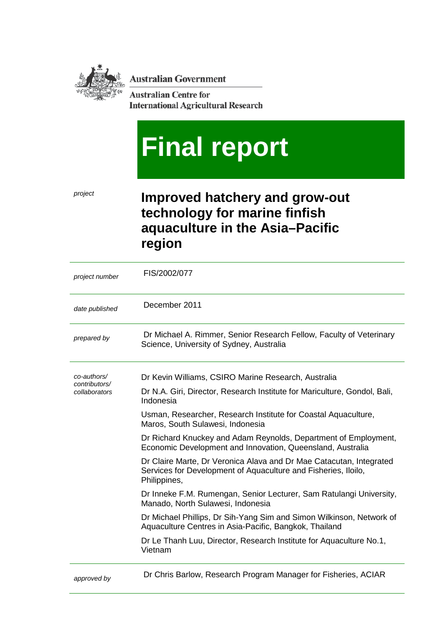**Australian Government** 

**Australian Centre for International Agricultural Research** 

# **Final report**

# *project* **Improved hatchery and grow-out technology for marine finfish aquaculture in the Asia–Pacific region**

| project number               | FIS/2002/077                                                                                                                                          |
|------------------------------|-------------------------------------------------------------------------------------------------------------------------------------------------------|
| date published               | December 2011                                                                                                                                         |
| prepared by                  | Dr Michael A. Rimmer, Senior Research Fellow, Faculty of Veterinary<br>Science, University of Sydney, Australia                                       |
| co-authors/<br>contributors/ | Dr Kevin Williams, CSIRO Marine Research, Australia                                                                                                   |
| collaborators                | Dr N.A. Giri, Director, Research Institute for Mariculture, Gondol, Bali,<br>Indonesia                                                                |
|                              | Usman, Researcher, Research Institute for Coastal Aquaculture,<br>Maros, South Sulawesi, Indonesia                                                    |
|                              | Dr Richard Knuckey and Adam Reynolds, Department of Employment,<br>Economic Development and Innovation, Queensland, Australia                         |
|                              | Dr Claire Marte, Dr Veronica Alava and Dr Mae Catacutan, Integrated<br>Services for Development of Aquaculture and Fisheries, Iloilo,<br>Philippines, |
|                              | Dr Inneke F.M. Rumengan, Senior Lecturer, Sam Ratulangi University,<br>Manado, North Sulawesi, Indonesia                                              |
|                              | Dr Michael Phillips, Dr Sih-Yang Sim and Simon Wilkinson, Network of<br>Aquaculture Centres in Asia-Pacific, Bangkok, Thailand                        |
|                              | Dr Le Thanh Luu, Director, Research Institute for Aquaculture No.1,<br>Vietnam                                                                        |
| approved by                  | Dr Chris Barlow, Research Program Manager for Fisheries, ACIAR                                                                                        |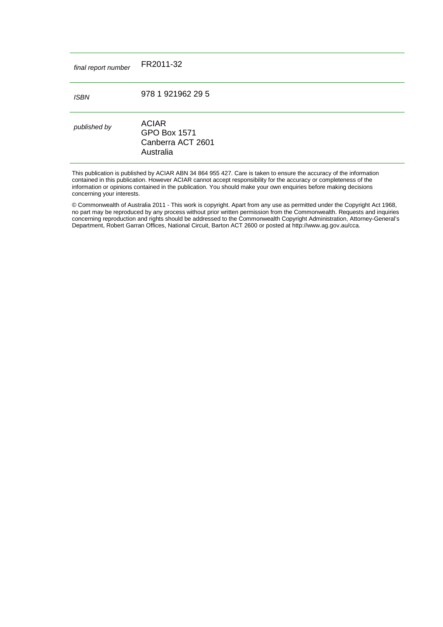| final report number | FR2011-32                                                             |
|---------------------|-----------------------------------------------------------------------|
| <b>ISBN</b>         | 978 1 921962 29 5                                                     |
| published by        | <b>ACIAR</b><br><b>GPO Box 1571</b><br>Canberra ACT 2601<br>Australia |

This publication is published by ACIAR ABN 34 864 955 427. Care is taken to ensure the accuracy of the information contained in this publication. However ACIAR cannot accept responsibility for the accuracy or completeness of the information or opinions contained in the publication. You should make your own enquiries before making decisions concerning your interests.

© Commonwealth of Australia 2011 - This work is copyright. Apart from any use as permitted under the Copyright Act 1968, no part may be reproduced by any process without prior written permission from the Commonwealth. Requests and inquiries concerning reproduction and rights should be addressed to the Commonwealth Copyright Administration, Attorney-General's Department, Robert Garran Offices, National Circuit, Barton ACT 2600 or posted at [http://www.ag.gov.au/cca.](http://www.ag.gov.au/cca)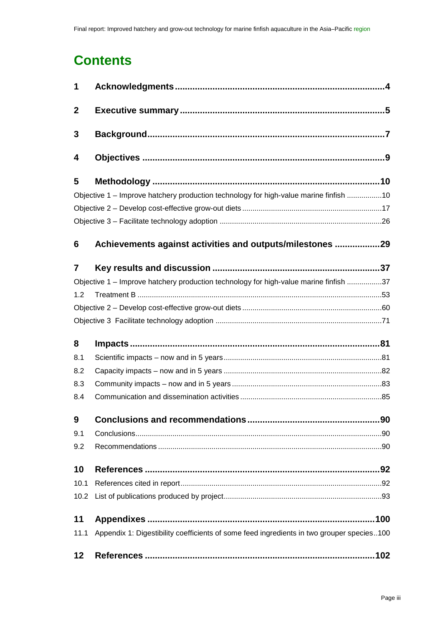# **Contents**

| 1                |                                                                                           |
|------------------|-------------------------------------------------------------------------------------------|
| $\boldsymbol{2}$ |                                                                                           |
| 3                |                                                                                           |
| 4                |                                                                                           |
| 5                |                                                                                           |
|                  | Objective 1 - Improve hatchery production technology for high-value marine finfish 10     |
|                  |                                                                                           |
|                  |                                                                                           |
| 6                | Achievements against activities and outputs/milestones 29                                 |
| $\overline{7}$   |                                                                                           |
|                  | Objective 1 - Improve hatchery production technology for high-value marine finfish 37     |
| 1.2              |                                                                                           |
|                  |                                                                                           |
|                  |                                                                                           |
| 8                |                                                                                           |
| 8.1              |                                                                                           |
| 8.2              |                                                                                           |
| 8.3              |                                                                                           |
| 8.4              |                                                                                           |
| 9                |                                                                                           |
| 9.1              |                                                                                           |
| 9.2              |                                                                                           |
| 10               |                                                                                           |
| 10.1             |                                                                                           |
| 10.2             |                                                                                           |
| 11               |                                                                                           |
| 11.1             | Appendix 1: Digestibility coefficients of some feed ingredients in two grouper species100 |
| 12               |                                                                                           |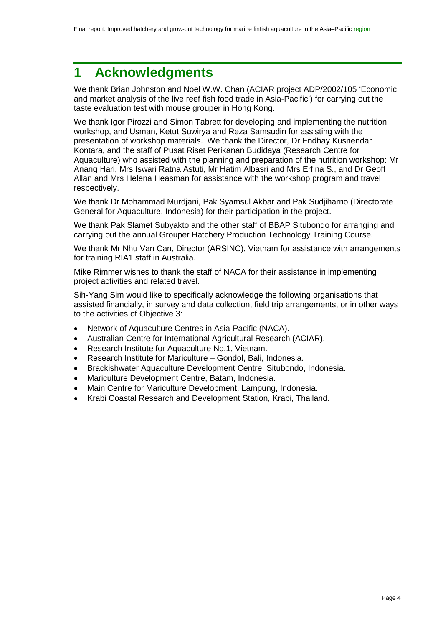# <span id="page-3-0"></span>**1 Acknowledgments**

We thank Brian Johnston and Noel W.W. Chan (ACIAR project ADP/2002/105 'Economic and market analysis of the live reef fish food trade in Asia-Pacific') for carrying out the taste evaluation test with mouse grouper in Hong Kong.

We thank Igor Pirozzi and Simon Tabrett for developing and implementing the nutrition workshop, and Usman, Ketut Suwirya and Reza Samsudin for assisting with the presentation of workshop materials. We thank the Director, Dr Endhay Kusnendar Kontara, and the staff of Pusat Riset Perikanan Budidaya (Research Centre for Aquaculture) who assisted with the planning and preparation of the nutrition workshop: Mr Anang Hari, Mrs Iswari Ratna Astuti, Mr Hatim Albasri and Mrs Erfina S., and Dr Geoff Allan and Mrs Helena Heasman for assistance with the workshop program and travel respectively.

We thank Dr Mohammad Murdjani, Pak Syamsul Akbar and Pak Sudjiharno (Directorate General for Aquaculture, Indonesia) for their participation in the project.

We thank Pak Slamet Subyakto and the other staff of BBAP Situbondo for arranging and carrying out the annual Grouper Hatchery Production Technology Training Course.

We thank Mr Nhu Van Can, Director (ARSINC), Vietnam for assistance with arrangements for training RIA1 staff in Australia.

Mike Rimmer wishes to thank the staff of NACA for their assistance in implementing project activities and related travel.

Sih-Yang Sim would like to specifically acknowledge the following organisations that assisted financially, in survey and data collection, field trip arrangements, or in other ways to the activities of Objective 3:

- Network of Aquaculture Centres in Asia-Pacific (NACA).
- Australian Centre for International Agricultural Research (ACIAR).
- Research Institute for Aquaculture No.1, Vietnam.
- Research Institute for Mariculture Gondol, Bali, Indonesia.
- Brackishwater Aquaculture Development Centre, Situbondo, Indonesia.
- Mariculture Development Centre, Batam, Indonesia.
- Main Centre for Mariculture Development, Lampung, Indonesia.
- Krabi Coastal Research and Development Station, Krabi, Thailand.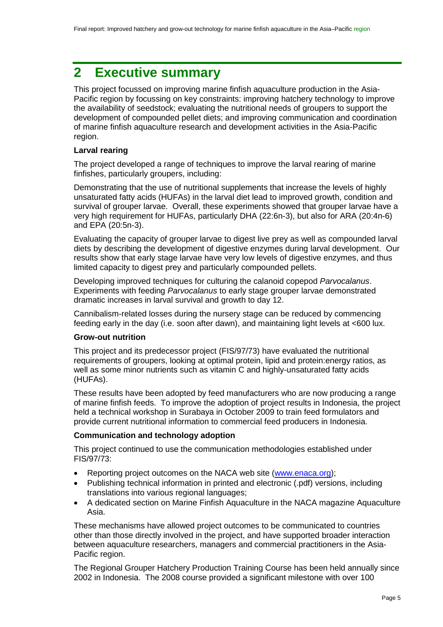# <span id="page-4-0"></span>**2 Executive summary**

This project focussed on improving marine finfish aquaculture production in the Asia-Pacific region by focussing on key constraints: improving hatchery technology to improve the availability of seedstock; evaluating the nutritional needs of groupers to support the development of compounded pellet diets; and improving communication and coordination of marine finfish aquaculture research and development activities in the Asia-Pacific region.

#### **Larval rearing**

The project developed a range of techniques to improve the larval rearing of marine finfishes, particularly groupers, including:

Demonstrating that the use of nutritional supplements that increase the levels of highly unsaturated fatty acids (HUFAs) in the larval diet lead to improved growth, condition and survival of grouper larvae. Overall, these experiments showed that grouper larvae have a very high requirement for HUFAs, particularly DHA (22:6n-3), but also for ARA (20:4n-6) and EPA (20:5n-3).

Evaluating the capacity of grouper larvae to digest live prey as well as compounded larval diets by describing the development of digestive enzymes during larval development. Our results show that early stage larvae have very low levels of digestive enzymes, and thus limited capacity to digest prey and particularly compounded pellets.

Developing improved techniques for culturing the calanoid copepod *Parvocalanus*. Experiments with feeding *Parvocalanus* to early stage grouper larvae demonstrated dramatic increases in larval survival and growth to day 12.

Cannibalism-related losses during the nursery stage can be reduced by commencing feeding early in the day (i.e. soon after dawn), and maintaining light levels at <600 lux.

#### **Grow-out nutrition**

This project and its predecessor project (FIS/97/73) have evaluated the nutritional requirements of groupers, looking at optimal protein, lipid and protein:energy ratios, as well as some minor nutrients such as vitamin C and highly-unsaturated fatty acids (HUFAs).

These results have been adopted by feed manufacturers who are now producing a range of marine finfish feeds. To improve the adoption of project results in Indonesia, the project held a technical workshop in Surabaya in October 2009 to train feed formulators and provide current nutritional information to commercial feed producers in Indonesia.

#### **Communication and technology adoption**

This project continued to use the communication methodologies established under FIS/97/73:

- Reporting project outcomes on the NACA web site [\(www.enaca.org\)](http://www.enaca.org/);
- Publishing technical information in printed and electronic (.pdf) versions, including translations into various regional languages;
- A dedicated section on Marine Finfish Aquaculture in the NACA magazine Aquaculture Asia.

These mechanisms have allowed project outcomes to be communicated to countries other than those directly involved in the project, and have supported broader interaction between aquaculture researchers, managers and commercial practitioners in the Asia-Pacific region.

The Regional Grouper Hatchery Production Training Course has been held annually since 2002 in Indonesia. The 2008 course provided a significant milestone with over 100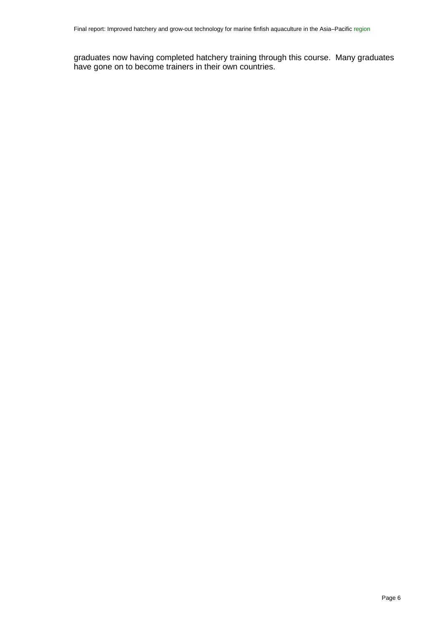graduates now having completed hatchery training through this course. Many graduates have gone on to become trainers in their own countries.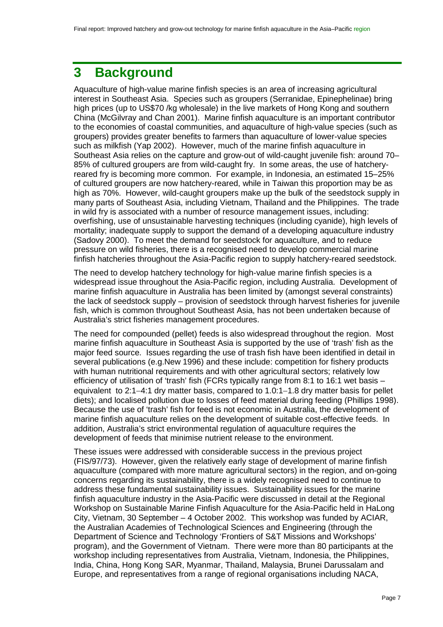# <span id="page-6-0"></span>**3 Background**

Aquaculture of high-value marine finfish species is an area of increasing agricultural interest in Southeast Asia. Species such as groupers (Serranidae, Epinephelinae) bring high prices (up to US\$70 /kg wholesale) in the live markets of Hong Kong and southern China (McGilvray and Chan 2001). Marine finfish aquaculture is an important contributor to the economies of coastal communities, and aquaculture of high-value species (such as groupers) provides greater benefits to farmers than aquaculture of lower-value species such as milkfish (Yap 2002). However, much of the marine finfish aquaculture in Southeast Asia relies on the capture and grow-out of wild-caught juvenile fish: around 70– 85% of cultured groupers are from wild-caught fry. In some areas, the use of hatcheryreared fry is becoming more common. For example, in Indonesia, an estimated 15–25% of cultured groupers are now hatchery-reared, while in Taiwan this proportion may be as high as 70%. However, wild-caught groupers make up the bulk of the seedstock supply in many parts of Southeast Asia, including Vietnam, Thailand and the Philippines. The trade in wild fry is associated with a number of resource management issues, including: overfishing, use of unsustainable harvesting techniques (including cyanide), high levels of mortality; inadequate supply to support the demand of a developing aquaculture industry (Sadovy 2000). To meet the demand for seedstock for aquaculture, and to reduce pressure on wild fisheries, there is a recognised need to develop commercial marine finfish hatcheries throughout the Asia-Pacific region to supply hatchery-reared seedstock.

The need to develop hatchery technology for high-value marine finfish species is a widespread issue throughout the Asia-Pacific region, including Australia. Development of marine finfish aquaculture in Australia has been limited by (amongst several constraints) the lack of seedstock supply – provision of seedstock through harvest fisheries for juvenile fish, which is common throughout Southeast Asia, has not been undertaken because of Australia's strict fisheries management procedures.

The need for compounded (pellet) feeds is also widespread throughout the region. Most marine finfish aquaculture in Southeast Asia is supported by the use of 'trash' fish as the major feed source. Issues regarding the use of trash fish have been identified in detail in several publications (e.g.New 1996) and these include: competition for fishery products with human nutritional requirements and with other agricultural sectors; relatively low efficiency of utilisation of 'trash' fish (FCRs typically range from 8:1 to 16:1 wet basis – equivalent to 2:1−4:1 dry matter basis, compared to 1.0:1−1.8 dry matter basis for pellet diets); and localised pollution due to losses of feed material during feeding (Phillips 1998). Because the use of 'trash' fish for feed is not economic in Australia, the development of marine finfish aquaculture relies on the development of suitable cost-effective feeds. In addition, Australia's strict environmental regulation of aquaculture requires the development of feeds that minimise nutrient release to the environment.

These issues were addressed with considerable success in the previous project (FIS/97/73). However, given the relatively early stage of development of marine finfish aquaculture (compared with more mature agricultural sectors) in the region, and on-going concerns regarding its sustainability, there is a widely recognised need to continue to address these fundamental sustainability issues. Sustainability issues for the marine finfish aquaculture industry in the Asia-Pacific were discussed in detail at the Regional Workshop on Sustainable Marine Finfish Aquaculture for the Asia-Pacific held in HaLong City, Vietnam, 30 September – 4 October 2002. This workshop was funded by ACIAR, the Australian Academies of Technological Sciences and Engineering (through the Department of Science and Technology 'Frontiers of S&T Missions and Workshops' program), and the Government of Vietnam. There were more than 80 participants at the workshop including representatives from Australia, Vietnam, Indonesia, the Philippines, India, China, Hong Kong SAR, Myanmar, Thailand, Malaysia, Brunei Darussalam and Europe, and representatives from a range of regional organisations including NACA,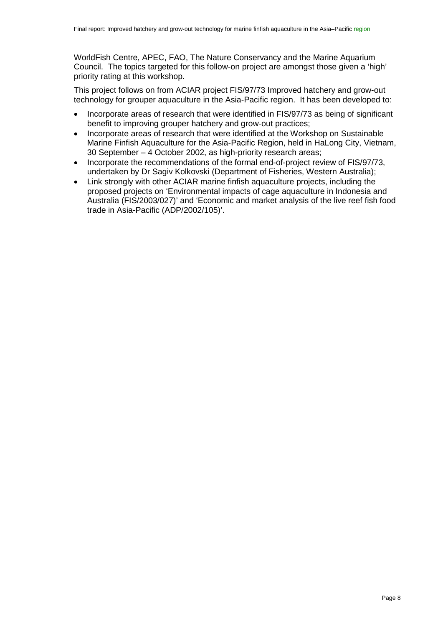WorldFish Centre, APEC, FAO, The Nature Conservancy and the Marine Aquarium Council. The topics targeted for this follow-on project are amongst those given a 'high' priority rating at this workshop.

This project follows on from ACIAR project FIS/97/73 Improved hatchery and grow-out technology for grouper aquaculture in the Asia-Pacific region. It has been developed to:

- Incorporate areas of research that were identified in FIS/97/73 as being of significant benefit to improving grouper hatchery and grow-out practices;
- Incorporate areas of research that were identified at the Workshop on Sustainable Marine Finfish Aquaculture for the Asia-Pacific Region, held in HaLong City, Vietnam, 30 September – 4 October 2002, as high-priority research areas;
- Incorporate the recommendations of the formal end-of-project review of FIS/97/73, undertaken by Dr Sagiv Kolkovski (Department of Fisheries, Western Australia);
- Link strongly with other ACIAR marine finfish aquaculture projects, including the proposed projects on 'Environmental impacts of cage aquaculture in Indonesia and Australia (FIS/2003/027)' and 'Economic and market analysis of the live reef fish food trade in Asia-Pacific (ADP/2002/105)'.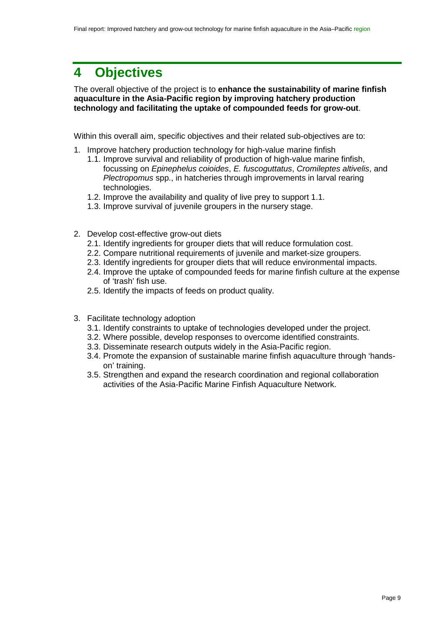# <span id="page-8-0"></span>**4 Objectives**

The overall objective of the project is to **enhance the sustainability of marine finfish aquaculture in the Asia-Pacific region by improving hatchery production technology and facilitating the uptake of compounded feeds for grow-out**.

Within this overall aim, specific objectives and their related sub-objectives are to:

- 1. Improve hatchery production technology for high-value marine finfish
	- 1.1. Improve survival and reliability of production of high-value marine finfish, focussing on *Epinephelus coioides*, *E. fuscoguttatus*, *Cromileptes altivelis*, and *Plectropomus* spp., in hatcheries through improvements in larval rearing technologies.
	- 1.2. Improve the availability and quality of live prey to support 1.1.
	- 1.3. Improve survival of juvenile groupers in the nursery stage.
- 2. Develop cost-effective grow-out diets
	- 2.1. Identify ingredients for grouper diets that will reduce formulation cost.
	- 2.2. Compare nutritional requirements of juvenile and market-size groupers.
	- 2.3. Identify ingredients for grouper diets that will reduce environmental impacts.
	- 2.4. Improve the uptake of compounded feeds for marine finfish culture at the expense of 'trash' fish use.
	- 2.5. Identify the impacts of feeds on product quality.
- 3. Facilitate technology adoption
	- 3.1. Identify constraints to uptake of technologies developed under the project.
	- 3.2. Where possible, develop responses to overcome identified constraints.
	- 3.3. Disseminate research outputs widely in the Asia-Pacific region.
	- 3.4. Promote the expansion of sustainable marine finfish aquaculture through 'handson' training.
	- 3.5. Strengthen and expand the research coordination and regional collaboration activities of the Asia-Pacific Marine Finfish Aquaculture Network.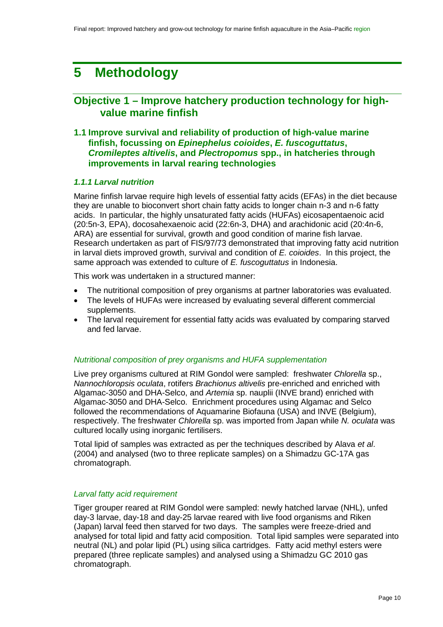# <span id="page-9-0"></span>**5 Methodology**

# <span id="page-9-1"></span>**Objective 1 – Improve hatchery production technology for highvalue marine finfish**

## **1.1 Improve survival and reliability of production of high-value marine finfish, focussing on** *Epinephelus coioides***,** *E. fuscoguttatus***,**  *Cromileptes altivelis***, and** *Plectropomus* **spp., in hatcheries through improvements in larval rearing technologies**

#### *1.1.1 Larval nutrition*

Marine finfish larvae require high levels of essential fatty acids (EFAs) in the diet because they are unable to bioconvert short chain fatty acids to longer chain n-3 and n-6 fatty acids. In particular, the highly unsaturated fatty acids (HUFAs) eicosapentaenoic acid (20:5n-3, EPA), docosahexaenoic acid (22:6n-3, DHA) and arachidonic acid (20:4n-6, ARA) are essential for survival, growth and good condition of marine fish larvae. Research undertaken as part of FIS/97/73 demonstrated that improving fatty acid nutrition in larval diets improved growth, survival and condition of *E. coioides*. In this project, the same approach was extended to culture of *E. fuscoguttatus* in Indonesia.

This work was undertaken in a structured manner:

- The nutritional composition of prey organisms at partner laboratories was evaluated.
- The levels of HUFAs were increased by evaluating several different commercial supplements.
- The larval requirement for essential fatty acids was evaluated by comparing starved and fed larvae.

#### *Nutritional composition of prey organisms and HUFA supplementation*

Live prey organisms cultured at RIM Gondol were sampled: freshwater *Chlorella* sp., *Nannochloropsis oculata*, rotifers *Brachionus altivelis* pre-enriched and enriched with Algamac-3050 and DHA-Selco, and *Artemia* sp. nauplii (INVE brand) enriched with Algamac-3050 and DHA-Selco. Enrichment procedures using Algamac and Selco followed the recommendations of Aquamarine Biofauna (USA) and INVE (Belgium), respectively. The freshwater *Chlorella* sp. was imported from Japan while *N. oculata* was cultured locally using inorganic fertilisers.

Total lipid of samples was extracted as per the techniques described by Alava *et al*. (2004) and analysed (two to three replicate samples) on a Shimadzu GC-17A gas chromatograph.

#### *Larval fatty acid requirement*

Tiger grouper reared at RIM Gondol were sampled: newly hatched larvae (NHL), unfed day-3 larvae, day-18 and day-25 larvae reared with live food organisms and Riken (Japan) larval feed then starved for two days. The samples were freeze-dried and analysed for total lipid and fatty acid composition. Total lipid samples were separated into neutral (NL) and polar lipid (PL) using silica cartridges. Fatty acid methyl esters were prepared (three replicate samples) and analysed using a Shimadzu GC 2010 gas chromatograph.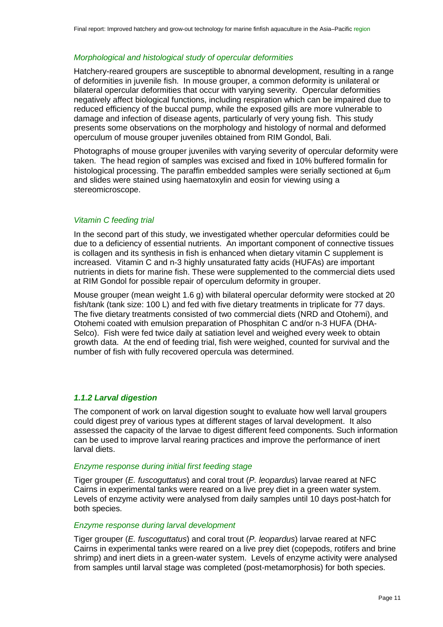#### *Morphological and histological study of opercular deformities*

Hatchery-reared groupers are susceptible to abnormal development, resulting in a range of deformities in juvenile fish. In mouse grouper, a common deformity is unilateral or bilateral opercular deformities that occur with varying severity. Opercular deformities negatively affect biological functions, including respiration which can be impaired due to reduced efficiency of the buccal pump, while the exposed gills are more vulnerable to damage and infection of disease agents, particularly of very young fish. This study presents some observations on the morphology and histology of normal and deformed operculum of mouse grouper juveniles obtained from RIM Gondol, Bali.

Photographs of mouse grouper juveniles with varying severity of opercular deformity were taken. The head region of samples was excised and fixed in 10% buffered formalin for histological processing. The paraffin embedded samples were serially sectioned at 6um and slides were stained using haematoxylin and eosin for viewing using a stereomicroscope.

#### *Vitamin C feeding trial*

In the second part of this study, we investigated whether opercular deformities could be due to a deficiency of essential nutrients. An important component of connective tissues is collagen and its synthesis in fish is enhanced when dietary vitamin C supplement is increased. Vitamin C and n-3 highly unsaturated fatty acids (HUFAs) are important nutrients in diets for marine fish. These were supplemented to the commercial diets used at RIM Gondol for possible repair of operculum deformity in grouper.

Mouse grouper (mean weight 1.6 g) with bilateral opercular deformity were stocked at 20 fish/tank (tank size: 100 L) and fed with five dietary treatments in triplicate for 77 days. The five dietary treatments consisted of two commercial diets (NRD and Otohemi), and Otohemi coated with emulsion preparation of Phosphitan C and/or n-3 HUFA (DHA-Selco). Fish were fed twice daily at satiation level and weighed every week to obtain growth data. At the end of feeding trial, fish were weighed, counted for survival and the number of fish with fully recovered opercula was determined.

#### *1.1.2 Larval digestion*

The component of work on larval digestion sought to evaluate how well larval groupers could digest prey of various types at different stages of larval development. It also assessed the capacity of the larvae to digest different feed components. Such information can be used to improve larval rearing practices and improve the performance of inert larval diets.

#### *Enzyme response during initial first feeding stage*

Tiger grouper (*E. fuscoguttatus*) and coral trout (*P. leopardus*) larvae reared at NFC Cairns in experimental tanks were reared on a live prey diet in a green water system. Levels of enzyme activity were analysed from daily samples until 10 days post-hatch for both species.

#### *Enzyme response during larval development*

Tiger grouper (*E. fuscoguttatus*) and coral trout (*P. leopardus*) larvae reared at NFC Cairns in experimental tanks were reared on a live prey diet (copepods, rotifers and brine shrimp) and inert diets in a green-water system. Levels of enzyme activity were analysed from samples until larval stage was completed (post-metamorphosis) for both species.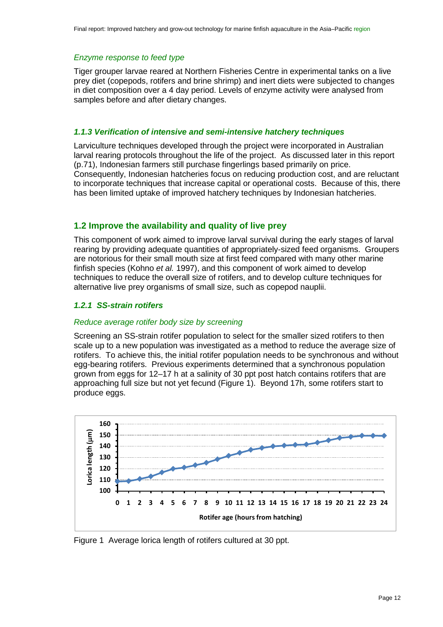#### *Enzyme response to feed type*

Tiger grouper larvae reared at Northern Fisheries Centre in experimental tanks on a live prey diet (copepods, rotifers and brine shrimp) and inert diets were subjected to changes in diet composition over a 4 day period. Levels of enzyme activity were analysed from samples before and after dietary changes.

#### *1.1.3 Verification of intensive and semi-intensive hatchery techniques*

Larviculture techniques developed through the project were incorporated in Australian larval rearing protocols throughout the life of the project. As discussed later in this report (p[.71\)](#page-70-1), Indonesian farmers still purchase fingerlings based primarily on price. Consequently, Indonesian hatcheries focus on reducing production cost, and are reluctant to incorporate techniques that increase capital or operational costs. Because of this, there has been limited uptake of improved hatchery techniques by Indonesian hatcheries.

# **1.2 Improve the availability and quality of live prey**

This component of work aimed to improve larval survival during the early stages of larval rearing by providing adequate quantities of appropriately-sized feed organisms. Groupers are notorious for their small mouth size at first feed compared with many other marine finfish species (Kohno *et al.* 1997), and this component of work aimed to develop techniques to reduce the overall size of rotifers, and to develop culture techniques for alternative live prey organisms of small size, such as copepod nauplii.

#### *1.2.1 SS-strain rotifers*

#### *Reduce average rotifer body size by screening*

Screening an SS-strain rotifer population to select for the smaller sized rotifers to then scale up to a new population was investigated as a method to reduce the average size of rotifers. To achieve this, the initial rotifer population needs to be synchronous and without egg-bearing rotifers. Previous experiments determined that a synchronous population grown from eggs for 12–17 h at a salinity of 30 ppt post hatch contains rotifers that are approaching full size but not yet fecund [\(Figure 1\)](#page-11-0). Beyond 17h, some rotifers start to produce eggs.



<span id="page-11-0"></span>Figure 1 Average lorica length of rotifers cultured at 30 ppt.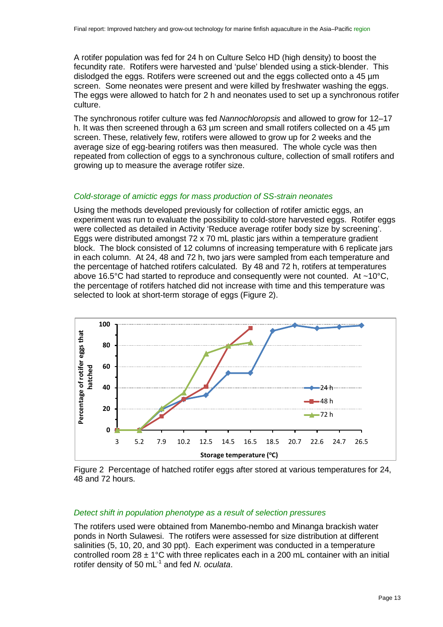A rotifer population was fed for 24 h on Culture Selco HD (high density) to boost the fecundity rate. Rotifers were harvested and 'pulse' blended using a stick-blender. This dislodged the eggs. Rotifers were screened out and the eggs collected onto a 45 µm screen. Some neonates were present and were killed by freshwater washing the eggs. The eggs were allowed to hatch for 2 h and neonates used to set up a synchronous rotifer culture.

The synchronous rotifer culture was fed *Nannochloropsis* and allowed to grow for 12–17 h. It was then screened through a 63 um screen and small rotifers collected on a 45 um screen. These, relatively few, rotifers were allowed to grow up for 2 weeks and the average size of egg-bearing rotifers was then measured. The whole cycle was then repeated from collection of eggs to a synchronous culture, collection of small rotifers and growing up to measure the average rotifer size.

#### *Cold-storage of amictic eggs for mass production of SS-strain neonates*

Using the methods developed previously for collection of rotifer amictic eggs, an experiment was run to evaluate the possibility to cold-store harvested eggs. Rotifer eggs were collected as detailed in Activity 'Reduce average rotifer body size by screening'. Eggs were distributed amongst 72 x 70 mL plastic jars within a temperature gradient block. The block consisted of 12 columns of increasing temperature with 6 replicate jars in each column. At 24, 48 and 72 h, two jars were sampled from each temperature and the percentage of hatched rotifers calculated. By 48 and 72 h, rotifers at temperatures above 16.5°C had started to reproduce and consequently were not counted. At ~10°C, the percentage of rotifers hatched did not increase with time and this temperature was selected to look at short-term storage of eggs [\(Figure 2\)](#page-12-0).



<span id="page-12-0"></span>Figure 2 Percentage of hatched rotifer eggs after stored at various temperatures for 24, 48 and 72 hours.

#### *Detect shift in population phenotype as a result of selection pressures*

The rotifers used were obtained from Manembo-nembo and Minanga brackish water ponds in North Sulawesi. The rotifers were assessed for size distribution at different salinities (5, 10, 20, and 30 ppt). Each experiment was conducted in a temperature controlled room  $28 \pm 1^{\circ}$ C with three replicates each in a 200 mL container with an initial rotifer density of 50 mL-1 and fed *N. oculata*.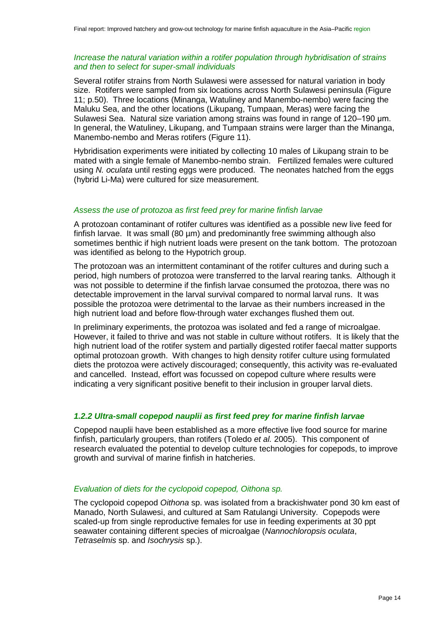#### *Increase the natural variation within a rotifer population through hybridisation of strains and then to select for super-small individuals*

Several rotifer strains from North Sulawesi were assessed for natural variation in body size. Rotifers were sampled from six locations across North Sulawesi peninsula [\(Figure](#page-49-0)  [11;](#page-49-0) p[.50\)](#page-49-0). Three locations (Minanga, Watuliney and Manembo-nembo) were facing the Maluku Sea, and the other locations (Likupang, Tumpaan, Meras) were facing the Sulawesi Sea. Natural size variation among strains was found in range of 120–190 μm. In general, the Watuliney, Likupang, and Tumpaan strains were larger than the Minanga, Manembo-nembo and Meras rotifers [\(Figure 11\)](#page-49-0).

Hybridisation experiments were initiated by collecting 10 males of Likupang strain to be mated with a single female of Manembo-nembo strain. Fertilized females were cultured using *N. oculata* until resting eggs were produced. The neonates hatched from the eggs (hybrid Li-Ma) were cultured for size measurement.

#### *Assess the use of protozoa as first feed prey for marine finfish larvae*

A protozoan contaminant of rotifer cultures was identified as a possible new live feed for finfish larvae. It was small (80 µm) and predominantly free swimming although also sometimes benthic if high nutrient loads were present on the tank bottom. The protozoan was identified as belong to the Hypotrich group.

The protozoan was an intermittent contaminant of the rotifer cultures and during such a period, high numbers of protozoa were transferred to the larval rearing tanks. Although it was not possible to determine if the finfish larvae consumed the protozoa, there was no detectable improvement in the larval survival compared to normal larval runs. It was possible the protozoa were detrimental to the larvae as their numbers increased in the high nutrient load and before flow-through water exchanges flushed them out.

In preliminary experiments, the protozoa was isolated and fed a range of microalgae. However, it failed to thrive and was not stable in culture without rotifers. It is likely that the high nutrient load of the rotifer system and partially digested rotifer faecal matter supports optimal protozoan growth. With changes to high density rotifer culture using formulated diets the protozoa were actively discouraged; consequently, this activity was re-evaluated and cancelled. Instead, effort was focussed on copepod culture where results were indicating a very significant positive benefit to their inclusion in grouper larval diets.

#### *1.2.2 Ultra-small copepod nauplii as first feed prey for marine finfish larvae*

Copepod nauplii have been established as a more effective live food source for marine finfish, particularly groupers, than rotifers (Toledo *et al.* 2005). This component of research evaluated the potential to develop culture technologies for copepods, to improve growth and survival of marine finfish in hatcheries.

#### *Evaluation of diets for the cyclopoid copepod, Oithona sp.*

The cyclopoid copepod *Oithona* sp. was isolated from a brackishwater pond 30 km east of Manado, North Sulawesi, and cultured at Sam Ratulangi University. Copepods were scaled-up from single reproductive females for use in feeding experiments at 30 ppt seawater containing different species of microalgae (*Nannochloropsis oculata*, *Tetraselmis* sp. and *Isochrysis* sp.).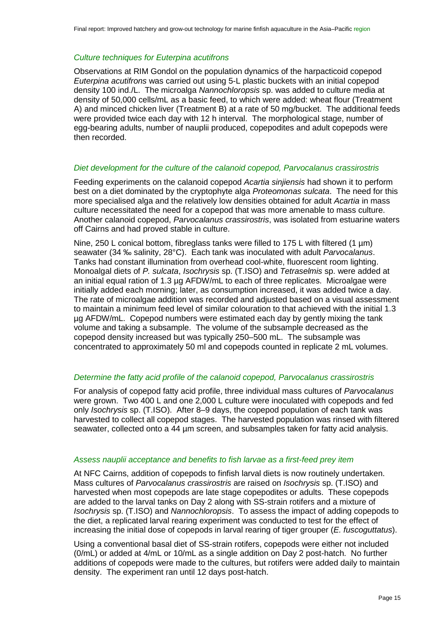#### *Culture techniques for Euterpina acutifrons*

Observations at RIM Gondol on the population dynamics of the harpacticoid copepod *Euterpina acutifrons* was carried out using 5-L plastic buckets with an initial copepod density 100 ind./L. The microalga *Nannochloropsis* sp. was added to culture media at density of 50,000 cells/mL as a basic feed, to which were added: wheat flour (Treatment A) and minced chicken liver (Treatment B) at a rate of 50 mg/bucket. The additional feeds were provided twice each day with 12 h interval. The morphological stage, number of egg-bearing adults, number of nauplii produced, copepodites and adult copepods were then recorded.

#### *Diet development for the culture of the calanoid copepod, Parvocalanus crassirostris*

Feeding experiments on the calanoid copepod *Acartia sinjiensis* had shown it to perform best on a diet dominated by the cryptophyte alga *Proteomonas sulcata*. The need for this more specialised alga and the relatively low densities obtained for adult *Acartia* in mass culture necessitated the need for a copepod that was more amenable to mass culture. Another calanoid copepod, *Parvocalanus crassirostris*, was isolated from estuarine waters off Cairns and had proved stable in culture.

Nine, 250 L conical bottom, fibreglass tanks were filled to 175 L with filtered (1 um) seawater (34 ‰ salinity, 28°C). Each tank was inoculated with adult *Parvocalanus*. Tanks had constant illumination from overhead cool-white, fluorescent room lighting. Monoalgal diets of *P. sulcata*, *Isochrysis* sp. (T.ISO) and *Tetraselmis* sp. were added at an initial equal ration of 1.3 µg AFDW/mL to each of three replicates. Microalgae were initially added each morning; later, as consumption increased, it was added twice a day. The rate of microalgae addition was recorded and adjusted based on a visual assessment to maintain a minimum feed level of similar colouration to that achieved with the initial 1.3 µg AFDW/mL. Copepod numbers were estimated each day by gently mixing the tank volume and taking a subsample. The volume of the subsample decreased as the copepod density increased but was typically 250–500 mL. The subsample was concentrated to approximately 50 ml and copepods counted in replicate 2 mL volumes.

#### *Determine the fatty acid profile of the calanoid copepod, Parvocalanus crassirostris*

For analysis of copepod fatty acid profile, three individual mass cultures of *Parvocalanus* were grown. Two 400 L and one 2,000 L culture were inoculated with copepods and fed only *Isochrysis* sp. (T.ISO). After 8–9 days, the copepod population of each tank was harvested to collect all copepod stages. The harvested population was rinsed with filtered seawater, collected onto a 44 µm screen, and subsamples taken for fatty acid analysis.

#### *Assess nauplii acceptance and benefits to fish larvae as a first-feed prey item*

At NFC Cairns, addition of copepods to finfish larval diets is now routinely undertaken. Mass cultures of *Parvocalanus crassirostris* are raised on *Isochrysis* sp. (T.ISO) and harvested when most copepods are late stage copepodites or adults. These copepods are added to the larval tanks on Day 2 along with SS-strain rotifers and a mixture of *Isochrysis* sp. (T.ISO) and *Nannochloropsis*. To assess the impact of adding copepods to the diet, a replicated larval rearing experiment was conducted to test for the effect of increasing the initial dose of copepods in larval rearing of tiger grouper (*E. fuscoguttatus*).

Using a conventional basal diet of SS-strain rotifers, copepods were either not included (0/mL) or added at 4/mL or 10/mL as a single addition on Day 2 post-hatch. No further additions of copepods were made to the cultures, but rotifers were added daily to maintain density. The experiment ran until 12 days post-hatch.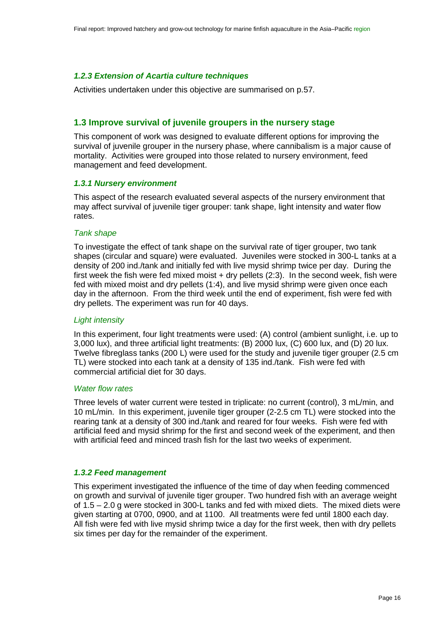#### *1.2.3 Extension of Acartia culture techniques*

Activities undertaken under this objective are summarised on p[.57.](#page-56-0)

#### **1.3 Improve survival of juvenile groupers in the nursery stage**

This component of work was designed to evaluate different options for improving the survival of juvenile grouper in the nursery phase, where cannibalism is a major cause of mortality. Activities were grouped into those related to nursery environment, feed management and feed development.

#### *1.3.1 Nursery environment*

This aspect of the research evaluated several aspects of the nursery environment that may affect survival of juvenile tiger grouper: tank shape, light intensity and water flow rates.

#### *Tank shape*

To investigate the effect of tank shape on the survival rate of tiger grouper, two tank shapes (circular and square) were evaluated. Juveniles were stocked in 300-L tanks at a density of 200 ind./tank and initially fed with live mysid shrimp twice per day. During the first week the fish were fed mixed moist + dry pellets (2:3). In the second week, fish were fed with mixed moist and dry pellets (1:4), and live mysid shrimp were given once each day in the afternoon. From the third week until the end of experiment, fish were fed with dry pellets. The experiment was run for 40 days.

#### *Light intensity*

In this experiment, four light treatments were used: (A) control (ambient sunlight, i.e. up to 3,000 lux), and three artificial light treatments: (B) 2000 lux, (C) 600 lux, and (D) 20 lux. Twelve fibreglass tanks (200 L) were used for the study and juvenile tiger grouper (2.5 cm TL) were stocked into each tank at a density of 135 ind./tank. Fish were fed with commercial artificial diet for 30 days.

#### *Water flow rates*

Three levels of water current were tested in triplicate: no current (control), 3 mL/min, and 10 mL/min. In this experiment, juvenile tiger grouper (2-2.5 cm TL) were stocked into the rearing tank at a density of 300 ind./tank and reared for four weeks. Fish were fed with artificial feed and mysid shrimp for the first and second week of the experiment, and then with artificial feed and minced trash fish for the last two weeks of experiment.

#### *1.3.2 Feed management*

This experiment investigated the influence of the time of day when feeding commenced on growth and survival of juvenile tiger grouper. Two hundred fish with an average weight of 1.5 – 2.0 g were stocked in 300-L tanks and fed with mixed diets. The mixed diets were given starting at 0700, 0900, and at 1100. All treatments were fed until 1800 each day. All fish were fed with live mysid shrimp twice a day for the first week, then with dry pellets six times per day for the remainder of the experiment.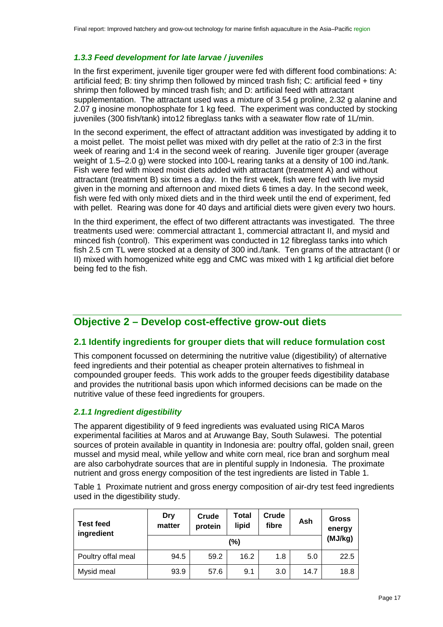#### *1.3.3 Feed development for late larvae / juveniles*

In the first experiment, juvenile tiger grouper were fed with different food combinations: A: artificial feed; B: tiny shrimp then followed by minced trash fish; C: artificial feed + tiny shrimp then followed by minced trash fish; and D: artificial feed with attractant supplementation. The attractant used was a mixture of 3.54 g proline, 2.32 g alanine and 2.07 g inosine monophosphate for 1 kg feed. The experiment was conducted by stocking juveniles (300 fish/tank) into12 fibreglass tanks with a seawater flow rate of 1L/min.

In the second experiment, the effect of attractant addition was investigated by adding it to a moist pellet. The moist pellet was mixed with dry pellet at the ratio of 2:3 in the first week of rearing and 1:4 in the second week of rearing. Juvenile tiger grouper (average weight of 1.5–2.0 g) were stocked into 100-L rearing tanks at a density of 100 ind./tank. Fish were fed with mixed moist diets added with attractant (treatment A) and without attractant (treatment B) six times a day. In the first week, fish were fed with live mysid given in the morning and afternoon and mixed diets 6 times a day. In the second week, fish were fed with only mixed diets and in the third week until the end of experiment, fed with pellet. Rearing was done for 40 days and artificial diets were given every two hours.

In the third experiment, the effect of two different attractants was investigated. The three treatments used were: commercial attractant 1, commercial attractant II, and mysid and minced fish (control). This experiment was conducted in 12 fibreglass tanks into which fish 2.5 cm TL were stocked at a density of 300 ind./tank. Ten grams of the attractant (I or II) mixed with homogenized white egg and CMC was mixed with 1 kg artificial diet before being fed to the fish.

# <span id="page-16-0"></span>**Objective 2 – Develop cost-effective grow-out diets**

# **2.1 Identify ingredients for grouper diets that will reduce formulation cost**

This component focussed on determining the nutritive value (digestibility) of alternative feed ingredients and their potential as cheaper protein alternatives to fishmeal in compounded grouper feeds. This work adds to the grouper feeds digestibility database and provides the nutritional basis upon which informed decisions can be made on the nutritive value of these feed ingredients for groupers.

#### *2.1.1 Ingredient digestibility*

The apparent digestibility of 9 feed ingredients was evaluated using RICA Maros experimental facilities at Maros and at Aruwange Bay, South Sulawesi. The potential sources of protein available in quantity in Indonesia are: poultry offal, golden snail, green mussel and mysid meal, while yellow and white corn meal, rice bran and sorghum meal are also carbohydrate sources that are in plentiful supply in Indonesia. The proximate nutrient and gross energy composition of the test ingredients are listed in [Table 1.](#page-16-1)

<span id="page-16-1"></span>Table 1 Proximate nutrient and gross energy composition of air-dry test feed ingredients used in the digestibility study.

| <b>Test feed</b><br>ingredient | Dry<br>matter | Crude<br>protein | Total<br>lipid | Crude<br>fibre | Ash  | <b>Gross</b><br>energy |
|--------------------------------|---------------|------------------|----------------|----------------|------|------------------------|
|                                |               | (MJ/kg)          |                |                |      |                        |
| Poultry offal meal             | 94.5          | 59.2             | 16.2           | 1.8            | 5.0  | 22.5                   |
| Mysid meal                     | 93.9          | 57.6             | 9.1            | 3.0            | 14.7 | 18.8                   |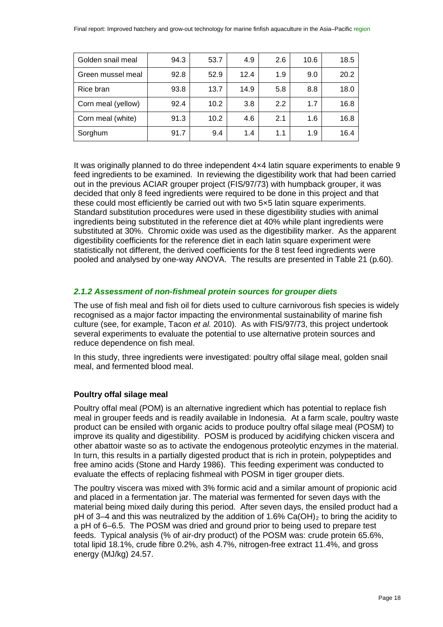| Golden snail meal  | 94.3 | 53.7 | 4.9  | 2.6 | 10.6 | 18.5 |
|--------------------|------|------|------|-----|------|------|
| Green mussel meal  | 92.8 | 52.9 | 12.4 | 1.9 | 9.0  | 20.2 |
| Rice bran          | 93.8 | 13.7 | 14.9 | 5.8 | 8.8  | 18.0 |
| Corn meal (yellow) | 92.4 | 10.2 | 3.8  | 2.2 | 1.7  | 16.8 |
| Corn meal (white)  | 91.3 | 10.2 | 4.6  | 2.1 | 1.6  | 16.8 |
| Sorghum            | 91.7 | 9.4  | 1.4  | 1.1 | 1.9  | 16.4 |

It was originally planned to do three independent 4×4 latin square experiments to enable 9 feed ingredients to be examined. In reviewing the digestibility work that had been carried out in the previous ACIAR grouper project (FIS/97/73) with humpback grouper, it was decided that only 8 feed ingredients were required to be done in this project and that these could most efficiently be carried out with two 5×5 latin square experiments. Standard substitution procedures were used in these digestibility studies with animal ingredients being substituted in the reference diet at 40% while plant ingredients were substituted at 30%. Chromic oxide was used as the digestibility marker. As the apparent digestibility coefficients for the reference diet in each latin square experiment were statistically not different, the derived coefficients for the 8 test feed ingredients were pooled and analysed by one-way ANOVA. The results are presented in [Table 21](#page-59-1) (p[.60\)](#page-59-1).

## *2.1.2 Assessment of non-fishmeal protein sources for grouper diets*

The use of fish meal and fish oil for diets used to culture carnivorous fish species is widely recognised as a major factor impacting the environmental sustainability of marine fish culture (see, for example, Tacon *et al.* 2010). As with FIS/97/73, this project undertook several experiments to evaluate the potential to use alternative protein sources and reduce dependence on fish meal.

In this study, three ingredients were investigated: poultry offal silage meal, golden snail meal, and fermented blood meal.

# **Poultry offal silage meal**

Poultry offal meal (POM) is an alternative ingredient which has potential to replace fish meal in grouper feeds and is readily available in Indonesia. At a farm scale, poultry waste product can be ensiled with organic acids to produce poultry offal silage meal (POSM) to improve its quality and digestibility. POSM is produced by acidifying chicken viscera and other abattoir waste so as to activate the endogenous proteolytic enzymes in the material. In turn, this results in a partially digested product that is rich in protein, polypeptides and free amino acids (Stone and Hardy 1986). This feeding experiment was conducted to evaluate the effects of replacing fishmeal with POSM in tiger grouper diets.

The poultry viscera was mixed with 3% formic acid and a similar amount of propionic acid and placed in a fermentation jar. The material was fermented for seven days with the material being mixed daily during this period. After seven days, the ensiled product had a pH of 3–4 and this was neutralized by the addition of 1.6% Ca(OH)<sub>2</sub> to bring the acidity to a pH of 6–6.5. The POSM was dried and ground prior to being used to prepare test feeds. Typical analysis (% of air-dry product) of the POSM was: crude protein 65.6%, total lipid 18.1%, crude fibre 0.2%, ash 4.7%, nitrogen-free extract 11.4%, and gross energy (MJ/kg) 24.57.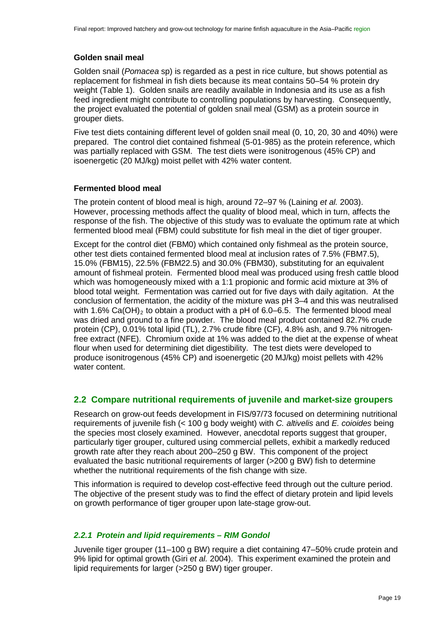#### **Golden snail meal**

Golden snail (*Pomacea* sp) is regarded as a pest in rice culture, but shows potential as replacement for fishmeal in fish diets because its meat contains 50–54 % protein dry weight [\(Table 1\)](#page-16-1). Golden snails are readily available in Indonesia and its use as a fish feed ingredient might contribute to controlling populations by harvesting. Consequently, the project evaluated the potential of golden snail meal (GSM) as a protein source in grouper diets.

Five test diets containing different level of golden snail meal (0, 10, 20, 30 and 40%) were prepared. The control diet contained fishmeal (5-01-985) as the protein reference, which was partially replaced with GSM. The test diets were isonitrogenous (45% CP) and isoenergetic (20 MJ/kg) moist pellet with 42% water content.

#### **Fermented blood meal**

The protein content of blood meal is high, around 72–97 % (Laining *et al.* 2003). However, processing methods affect the quality of blood meal, which in turn, affects the response of the fish. The objective of this study was to evaluate the optimum rate at which fermented blood meal (FBM) could substitute for fish meal in the diet of tiger grouper.

Except for the control diet (FBM0) which contained only fishmeal as the protein source, other test diets contained fermented blood meal at inclusion rates of 7.5% (FBM7.5), 15.0% (FBM15), 22.5% (FBM22.5) and 30.0% (FBM30), substituting for an equivalent amount of fishmeal protein. Fermented blood meal was produced using fresh cattle blood which was homogeneously mixed with a 1:1 propionic and formic acid mixture at 3% of blood total weight. Fermentation was carried out for five days with daily agitation. At the conclusion of fermentation, the acidity of the mixture was pH 3–4 and this was neutralised with 1.6% Ca(OH)<sub>2</sub> to obtain a product with a pH of 6.0–6.5. The fermented blood meal was dried and ground to a fine powder. The blood meal product contained 82.7% crude protein (CP), 0.01% total lipid (TL), 2.7% crude fibre (CF), 4.8% ash, and 9.7% nitrogenfree extract (NFE). Chromium oxide at 1% was added to the diet at the expense of wheat flour when used for determining diet digestibility. The test diets were developed to produce isonitrogenous (45% CP) and isoenergetic (20 MJ/kg) moist pellets with 42% water content.

#### **2.2 Compare nutritional requirements of juvenile and market-size groupers**

Research on grow-out feeds development in FIS/97/73 focused on determining nutritional requirements of juvenile fish (< 100 g body weight) with *C. altivelis* and *E. coioides* being the species most closely examined. However, anecdotal reports suggest that grouper, particularly tiger grouper, cultured using commercial pellets, exhibit a markedly reduced growth rate after they reach about 200–250 g BW. This component of the project evaluated the basic nutritional requirements of larger (>200 g BW) fish to determine whether the nutritional requirements of the fish change with size.

This information is required to develop cost-effective feed through out the culture period. The objective of the present study was to find the effect of dietary protein and lipid levels on growth performance of tiger grouper upon late-stage grow-out.

#### *2.2.1 Protein and lipid requirements – RIM Gondol*

Juvenile tiger grouper (11–100 g BW) require a diet containing 47–50% crude protein and 9% lipid for optimal growth (Giri *et al.* 2004). This experiment examined the protein and lipid requirements for larger (>250 g BW) tiger grouper.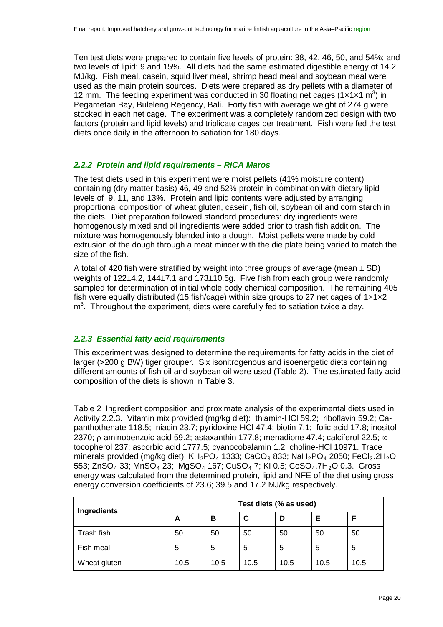Ten test diets were prepared to contain five levels of protein: 38, 42, 46, 50, and 54%; and two levels of lipid: 9 and 15%. All diets had the same estimated digestible energy of 14.2 MJ/kg. Fish meal, casein, squid liver meal, shrimp head meal and soybean meal were used as the main protein sources. Diets were prepared as dry pellets with a diameter of 12 mm. The feeding experiment was conducted in 30 floating net cages  $(1 \times 1 \times 1 \text{ m}^3)$  in Pegametan Bay, Buleleng Regency, Bali. Forty fish with average weight of 274 g were stocked in each net cage. The experiment was a completely randomized design with two factors (protein and lipid levels) and triplicate cages per treatment. Fish were fed the test diets once daily in the afternoon to satiation for 180 days.

#### *2.2.2 Protein and lipid requirements – RICA Maros*

The test diets used in this experiment were moist pellets (41% moisture content) containing (dry matter basis) 46, 49 and 52% protein in combination with dietary lipid levels of 9, 11, and 13%. Protein and lipid contents were adjusted by arranging proportional composition of wheat gluten, casein, fish oil, soybean oil and corn starch in the diets. Diet preparation followed standard procedures: dry ingredients were homogenously mixed and oil ingredients were added prior to trash fish addition. The mixture was homogenously blended into a dough. Moist pellets were made by cold extrusion of the dough through a meat mincer with the die plate being varied to match the size of the fish.

A total of 420 fish were stratified by weight into three groups of average (mean  $\pm$  SD) weights of 122±4.2, 144±7.1 and 173±10.5g. Five fish from each group were randomly sampled for determination of initial whole body chemical composition. The remaining 405 fish were equally distributed (15 fish/cage) within size groups to 27 net cages of  $1 \times 1 \times 2$  $m<sup>3</sup>$ . Throughout the experiment, diets were carefully fed to satiation twice a day.

#### *2.2.3 Essential fatty acid requirements*

This experiment was designed to determine the requirements for fatty acids in the diet of larger (>200 g BW) tiger grouper. Six isonitrogenous and isoenergetic diets containing different amounts of fish oil and soybean oil were used [\(Table 2\)](#page-19-0). The estimated fatty acid composition of the diets is shown in [Table 3.](#page-20-0)

<span id="page-19-0"></span>Table 2 Ingredient composition and proximate analysis of the experimental diets used in Activity 2.2.3. Vitamin mix provided (mg/kg diet): thiamin-HCl 59.2; riboflavin 59.2; Capanthothenate 118.5; niacin 23.7; pyridoxine-HCl 47.4; biotin 7.1; folic acid 17.8; inositol 2370; ρ-aminobenzoic acid 59.2; astaxanthin 177.8; menadione 47.4; calciferol 22.5; ∝ tocopherol 237; ascorbic acid 1777.5; cyanocobalamin 1.2; choline-HCl 10971. Trace minerals provided (mg/kg diet):  $KH_2PO_4$  1333; CaCO<sub>3</sub> 833; NaH<sub>2</sub>PO<sub>4</sub> 2050; FeCl<sub>3</sub>.2H<sub>2</sub>O 553; ZnSO $_4$  33; MnSO $_4$  23; MgSO $_4$  167; CuSO $_4$  7; KI 0.5; CoSO $_4$ .7H $_2$ O 0.3. Gross energy was calculated from the determined protein, lipid and NFE of the diet using gross energy conversion coefficients of 23.6; 39.5 and 17.2 MJ/kg respectively.

| Ingredients  | Test diets (% as used) |      |      |      |      |      |  |
|--------------|------------------------|------|------|------|------|------|--|
|              | A                      | в    | C    | D    | Е    |      |  |
| Trash fish   | 50                     | 50   | 50   | 50   | 50   | 50   |  |
| Fish meal    | 5                      | 5    | 5    | 5    | 5    | 5    |  |
| Wheat gluten | 10.5                   | 10.5 | 10.5 | 10.5 | 10.5 | 10.5 |  |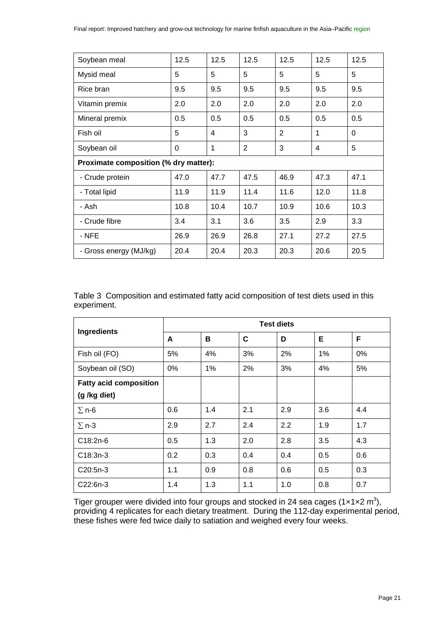| Soybean meal                          | 12.5     | 12.5 | 12.5         | 12.5           | 12.5 | 12.5     |
|---------------------------------------|----------|------|--------------|----------------|------|----------|
| Mysid meal                            | 5        | 5    | 5            | 5              | 5    | 5        |
| Rice bran                             | 9.5      | 9.5  | 9.5          | 9.5            | 9.5  | 9.5      |
| Vitamin premix                        | 2.0      | 2.0  | 2.0          | 2.0            | 2.0  | 2.0      |
| Mineral premix                        | 0.5      | 0.5  | 0.5          | 0.5            | 0.5  | 0.5      |
| Fish oil                              | 5        | 4    | 3            | $\overline{2}$ | 1    | $\Omega$ |
| Soybean oil                           | $\Omega$ | 1    | $\mathbf{2}$ | 3              | 4    | 5        |
| Proximate composition (% dry matter): |          |      |              |                |      |          |
| - Crude protein                       | 47.0     | 47.7 | 47.5         | 46.9           | 47.3 | 47.1     |
| - Total lipid                         | 11.9     | 11.9 | 11.4         | 11.6           | 12.0 | 11.8     |
| - Ash                                 | 10.8     | 10.4 | 10.7         | 10.9           | 10.6 | 10.3     |
| - Crude fibre                         | 3.4      | 3.1  | 3.6          | 3.5            | 2.9  | 3.3      |
| - NFE                                 | 26.9     | 26.9 | 26.8         | 27.1           | 27.2 | 27.5     |
| - Gross energy (MJ/kg)                | 20.4     | 20.4 | 20.3         | 20.3           | 20.6 | 20.5     |

<span id="page-20-0"></span>Table 3 Composition and estimated fatty acid composition of test diets used in this experiment.

| <b>Ingredients</b>            | <b>Test diets</b> |     |     |     |       |     |  |
|-------------------------------|-------------------|-----|-----|-----|-------|-----|--|
|                               | A                 | в   | C   | D   | Е     | F   |  |
| Fish oil (FO)                 | 5%                | 4%  | 3%  | 2%  | $1\%$ | 0%  |  |
| Soybean oil (SO)              | $0\%$             | 1%  | 2%  | 3%  | 4%    | 5%  |  |
| <b>Fatty acid composition</b> |                   |     |     |     |       |     |  |
| (g /kg diet)                  |                   |     |     |     |       |     |  |
| $\Sigma$ n-6                  | 0.6               | 1.4 | 2.1 | 2.9 | 3.6   | 4.4 |  |
| $\Sigma$ n-3                  | 2.9               | 2.7 | 2.4 | 2.2 | 1.9   | 1.7 |  |
| C18:2n-6                      | 0.5               | 1.3 | 2.0 | 2.8 | 3.5   | 4.3 |  |
| C18:3n-3                      | 0.2               | 0.3 | 0.4 | 0.4 | 0.5   | 0.6 |  |
| C20:5n-3                      | 1.1               | 0.9 | 0.8 | 0.6 | 0.5   | 0.3 |  |
| C22:6n-3                      | 1.4               | 1.3 | 1.1 | 1.0 | 0.8   | 0.7 |  |

Tiger grouper were divided into four groups and stocked in 24 sea cages (1 $\times$ 1 $\times$ 2 m<sup>3</sup>), providing 4 replicates for each dietary treatment. During the 112-day experimental period, these fishes were fed twice daily to satiation and weighed every four weeks.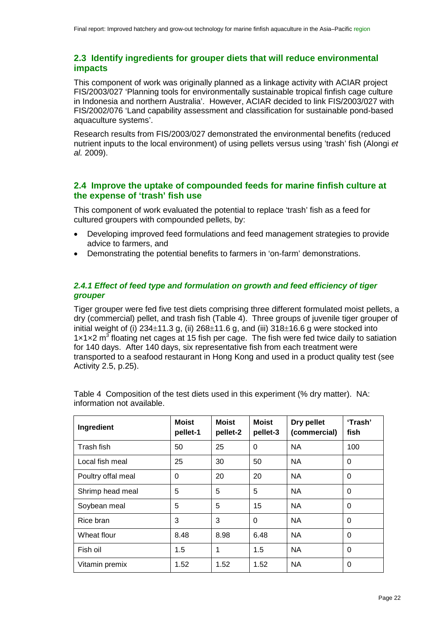# **2.3 Identify ingredients for grouper diets that will reduce environmental impacts**

This component of work was originally planned as a linkage activity with ACIAR project FIS/2003/027 'Planning tools for environmentally sustainable tropical finfish cage culture in Indonesia and northern Australia'. However, ACIAR decided to link FIS/2003/027 with FIS/2002/076 'Land capability assessment and classification for sustainable pond-based aquaculture systems'.

Research results from FIS/2003/027 demonstrated the environmental benefits (reduced nutrient inputs to the local environment) of using pellets versus using 'trash' fish (Alongi *et al.* 2009).

## **2.4 Improve the uptake of compounded feeds for marine finfish culture at the expense of 'trash' fish use**

This component of work evaluated the potential to replace 'trash' fish as a feed for cultured groupers with compounded pellets, by:

- Developing improved feed formulations and feed management strategies to provide advice to farmers, and
- Demonstrating the potential benefits to farmers in 'on-farm' demonstrations.

#### <span id="page-21-1"></span>*2.4.1 Effect of feed type and formulation on growth and feed efficiency of tiger grouper*

Tiger grouper were fed five test diets comprising three different formulated moist pellets, a dry (commercial) pellet, and trash fish [\(Table 4\)](#page-21-0). Three groups of juvenile tiger grouper of initial weight of (i)  $234\pm11.3$  g, (ii)  $268\pm11.6$  g, and (iii)  $318\pm16.6$  g were stocked into  $1 \times 1 \times 2$  m<sup>3</sup> floating net cages at 15 fish per cage. The fish were fed twice daily to satiation Activity 2.5, p.[25](#page-24-0)). for 140 days. After 140 days, six representative fish from each treatment were transported to a seafood restaurant in Hong Kong and used in a product quality test (see

| Ingredient         | <b>Moist</b><br>pellet-1 | <b>Moist</b><br>pellet-2 | <b>Moist</b><br>pellet-3 | Dry pellet<br>(commercial) | 'Trash'<br>fish |
|--------------------|--------------------------|--------------------------|--------------------------|----------------------------|-----------------|
| Trash fish         | 50                       | 25                       | 0                        | <b>NA</b>                  | 100             |
| Local fish meal    | 25                       | 30                       | 50                       | <b>NA</b>                  | 0               |
| Poultry offal meal | 0                        | 20                       | 20                       | <b>NA</b>                  | 0               |
| Shrimp head meal   | 5                        | 5                        | 5                        | <b>NA</b>                  | $\Omega$        |
| Soybean meal       | 5                        | 5                        | 15                       | <b>NA</b>                  | 0               |
| Rice bran          | 3                        | 3                        | 0                        | <b>NA</b>                  | $\Omega$        |
| Wheat flour        | 8.48                     | 8.98                     | 6.48                     | <b>NA</b>                  | 0               |
| Fish oil           | 1.5                      | 1                        | 1.5                      | <b>NA</b>                  | 0               |
| Vitamin premix     | 1.52                     | 1.52                     | 1.52                     | <b>NA</b>                  | 0               |

<span id="page-21-0"></span>Table 4 Composition of the test diets used in this experiment (% dry matter). NA: information not available.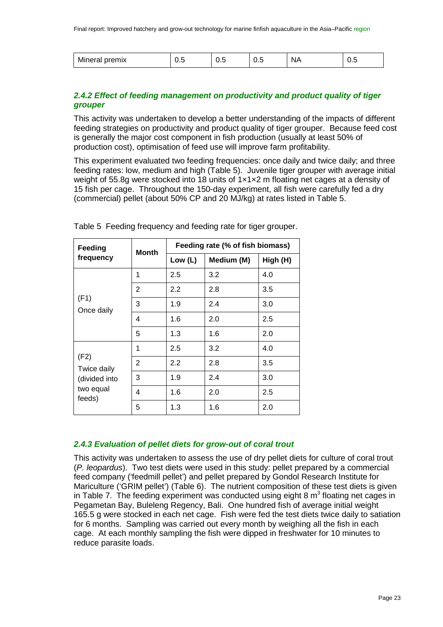| 'N/<br>шк<br>_<br>_<br>ັ<br>՝ | v.J | v.J | ∪.∪ | 'чн<br>. . | v.v |
|-------------------------------|-----|-----|-----|------------|-----|
|-------------------------------|-----|-----|-----|------------|-----|

## *2.4.2 Effect of feeding management on productivity and product quality of tiger grouper*

This activity was undertaken to develop a better understanding of the impacts of different feeding strategies on productivity and product quality of tiger grouper. Because feed cost is generally the major cost component in fish production (usually at least 50% of production cost), optimisation of feed use will improve farm profitability.

This experiment evaluated two feeding frequencies: once daily and twice daily; and three feeding rates: low, medium and high [\(Table 5\)](#page-22-0). Juvenile tiger grouper with average initial weight of 55.8g were stocked into 18 units of  $1 \times 1 \times 2$  m floating net cages at a density of 15 fish per cage. Throughout the 150-day experiment, all fish were carefully fed a dry (commercial) pellet (about 50% CP and 20 MJ/kg) at rates listed in [Table 5.](#page-22-0)

| Feeding             |                | Feeding rate (% of fish biomass)<br>Month |            |          |  |  |
|---------------------|----------------|-------------------------------------------|------------|----------|--|--|
| frequency           |                | Low $(L)$                                 | Medium (M) | High (H) |  |  |
|                     | 1              | 2.5                                       | 3.2        | 4.0      |  |  |
| (F1)<br>Once daily  | $\overline{2}$ | 2.2                                       | 2.8        | 3.5      |  |  |
|                     | 3              | 1.9                                       | 2.4        | 3.0      |  |  |
|                     | 4              | 1.6                                       | 2.0        | 2.5      |  |  |
|                     | 5              | 1.3                                       | 1.6        | 2.0      |  |  |
|                     | 1              | 2.5                                       | 3.2        | 4.0      |  |  |
| (F2)<br>Twice daily | 2              | 2.2                                       | 2.8        | 3.5      |  |  |
| (divided into       | 3              | 1.9                                       | 2.4        | 3.0      |  |  |
| two equal<br>feeds) | 4              | 1.6                                       | 2.0        | 2.5      |  |  |
|                     | 5              | 1.3                                       | 1.6        | 2.0      |  |  |

<span id="page-22-0"></span>Table 5 Feeding frequency and feeding rate for tiger grouper.

#### *2.4.3 Evaluation of pellet diets for grow-out of coral trout*

This activity was undertaken to assess the use of dry pellet diets for culture of coral trout (*P. leopardus*). Two test diets were used in this study: pellet prepared by a commercial feed company ('feedmill pellet') and pellet prepared by Gondol Research Institute for Mariculture ('GRIM pellet') [\(Table 6\)](#page-23-0). The nutrient composition of these test diets is given in [Table 7.](#page-23-1) The feeding experiment was conducted using eight 8  $m<sup>3</sup>$  floating net cages in Pegametan Bay, Buleleng Regency, Bali. One hundred fish of average initial weight 165.5 g were stocked in each net cage. Fish were fed the test diets twice daily to satiation for 6 months. Sampling was carried out every month by weighing all the fish in each cage. At each monthly sampling the fish were dipped in freshwater for 10 minutes to reduce parasite loads.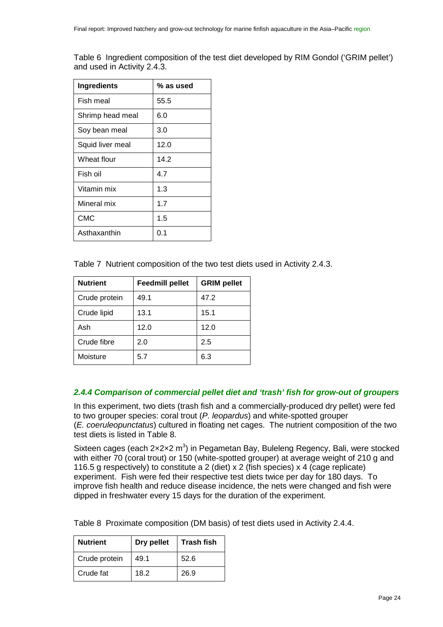<span id="page-23-0"></span>Table 6 Ingredient composition of the test diet developed by RIM Gondol ('GRIM pellet') and used in Activity 2.4.3.

| <b>Ingredients</b> | % as used |
|--------------------|-----------|
| Fish meal          | 55.5      |
| Shrimp head meal   | 6.0       |
| Soy bean meal      | 3.0       |
| Squid liver meal   | 12.0      |
| Wheat flour        | 14.2      |
| Fish oil           | 4.7       |
| Vitamin mix        | 1.3       |
| Mineral mix        | 1.7       |
| <b>CMC</b>         | 1.5       |
| Asthaxanthin       | 0.1       |

<span id="page-23-1"></span>Table 7 Nutrient composition of the two test diets used in Activity 2.4.3.

| <b>Nutrient</b> | <b>Feedmill pellet</b> | <b>GRIM pellet</b> |
|-----------------|------------------------|--------------------|
| Crude protein   | 49.1                   | 47.2               |
| Crude lipid     | 13.1                   | 15.1               |
| Ash             | 12.0                   | 12.0               |
| Crude fibre     | 2.0                    | 2.5                |
| Moisture        | 5.7                    | 6.3                |

#### *2.4.4 Comparison of commercial pellet diet and 'trash' fish for grow-out of groupers*

In this experiment, two diets (trash fish and a commercially-produced dry pellet) were fed to two grouper species: coral trout (*P. leopardus*) and white-spotted grouper (*E. coeruleopunctatus*) cultured in floating net cages. The nutrient composition of the two test diets is listed in [Table 8.](#page-23-2)

Sixteen cages (each  $2 \times 2 \times 2$  m<sup>3</sup>) in Pegametan Bay, Buleleng Regency, Bali, were stocked with either 70 (coral trout) or 150 (white-spotted grouper) at average weight of 210 g and 116.5 g respectively) to constitute a 2 (diet) x 2 (fish species) x 4 (cage replicate) experiment. Fish were fed their respective test diets twice per day for 180 days. To improve fish health and reduce disease incidence, the nets were changed and fish were dipped in freshwater every 15 days for the duration of the experiment.

<span id="page-23-2"></span>Table 8 Proximate composition (DM basis) of test diets used in Activity 2.4.4.

| <b>Nutrient</b> | Dry pellet | <b>Trash fish</b> |
|-----------------|------------|-------------------|
| Crude protein   | 49.1       | 52.6              |
| Crude fat       | 18.2       | 26.9              |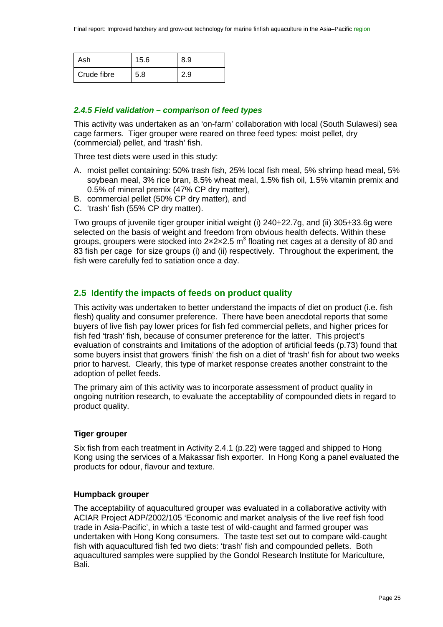| Ash         | 15.6 | 8.9 |
|-------------|------|-----|
| Crude fibre | 5.8  | 2.9 |

#### *2.4.5 Field validation – comparison of feed types*

This activity was undertaken as an 'on-farm' collaboration with local (South Sulawesi) sea cage farmers. Tiger grouper were reared on three feed types: moist pellet, dry (commercial) pellet, and 'trash' fish.

Three test diets were used in this study:

- A. moist pellet containing: 50% trash fish, 25% local fish meal, 5% shrimp head meal, 5% soybean meal, 3% rice bran, 8.5% wheat meal, 1.5% fish oil, 1.5% vitamin premix and 0.5% of mineral premix (47% CP dry matter),
- B. commercial pellet (50% CP dry matter), and
- C. 'trash' fish (55% CP dry matter).

Two groups of juvenile tiger grouper initial weight (i) 240±22.7g, and (ii) 305±33.6g were selected on the basis of weight and freedom from obvious health defects. Within these groups, groupers were stocked into 2x2x2.5  $m^3$  floating net cages at a density of 80 and 83 fish per cage for size groups (i) and (ii) respectively. Throughout the experiment, the fish were carefully fed to satiation once a day.

# <span id="page-24-0"></span>**2.5 Identify the impacts of feeds on product quality**

This activity was undertaken to better understand the impacts of diet on product (i.e. fish flesh) quality and consumer preference. There have been anecdotal reports that some buyers of live fish pay lower prices for fish fed commercial pellets, and higher prices for fish fed 'trash' fish, because of consumer preference for the latter. This project's evaluation of constraints and limitations of the adoption of artificial feeds (p[.73\)](#page-72-0) found that some buyers insist that growers 'finish' the fish on a diet of 'trash' fish for about two weeks prior to harvest. Clearly, this type of market response creates another constraint to the adoption of pellet feeds.

The primary aim of this activity was to incorporate assessment of product quality in ongoing nutrition research, to evaluate the acceptability of compounded diets in regard to product quality.

#### **Tiger grouper**

Six fish from each treatment in Activity 2.4.1 (p[.22\)](#page-21-1) were tagged and shipped to Hong Kong using the services of a Makassar fish exporter. In Hong Kong a panel evaluated the products for odour, flavour and texture.

#### **Humpback grouper**

The acceptability of aquacultured grouper was evaluated in a collaborative activity with ACIAR Project ADP/2002/105 'Economic and market analysis of the live reef fish food trade in Asia-Pacific', in which a taste test of wild-caught and farmed grouper was undertaken with Hong Kong consumers. The taste test set out to compare wild-caught fish with aquacultured fish fed two diets: 'trash' fish and compounded pellets. Both aquacultured samples were supplied by the Gondol Research Institute for Mariculture, Bali.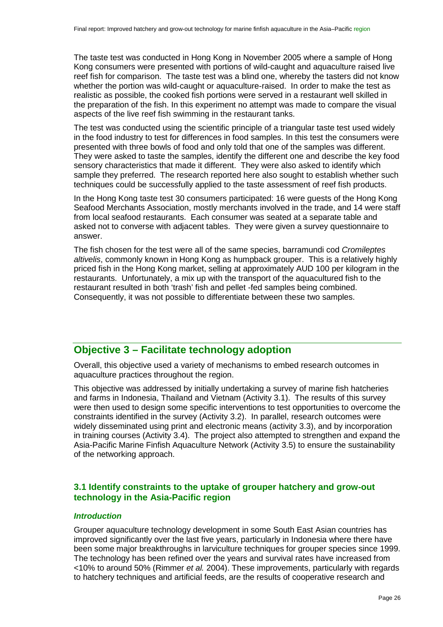The taste test was conducted in Hong Kong in November 2005 where a sample of Hong Kong consumers were presented with portions of wild-caught and aquaculture raised live reef fish for comparison. The taste test was a blind one, whereby the tasters did not know whether the portion was wild-caught or aquaculture-raised. In order to make the test as realistic as possible, the cooked fish portions were served in a restaurant well skilled in the preparation of the fish. In this experiment no attempt was made to compare the visual aspects of the live reef fish swimming in the restaurant tanks.

The test was conducted using the scientific principle of a triangular taste test used widely in the food industry to test for differences in food samples. In this test the consumers were presented with three bowls of food and only told that one of the samples was different. They were asked to taste the samples, identify the different one and describe the key food sensory characteristics that made it different. They were also asked to identify which sample they preferred. The research reported here also sought to establish whether such techniques could be successfully applied to the taste assessment of reef fish products.

In the Hong Kong taste test 30 consumers participated: 16 were guests of the Hong Kong Seafood Merchants Association, mostly merchants involved in the trade, and 14 were staff from local seafood restaurants. Each consumer was seated at a separate table and asked not to converse with adjacent tables. They were given a survey questionnaire to answer.

The fish chosen for the test were all of the same species, barramundi cod *Cromileptes altivelis*, commonly known in Hong Kong as humpback grouper. This is a relatively highly priced fish in the Hong Kong market, selling at approximately AUD 100 per kilogram in the restaurants. Unfortunately, a mix up with the transport of the aquacultured fish to the restaurant resulted in both 'trash' fish and pellet -fed samples being combined. Consequently, it was not possible to differentiate between these two samples.

# <span id="page-25-0"></span>**Objective 3 – Facilitate technology adoption**

Overall, this objective used a variety of mechanisms to embed research outcomes in aquaculture practices throughout the region.

This objective was addressed by initially undertaking a survey of marine fish hatcheries and farms in Indonesia, Thailand and Vietnam (Activity 3.1). The results of this survey were then used to design some specific interventions to test opportunities to overcome the constraints identified in the survey (Activity 3.2). In parallel, research outcomes were widely disseminated using print and electronic means (activity 3.3), and by incorporation in training courses (Activity 3.4). The project also attempted to strengthen and expand the Asia-Pacific Marine Finfish Aquaculture Network (Activity 3.5) to ensure the sustainability of the networking approach.

#### **3.1 Identify constraints to the uptake of grouper hatchery and grow-out technology in the Asia-Pacific region**

#### *Introduction*

Grouper aquaculture technology development in some South East Asian countries has improved significantly over the last five years, particularly in Indonesia where there have been some major breakthroughs in larviculture techniques for grouper species since 1999. The technology has been refined over the years and survival rates have increased from <10% to around 50% (Rimmer *et al.* 2004). These improvements, particularly with regards to hatchery techniques and artificial feeds, are the results of cooperative research and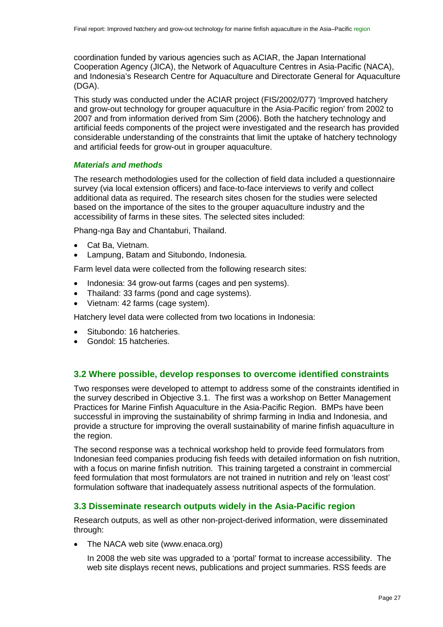coordination funded by various agencies such as ACIAR, the Japan International Cooperation Agency (JICA), the Network of Aquaculture Centres in Asia-Pacific (NACA), and Indonesia's Research Centre for Aquaculture and Directorate General for Aquaculture (DGA).

This study was conducted under the ACIAR project (FIS/2002/077) 'Improved hatchery and grow-out technology for grouper aquaculture in the Asia-Pacific region' from 2002 to 2007 and from information derived from Sim (2006). Both the hatchery technology and artificial feeds components of the project were investigated and the research has provided considerable understanding of the constraints that limit the uptake of hatchery technology and artificial feeds for grow-out in grouper aquaculture.

#### *Materials and methods*

The research methodologies used for the collection of field data included a questionnaire survey (via local extension officers) and face-to-face interviews to verify and collect additional data as required. The research sites chosen for the studies were selected based on the importance of the sites to the grouper aquaculture industry and the accessibility of farms in these sites. The selected sites included:

Phang-nga Bay and Chantaburi, Thailand.

- Cat Ba, Vietnam.
- Lampung, Batam and Situbondo, Indonesia.

Farm level data were collected from the following research sites:

- Indonesia: 34 grow-out farms (cages and pen systems).
- Thailand: 33 farms (pond and cage systems).
- Vietnam: 42 farms (cage system).

Hatchery level data were collected from two locations in Indonesia:

- Situbondo: 16 hatcheries.
- Gondol: 15 hatcheries.

#### **3.2 Where possible, develop responses to overcome identified constraints**

Two responses were developed to attempt to address some of the constraints identified in the survey described in Objective 3.1. The first was a workshop on Better Management Practices for Marine Finfish Aquaculture in the Asia-Pacific Region. BMPs have been successful in improving the sustainability of shrimp farming in India and Indonesia, and provide a structure for improving the overall sustainability of marine finfish aquaculture in the region.

The second response was a technical workshop held to provide feed formulators from Indonesian feed companies producing fish feeds with detailed information on fish nutrition, with a focus on marine finfish nutrition. This training targeted a constraint in commercial feed formulation that most formulators are not trained in nutrition and rely on 'least cost' formulation software that inadequately assess nutritional aspects of the formulation.

#### **3.3 Disseminate research outputs widely in the Asia-Pacific region**

Research outputs, as well as other non-project-derived information, were disseminated through:

• The NACA web site [\(www.enaca.org\)](http://www.enaca.org/)

In 2008 the web site was upgraded to a 'portal' format to increase accessibility. The web site displays recent news, publications and project summaries. RSS feeds are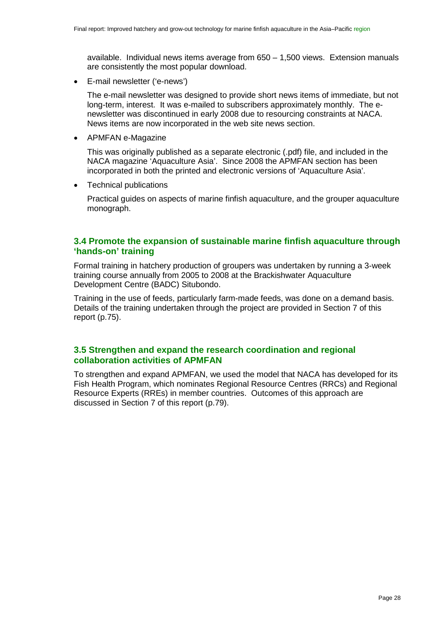available. Individual news items average from 650 – 1,500 views. Extension manuals are consistently the most popular download.

• E-mail newsletter ('e-news')

The e-mail newsletter was designed to provide short news items of immediate, but not long-term, interest. It was e-mailed to subscribers approximately monthly. The enewsletter was discontinued in early 2008 due to resourcing constraints at NACA. News items are now incorporated in the web site news section.

• APMFAN e-Magazine

This was originally published as a separate electronic (.pdf) file, and included in the NACA magazine 'Aquaculture Asia'. Since 2008 the APMFAN section has been incorporated in both the printed and electronic versions of 'Aquaculture Asia'.

• Technical publications

Practical guides on aspects of marine finfish aquaculture, and the grouper aquaculture monograph.

## **3.4 Promote the expansion of sustainable marine finfish aquaculture through 'hands-on' training**

Formal training in hatchery production of groupers was undertaken by running a 3-week training course annually from 2005 to 2008 at the Brackishwater Aquaculture Development Centre (BADC) Situbondo.

Training in the use of feeds, particularly farm-made feeds, was done on a demand basis. Details of the training undertaken through the project are provided in Section 7 of this report (p[.75\)](#page-74-0).

## **3.5 Strengthen and expand the research coordination and regional collaboration activities of APMFAN**

To strengthen and expand APMFAN, we used the model that NACA has developed for its Fish Health Program, which nominates Regional Resource Centres (RRCs) and Regional Resource Experts (RREs) in member countries. Outcomes of this approach are discussed in Section 7 of this report (p[.79\)](#page-78-0).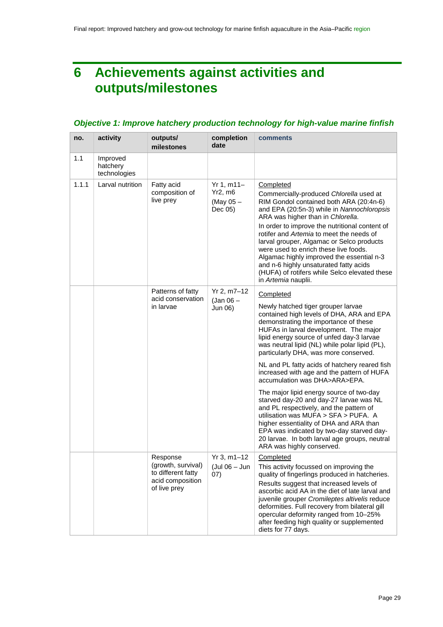# <span id="page-28-0"></span>**6 Achievements against activities and outputs/milestones**

## *Objective 1: Improve hatchery production technology for high-value marine finfish*

| no.   | activity                             | outputs/<br>milestones                                                                   | completion<br>date                                | comments                                                                                                                                                                                                                                                                                                                                                                                                                                                                                                                                                                                                                                                                                                                                                                                                |
|-------|--------------------------------------|------------------------------------------------------------------------------------------|---------------------------------------------------|---------------------------------------------------------------------------------------------------------------------------------------------------------------------------------------------------------------------------------------------------------------------------------------------------------------------------------------------------------------------------------------------------------------------------------------------------------------------------------------------------------------------------------------------------------------------------------------------------------------------------------------------------------------------------------------------------------------------------------------------------------------------------------------------------------|
| 1.1   | Improved<br>hatchery<br>technologies |                                                                                          |                                                   |                                                                                                                                                                                                                                                                                                                                                                                                                                                                                                                                                                                                                                                                                                                                                                                                         |
| 1.1.1 | Larval nutrition                     | Fatty acid<br>composition of<br>live prey                                                | $Yr 1, m11-$<br>Yr2, m6<br>(May $05 -$<br>Dec 05) | Completed<br>Commercially-produced Chlorella used at<br>RIM Gondol contained both ARA (20:4n-6)<br>and EPA (20:5n-3) while in Nannochloropsis<br>ARA was higher than in Chlorella.<br>In order to improve the nutritional content of<br>rotifer and Artemia to meet the needs of<br>larval grouper, Algamac or Selco products<br>were used to enrich these live foods.<br>Algamac highly improved the essential n-3<br>and n-6 highly unsaturated fatty acids<br>(HUFA) of rotifers while Selco elevated these<br>in Artemia nauplii.                                                                                                                                                                                                                                                                   |
|       |                                      | Patterns of fatty<br>acid conservation<br>in larvae                                      | Yr 2, m7-12<br>$($ Jan 06 $-$<br>Jun 06)          | Completed<br>Newly hatched tiger grouper larvae<br>contained high levels of DHA, ARA and EPA<br>demonstrating the importance of these<br>HUFAs in larval development. The major<br>lipid energy source of unfed day-3 larvae<br>was neutral lipid (NL) while polar lipid (PL),<br>particularly DHA, was more conserved.<br>NL and PL fatty acids of hatchery reared fish<br>increased with age and the pattern of HUFA<br>accumulation was DHA>ARA>EPA.<br>The major lipid energy source of two-day<br>starved day-20 and day-27 larvae was NL<br>and PL respectively, and the pattern of<br>utilisation was MUFA > SFA > PUFA. A<br>higher essentiality of DHA and ARA than<br>EPA was indicated by two-day starved day-<br>20 larvae. In both larval age groups, neutral<br>ARA was highly conserved. |
|       |                                      | Response<br>(growth, survival)<br>to different fatty<br>acid composition<br>of live prey | $Yr 3, m1-12$<br>(Jul 06 - Jun<br>(07)            | Completed<br>This activity focussed on improving the<br>quality of fingerlings produced in hatcheries.<br>Results suggest that increased levels of<br>ascorbic acid AA in the diet of late larval and<br>juvenile grouper Cromileptes altivelis reduce<br>deformities. Full recovery from bilateral gill<br>opercular deformity ranged from 10-25%<br>after feeding high quality or supplemented<br>diets for 77 days.                                                                                                                                                                                                                                                                                                                                                                                  |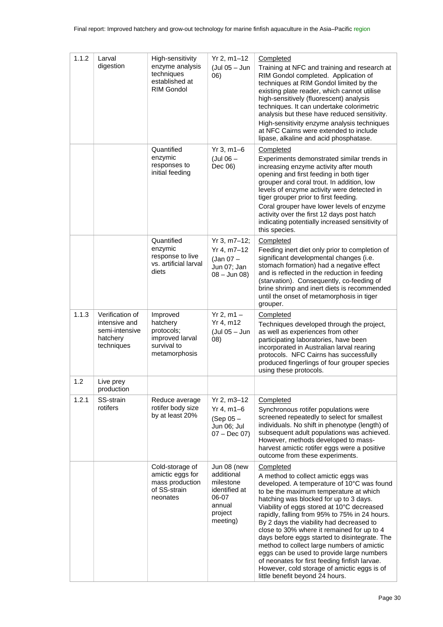| 1.1.2 | Larval<br>digestion                                                          | High-sensitivity<br>enzyme analysis<br>techniques<br>established at<br>RIM Gondol     | $Yr 2, m1-12$<br>(Jul 05 - Jun<br>(06)                                                            | Completed<br>Training at NFC and training and research at<br>RIM Gondol completed. Application of<br>techniques at RIM Gondol limited by the<br>existing plate reader, which cannot utilise<br>high-sensitively (fluorescent) analysis<br>techniques. It can undertake colorimetric<br>analysis but these have reduced sensitivity.<br>High-sensitivity enzyme analysis techniques<br>at NFC Cairns were extended to include<br>lipase, alkaline and acid phosphatase.                                                                                                                                                                                      |
|-------|------------------------------------------------------------------------------|---------------------------------------------------------------------------------------|---------------------------------------------------------------------------------------------------|-------------------------------------------------------------------------------------------------------------------------------------------------------------------------------------------------------------------------------------------------------------------------------------------------------------------------------------------------------------------------------------------------------------------------------------------------------------------------------------------------------------------------------------------------------------------------------------------------------------------------------------------------------------|
|       |                                                                              | Quantified<br>enzymic<br>responses to<br>initial feeding                              | $Yr 3, m1-6$<br>$($ Jul 06 $-$<br>Dec 06)                                                         | Completed<br>Experiments demonstrated similar trends in<br>increasing enzyme activity after mouth<br>opening and first feeding in both tiger<br>grouper and coral trout. In addition, low<br>levels of enzyme activity were detected in<br>tiger grouper prior to first feeding.<br>Coral grouper have lower levels of enzyme<br>activity over the first 12 days post hatch<br>indicating potentially increased sensitivity of<br>this species.                                                                                                                                                                                                             |
|       |                                                                              | Quantified<br>enzymic<br>response to live<br>vs. artificial larval<br>diets           | $Yr 3, m7-12;$<br>Yr 4, m7-12<br>(Jan 07 -<br>Jun 07; Jan<br>$08 -$ Jun $08$ )                    | Completed<br>Feeding inert diet only prior to completion of<br>significant developmental changes (i.e.<br>stomach formation) had a negative effect<br>and is reflected in the reduction in feeding<br>(starvation). Consequently, co-feeding of<br>brine shrimp and inert diets is recommended<br>until the onset of metamorphosis in tiger<br>grouper.                                                                                                                                                                                                                                                                                                     |
| 1.1.3 | Verification of<br>intensive and<br>semi-intensive<br>hatchery<br>techniques | Improved<br>hatchery<br>protocols;<br>improved larval<br>survival to<br>metamorphosis | $Yr 2, m1 -$<br>Yr 4, m12<br>(Jul 05 - Jun<br>(08)                                                | Completed<br>Techniques developed through the project,<br>as well as experiences from other<br>participating laboratories, have been<br>incorporated in Australian larval rearing<br>protocols. NFC Cairns has successfully<br>produced fingerlings of four grouper species<br>using these protocols.                                                                                                                                                                                                                                                                                                                                                       |
| 1.2   | Live prey<br>production                                                      |                                                                                       |                                                                                                   |                                                                                                                                                                                                                                                                                                                                                                                                                                                                                                                                                                                                                                                             |
| 1.2.1 | SS-strain<br>rotifers                                                        | Reduce average<br>rotifer body size<br>by at least 20%                                | $Yr 2, m3-12$<br>Yr 4, m1–6<br>$(Sep 05 -$<br>Jun 06; Jul<br>$07 - Dec 07$                        | Completed<br>Synchronous rotifer populations were<br>screened repeatedly to select for smallest<br>individuals. No shift in phenotype (length) of<br>subsequent adult populations was achieved.<br>However, methods developed to mass-<br>harvest amictic rotifer eggs were a positive<br>outcome from these experiments.                                                                                                                                                                                                                                                                                                                                   |
|       |                                                                              | Cold-storage of<br>amictic eggs for<br>mass production<br>of SS-strain<br>neonates    | Jun 08 (new<br>additional<br>milestone<br>identified at<br>06-07<br>annual<br>project<br>meeting) | Completed<br>A method to collect amictic eggs was<br>developed. A temperature of 10°C was found<br>to be the maximum temperature at which<br>hatching was blocked for up to 3 days.<br>Viability of eggs stored at 10°C decreased<br>rapidly, falling from 95% to 75% in 24 hours.<br>By 2 days the viability had decreased to<br>close to 30% where it remained for up to 4<br>days before eggs started to disintegrate. The<br>method to collect large numbers of amictic<br>eggs can be used to provide large numbers<br>of neonates for first feeding finfish larvae.<br>However, cold storage of amictic eggs is of<br>little benefit beyond 24 hours. |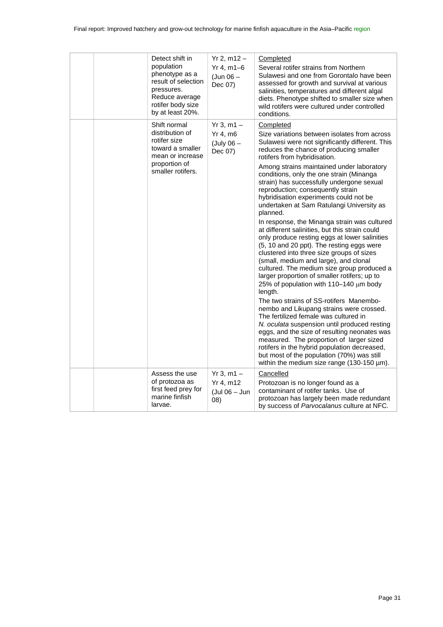| Detect shift in<br>population<br>phenotype as a<br>result of selection<br>pressures.<br>Reduce average<br>rotifer body size<br>by at least 20%. | $Yr 2, m12 -$<br>$Yr 4, m1-6$<br>$(Jun 06 -$<br>Dec 07)  | Completed<br>Several rotifer strains from Northern<br>Sulawesi and one from Gorontalo have been<br>assessed for growth and survival at various<br>salinities, temperatures and different algal<br>diets. Phenotype shifted to smaller size when<br>wild rotifers were cultured under controlled<br>conditions.                                                                                                                                                                                                                                                                                                                                                                                                                                                                                                                                                                                                                                                                                                                                                                                                                                                                                                                                                                                                                              |
|-------------------------------------------------------------------------------------------------------------------------------------------------|----------------------------------------------------------|---------------------------------------------------------------------------------------------------------------------------------------------------------------------------------------------------------------------------------------------------------------------------------------------------------------------------------------------------------------------------------------------------------------------------------------------------------------------------------------------------------------------------------------------------------------------------------------------------------------------------------------------------------------------------------------------------------------------------------------------------------------------------------------------------------------------------------------------------------------------------------------------------------------------------------------------------------------------------------------------------------------------------------------------------------------------------------------------------------------------------------------------------------------------------------------------------------------------------------------------------------------------------------------------------------------------------------------------|
| Shift normal<br>distribution of<br>rotifer size<br>toward a smaller<br>mean or increase<br>proportion of<br>smaller rotifers.                   | $Yr 3, m1 -$<br>$Yr$ 4, m $6$<br>$(July 06 -$<br>Dec 07) | Completed<br>Size variations between isolates from across<br>Sulawesi were not significantly different. This<br>reduces the chance of producing smaller<br>rotifers from hybridisation.<br>Among strains maintained under laboratory<br>conditions, only the one strain (Minanga<br>strain) has successfully undergone sexual<br>reproduction; consequently strain<br>hybridisation experiments could not be<br>undertaken at Sam Ratulangi University as<br>planned.<br>In response, the Minanga strain was cultured<br>at different salinities, but this strain could<br>only produce resting eggs at lower salinities<br>(5, 10 and 20 ppt). The resting eggs were<br>clustered into three size groups of sizes<br>(small, medium and large), and clonal<br>cultured. The medium size group produced a<br>larger proportion of smaller rotifers; up to<br>25% of population with 110-140 µm body<br>length.<br>The two strains of SS-rotifers Manembo-<br>nembo and Likupang strains were crossed.<br>The fertilized female was cultured in<br>N. oculata suspension until produced resting<br>eggs, and the size of resulting neonates was<br>measured. The proportion of larger sized<br>rotifers in the hybrid population decreased,<br>but most of the population (70%) was still<br>within the medium size range (130-150 $\mu$ m). |
| Assess the use<br>of protozoa as<br>first feed prey for<br>marine finfish<br>larvae.                                                            | $Yr 3, m1 -$<br>Yr 4, m12<br>(Jul 06 - Jun<br>(08)       | Cancelled<br>Protozoan is no longer found as a<br>contaminant of rotifer tanks. Use of<br>protozoan has largely been made redundant<br>by success of Parvocalanus culture at NFC.                                                                                                                                                                                                                                                                                                                                                                                                                                                                                                                                                                                                                                                                                                                                                                                                                                                                                                                                                                                                                                                                                                                                                           |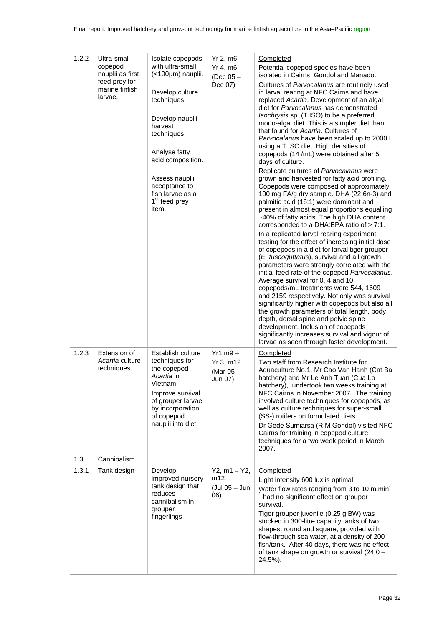| 1.2.2 | Ultra-small<br>copepod<br>nauplii as first<br>feed prey for<br>marine finfish<br>larvae. | Isolate copepods<br>with ultra-small<br>(<100µm) nauplii.<br>Develop culture<br>techniques.<br>Develop nauplii<br>harvest<br>techniques.<br>Analyse fatty<br>acid composition.<br>Assess nauplii<br>acceptance to<br>fish larvae as a<br>1 <sup>st</sup> feed prey<br>item. | $Yr 2, m6 -$<br>Yr 4, m6<br>(Dec 05 -<br>Dec 07)  | Completed<br>Potential copepod species have been<br>isolated in Cairns, Gondol and Manado<br>Cultures of Parvocalanus are routinely used<br>in larval rearing at NFC Cairns and have<br>replaced Acartia. Development of an algal<br>diet for Parvocalanus has demonstrated<br>Isochrysis sp. (T.ISO) to be a preferred<br>mono-algal diet. This is a simpler diet than<br>that found for Acartia. Cultures of<br>Parvocalanus have been scaled up to 2000 L<br>using a T.ISO diet. High densities of<br>copepods (14 /mL) were obtained after 5<br>days of culture.<br>Replicate cultures of Parvocalanus were<br>grown and harvested for fatty acid profiling.<br>Copepods were composed of approximately<br>100 mg FA/g dry sample. DHA (22:6n-3) and<br>palmitic acid (16:1) were dominant and<br>present in almost equal proportions equalling<br>~40% of fatty acids. The high DHA content<br>corresponded to a DHA:EPA ratio of > 7:1.<br>In a replicated larval rearing experiment<br>testing for the effect of increasing initial dose<br>of copepods in a diet for larval tiger grouper<br>(E. fuscoguttatus), survival and all growth<br>parameters were strongly correlated with the<br>initial feed rate of the copepod Parvocalanus.<br>Average survival for 0, 4 and 10<br>copepods/mL treatments were 544, 1609<br>and 2159 respectively. Not only was survival<br>significantly higher with copepods but also all<br>the growth parameters of total length, body<br>depth, dorsal spine and pelvic spine<br>development. Inclusion of copepods<br>significantly increases survival and vigour of<br>larvae as seen through faster development. |
|-------|------------------------------------------------------------------------------------------|-----------------------------------------------------------------------------------------------------------------------------------------------------------------------------------------------------------------------------------------------------------------------------|---------------------------------------------------|-----------------------------------------------------------------------------------------------------------------------------------------------------------------------------------------------------------------------------------------------------------------------------------------------------------------------------------------------------------------------------------------------------------------------------------------------------------------------------------------------------------------------------------------------------------------------------------------------------------------------------------------------------------------------------------------------------------------------------------------------------------------------------------------------------------------------------------------------------------------------------------------------------------------------------------------------------------------------------------------------------------------------------------------------------------------------------------------------------------------------------------------------------------------------------------------------------------------------------------------------------------------------------------------------------------------------------------------------------------------------------------------------------------------------------------------------------------------------------------------------------------------------------------------------------------------------------------------------------------------------------------------------------------------|
| 1.2.3 | Extension of<br>Acartia culture<br>techniques.                                           | Establish culture<br>techniques for<br>the copepod<br>Acartia in<br>Vietnam.<br>Improve survival<br>of grouper larvae<br>by incorporation<br>of copepod<br>nauplii into diet.                                                                                               | $Yr1$ m $9-$<br>Yr 3, m12<br>(Mar 05 -<br>Jun 07) | Completed<br>Two staff from Research Institute for<br>Aquaculture No.1, Mr Cao Van Hanh (Cat Ba<br>hatchery) and Mr Le Anh Tuan (Cua Lo<br>hatchery), undertook two weeks training at<br>NFC Cairns in November 2007. The training<br>involved culture techniques for copepods, as<br>well as culture techniques for super-small<br>(SS-) rotifers on formulated diets<br>Dr Gede Sumiarsa (RIM Gondol) visited NFC<br>Cairns for training in copepod culture<br>techniques for a two week period in March<br>2007.                                                                                                                                                                                                                                                                                                                                                                                                                                                                                                                                                                                                                                                                                                                                                                                                                                                                                                                                                                                                                                                                                                                                             |
| 1.3   | Cannibalism                                                                              |                                                                                                                                                                                                                                                                             |                                                   |                                                                                                                                                                                                                                                                                                                                                                                                                                                                                                                                                                                                                                                                                                                                                                                                                                                                                                                                                                                                                                                                                                                                                                                                                                                                                                                                                                                                                                                                                                                                                                                                                                                                 |
| 1.3.1 | Tank design                                                                              | Develop<br>improved nursery<br>tank design that<br>reduces<br>cannibalism in<br>grouper<br>fingerlings                                                                                                                                                                      | $Y2, m1 - Y2,$<br>m12<br>(Jul 05 - Jun<br>06)     | Completed<br>Light intensity 600 lux is optimal.<br>Water flow rates ranging from 3 to 10 m.min<br>had no significant effect on grouper<br>survival.<br>Tiger grouper juvenile (0.25 g BW) was<br>stocked in 300-litre capacity tanks of two<br>shapes: round and square, provided with<br>flow-through sea water, at a density of 200<br>fish/tank. After 40 days, there was no effect<br>of tank shape on growth or survival (24.0 -<br>24.5%).                                                                                                                                                                                                                                                                                                                                                                                                                                                                                                                                                                                                                                                                                                                                                                                                                                                                                                                                                                                                                                                                                                                                                                                                               |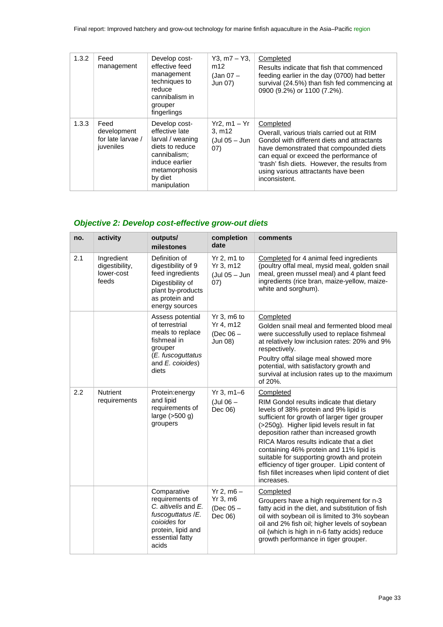| 1.3.2 | Feed<br>management                                    | Develop cost-<br>effective feed<br>management<br>techniques to<br>reduce<br>cannibalism in<br>grouper<br>fingerlings                                 | $Y3, m7 - Y3,$<br>m12<br>(Jan 07 –<br>Jun 07)        | Completed<br>Results indicate that fish that commenced<br>feeding earlier in the day (0700) had better<br>survival (24.5%) than fish fed commencing at<br>0900 (9.2%) or 1100 (7.2%).                                                                                                                |
|-------|-------------------------------------------------------|------------------------------------------------------------------------------------------------------------------------------------------------------|------------------------------------------------------|------------------------------------------------------------------------------------------------------------------------------------------------------------------------------------------------------------------------------------------------------------------------------------------------------|
| 1.3.3 | Feed<br>development<br>for late larvae /<br>juveniles | Develop cost-<br>effective late<br>larval / weaning<br>diets to reduce<br>cannibalism:<br>induce earlier<br>metamorphosis<br>by diet<br>manipulation | $Yr2$ , m1 – $Yr$<br>3, m12<br>(Jul 05 – Jun<br>(07) | Completed<br>Overall, various trials carried out at RIM<br>Gondol with different diets and attractants<br>have demonstrated that compounded diets<br>can equal or exceed the performance of<br>'trash' fish diets. However, the results from<br>using various attractants have been<br>inconsistent. |

# *Objective 2: Develop cost-effective grow-out diets*

| no. | activity                                            | outputs/<br>milestones                                                                                                                        | completion<br>date                                 | comments                                                                                                                                                                                                                                                                                                                                                                                                                                                                                        |
|-----|-----------------------------------------------------|-----------------------------------------------------------------------------------------------------------------------------------------------|----------------------------------------------------|-------------------------------------------------------------------------------------------------------------------------------------------------------------------------------------------------------------------------------------------------------------------------------------------------------------------------------------------------------------------------------------------------------------------------------------------------------------------------------------------------|
| 2.1 | Ingredient<br>digestibility,<br>lower-cost<br>feeds | Definition of<br>digestibility of 9<br>feed ingredients<br>Digestibility of<br>plant by-products<br>as protein and<br>energy sources          | Yr 2, m1 to<br>Yr 3, m12<br>(Jul 05 - Jun<br>07)   | Completed for 4 animal feed ingredients<br>(poultry offal meal, mysid meal, golden snail<br>meal, green mussel meal) and 4 plant feed<br>ingredients (rice bran, maize-yellow, maize-<br>white and sorghum).                                                                                                                                                                                                                                                                                    |
|     |                                                     | Assess potential<br>of terrestrial<br>meals to replace<br>fishmeal in<br>grouper<br>(E. fuscoguttatus<br>and E. coioides)<br>diets            | Yr 3, m6 to<br>Yr 4, m12<br>(Dec $06 -$<br>Jun 08) | Completed<br>Golden snail meal and fermented blood meal<br>were successfully used to replace fishmeal<br>at relatively low inclusion rates: 20% and 9%<br>respectively.<br>Poultry offal silage meal showed more<br>potential, with satisfactory growth and<br>survival at inclusion rates up to the maximum<br>of 20%.                                                                                                                                                                         |
| 2.2 | <b>Nutrient</b><br>requirements                     | Protein:energy<br>and lipid<br>requirements of<br>large $(>500 g)$<br>groupers                                                                | $Yr 3, m1-6$<br>$($ Jul 06 $-$<br>Dec 06)          | Completed<br>RIM Gondol results indicate that dietary<br>levels of 38% protein and 9% lipid is<br>sufficient for growth of larger tiger grouper<br>(>250g). Higher lipid levels result in fat<br>deposition rather than increased growth<br>RICA Maros results indicate that a diet<br>containing 46% protein and 11% lipid is<br>suitable for supporting growth and protein<br>efficiency of tiger grouper. Lipid content of<br>fish fillet increases when lipid content of diet<br>increases. |
|     |                                                     | Comparative<br>requirements of<br>C. altivelis and E.<br>fuscoguttatus / E.<br>cojoides for<br>protein, lipid and<br>essential fatty<br>acids | $Yr 2, m6 -$<br>Yr 3, m6<br>(Dec $05-$<br>Dec 06)  | Completed<br>Groupers have a high requirement for n-3<br>fatty acid in the diet, and substitution of fish<br>oil with soybean oil is limited to 3% soybean<br>oil and 2% fish oil; higher levels of soybean<br>oil (which is high in n-6 fatty acids) reduce<br>growth performance in tiger grouper.                                                                                                                                                                                            |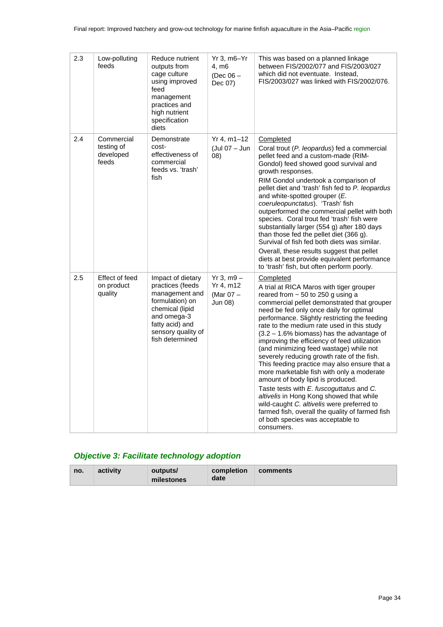| 2.3 | Low-polluting<br>feeds                         | Reduce nutrient<br>outputs from<br>cage culture<br>using improved<br>feed<br>management<br>practices and<br>high nutrient<br>specification<br>diets                      | $Yr$ 3, m $6-Yr$<br>4, m6<br>$(Dec 06 -$<br>Dec 07) | This was based on a planned linkage<br>between FIS/2002/077 and FIS/2003/027<br>which did not eventuate. Instead,<br>FIS/2003/027 was linked with FIS/2002/076.                                                                                                                                                                                                                                                                                                                                                                                                                                                                                                                                                                                                                                                                                                 |
|-----|------------------------------------------------|--------------------------------------------------------------------------------------------------------------------------------------------------------------------------|-----------------------------------------------------|-----------------------------------------------------------------------------------------------------------------------------------------------------------------------------------------------------------------------------------------------------------------------------------------------------------------------------------------------------------------------------------------------------------------------------------------------------------------------------------------------------------------------------------------------------------------------------------------------------------------------------------------------------------------------------------------------------------------------------------------------------------------------------------------------------------------------------------------------------------------|
| 2.4 | Commercial<br>testing of<br>developed<br>feeds | Demonstrate<br>cost-<br>effectiveness of<br>commercial<br>feeds vs. 'trash'<br>fish                                                                                      | $Yr 4, m1-12$<br>(Jul 07 - Jun<br>08)               | Completed<br>Coral trout (P. leopardus) fed a commercial<br>pellet feed and a custom-made (RIM-<br>Gondol) feed showed good survival and<br>growth responses.<br>RIM Gondol undertook a comparison of<br>pellet diet and 'trash' fish fed to P. leopardus<br>and white-spotted grouper (E.<br>coeruleopunctatus). 'Trash' fish<br>outperformed the commercial pellet with both<br>species. Coral trout fed 'trash' fish were<br>substantially larger (554 g) after 180 days<br>than those fed the pellet diet (366 g).<br>Survival of fish fed both diets was similar.<br>Overall, these results suggest that pellet<br>diets at best provide equivalent performance<br>to 'trash' fish, but often perform poorly.                                                                                                                                              |
| 2.5 | Effect of feed<br>on product<br>quality        | Impact of dietary<br>practices (feeds<br>management and<br>formulation) on<br>chemical (lipid<br>and omega-3<br>fatty acid) and<br>sensory quality of<br>fish determined | $Yr 3. m9 -$<br>Yr 4, m12<br>(Mar 07 -<br>Jun 08)   | Completed<br>A trial at RICA Maros with tiger grouper<br>reared from $\sim$ 50 to 250 g using a<br>commercial pellet demonstrated that grouper<br>need be fed only once daily for optimal<br>performance. Slightly restricting the feeding<br>rate to the medium rate used in this study<br>$(3.2 - 1.6\%$ biomass) has the advantage of<br>improving the efficiency of feed utilization<br>(and minimizing feed wastage) while not<br>severely reducing growth rate of the fish.<br>This feeding practice may also ensure that a<br>more marketable fish with only a moderate<br>amount of body lipid is produced.<br>Taste tests with E. fuscoguttatus and C.<br>altivelis in Hong Kong showed that while<br>wild-caught C. altivelis were preferred to<br>farmed fish, overall the quality of farmed fish<br>of both species was acceptable to<br>consumers. |

# *Objective 3: Facilitate technology adoption*

| activity<br>completion<br>outputs/<br>no.<br>date<br>milestones | comments |
|-----------------------------------------------------------------|----------|
|-----------------------------------------------------------------|----------|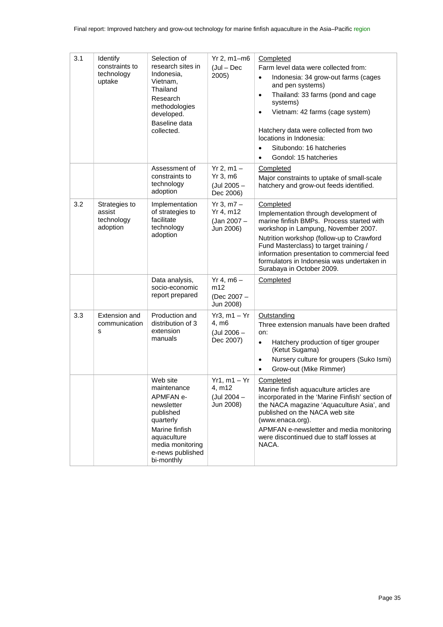| 3.1 | Identify<br>constraints to<br>technology<br>uptake | Selection of<br>research sites in<br>Indonesia,<br>Vietnam,<br>Thailand<br>Research<br>methodologies<br>developed.<br>Baseline data<br>collected.                          | $Yr 2$ , m1-m6<br>$($ Jul – Dec<br>2005)                           | Completed<br>Farm level data were collected from:<br>Indonesia: 34 grow-out farms (cages<br>$\bullet$<br>and pen systems)<br>Thailand: 33 farms (pond and cage<br>$\bullet$<br>systems)<br>Vietnam: 42 farms (cage system)<br>$\bullet$<br>Hatchery data were collected from two<br>locations in Indonesia:<br>Situbondo: 16 hatcheries<br>$\bullet$<br>Gondol: 15 hatcheries<br>$\bullet$ |
|-----|----------------------------------------------------|----------------------------------------------------------------------------------------------------------------------------------------------------------------------------|--------------------------------------------------------------------|--------------------------------------------------------------------------------------------------------------------------------------------------------------------------------------------------------------------------------------------------------------------------------------------------------------------------------------------------------------------------------------------|
|     |                                                    | Assessment of<br>constraints to<br>technology<br>adoption                                                                                                                  | $Yr 2, m1 -$<br>$Yr$ 3, m $6$<br>(Jul 2005 -<br>Dec 2006)          | Completed<br>Major constraints to uptake of small-scale<br>hatchery and grow-out feeds identified.                                                                                                                                                                                                                                                                                         |
| 3.2 | Strategies to<br>assist<br>technology<br>adoption  | Implementation<br>of strategies to<br>facilitate<br>technology<br>adoption                                                                                                 | $Yr 3, m7 -$<br>$Yr$ 4, m12<br>(Jan 2007 -<br>Jun 2006)            | Completed<br>Implementation through development of<br>marine finfish BMPs. Process started with<br>workshop in Lampung, November 2007.<br>Nutrition workshop (follow-up to Crawford<br>Fund Masterclass) to target training /<br>information presentation to commercial feed<br>formulators in Indonesia was undertaken in<br>Surabaya in October 2009.                                    |
|     |                                                    | Data analysis,<br>socio-economic<br>report prepared                                                                                                                        | $Yr 4, m6 -$<br>m12<br>(Dec 2007 -<br>Jun 2008)                    | Completed                                                                                                                                                                                                                                                                                                                                                                                  |
| 3.3 | Extension and<br>communication<br>s                | Production and<br>distribution of 3<br>extension<br>manuals                                                                                                                | $Yr3$ , m1 - $Yr$<br>4, m <sub>6</sub><br>(Jul 2006 -<br>Dec 2007) | Outstanding<br>Three extension manuals have been drafted<br>on:<br>Hatchery production of tiger grouper<br>$\bullet$<br>(Ketut Sugama)<br>Nursery culture for groupers (Suko Ismi)<br>$\bullet$<br>Grow-out (Mike Rimmer)                                                                                                                                                                  |
|     |                                                    | Web site<br>maintenance<br><b>APMFAN e-</b><br>newsletter<br>published<br>quarterly<br>Marine finfish<br>aquaculture<br>media monitoring<br>e-news published<br>bi-monthly | $Yr1, m1 - Yr$<br>4, m12<br>(Jul 2004 -<br>Jun 2008)               | Completed<br>Marine finfish aquaculture articles are<br>incorporated in the 'Marine Finfish' section of<br>the NACA magazine 'Aquaculture Asia', and<br>published on the NACA web site<br>(www.enaca.org).<br>APMFAN e-newsletter and media monitoring<br>were discontinued due to staff losses at<br>NACA.                                                                                |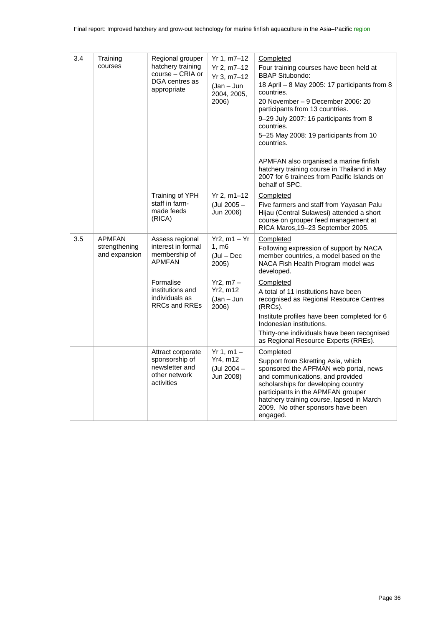| 3.4 | Training<br>courses                             | Regional grouper<br>hatchery training<br>course - CRIA or<br>DGA centres as<br>appropriate | Yr 1, m7–12<br>Yr 2, m7-12<br>Yr 3, m7-12<br>$(Jan - Jun)$<br>2004, 2005,<br>2006) | Completed<br>Four training courses have been held at<br><b>BBAP Situbondo:</b><br>18 April - 8 May 2005: 17 participants from 8<br>countries.<br>20 November – 9 December 2006: 20<br>participants from 13 countries.<br>9-29 July 2007: 16 participants from 8<br>countries.<br>5-25 May 2008: 19 participants from 10<br>countries.<br>APMFAN also organised a marine finfish<br>hatchery training course in Thailand in May<br>2007 for 6 trainees from Pacific Islands on<br>behalf of SPC. |
|-----|-------------------------------------------------|--------------------------------------------------------------------------------------------|------------------------------------------------------------------------------------|-------------------------------------------------------------------------------------------------------------------------------------------------------------------------------------------------------------------------------------------------------------------------------------------------------------------------------------------------------------------------------------------------------------------------------------------------------------------------------------------------|
|     |                                                 | Training of YPH<br>staff in farm-<br>made feeds<br>(RICA)                                  | Yr 2, m1-12<br>(Jul 2005 -<br>Jun 2006)                                            | Completed<br>Five farmers and staff from Yayasan Palu<br>Hijau (Central Sulawesi) attended a short<br>course on grouper feed management at<br>RICA Maros, 19-23 September 2005.                                                                                                                                                                                                                                                                                                                 |
| 3.5 | <b>APMFAN</b><br>strengthening<br>and expansion | Assess regional<br>interest in formal<br>membership of<br><b>APMFAN</b>                    | $Yr2, m1 - Yr$<br>1. m6<br>$($ Jul – Dec<br>2005)                                  | Completed<br>Following expression of support by NACA<br>member countries, a model based on the<br>NACA Fish Health Program model was<br>developed.                                                                                                                                                                                                                                                                                                                                              |
|     |                                                 | Formalise<br>institutions and<br>individuals as<br><b>RRCs and RREs</b>                    | $Yr2, m7 -$<br>Yr2, m12<br>$(Jan - Jun)$<br>2006)                                  | Completed<br>A total of 11 institutions have been<br>recognised as Regional Resource Centres<br>(RRCs).<br>Institute profiles have been completed for 6<br>Indonesian institutions.<br>Thirty-one individuals have been recognised<br>as Regional Resource Experts (RREs).                                                                                                                                                                                                                      |
|     |                                                 | Attract corporate<br>sponsorship of<br>newsletter and<br>other network<br>activities       | $Yr 1, m1 -$<br>Yr4, m12<br>(Jul 2004 -<br>Jun 2008)                               | Completed<br>Support from Skretting Asia, which<br>sponsored the APFMAN web portal, news<br>and communications, and provided<br>scholarships for developing country<br>participants in the APMFAN grouper<br>hatchery training course, lapsed in March<br>2009. No other sponsors have been<br>engaged.                                                                                                                                                                                         |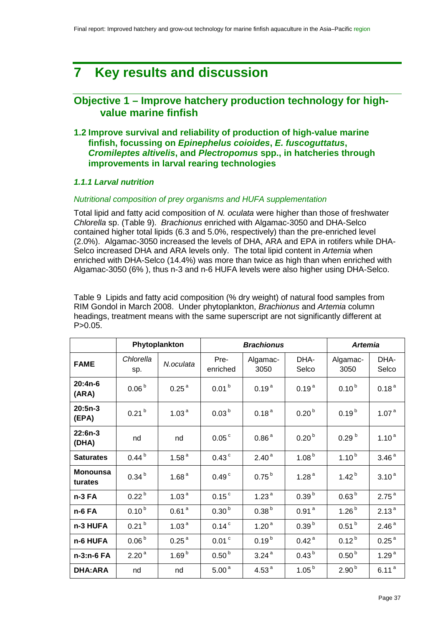# **7 Key results and discussion**

## **Objective 1 – Improve hatchery production technology for highvalue marine finfish**

**1.2 Improve survival and reliability of production of high-value marine finfish, focussing on** *Epinephelus coioides***,** *E. fuscoguttatus***,**  *Cromileptes altivelis***, and** *Plectropomus* **spp., in hatcheries through improvements in larval rearing technologies**

## *1.1.1 Larval nutrition*

#### *Nutritional composition of prey organisms and HUFA supplementation*

Total lipid and fatty acid composition of *N. oculata* were higher than those of freshwater *Chlorella* sp. [\(Table 9\)](#page-36-0). *Brachionus* enriched with Algamac-3050 and DHA-Selco contained higher total lipids (6.3 and 5.0%, respectively) than the pre-enriched level (2.0%). Algamac-3050 increased the levels of DHA, ARA and EPA in rotifers while DHA-Selco increased DHA and ARA levels only. The total lipid content in *Artemia* when enriched with DHA-Selco (14.4%) was more than twice as high than when enriched with Algamac-3050 (6% ), thus n-3 and n-6 HUFA levels were also higher using DHA-Selco.

<span id="page-36-0"></span>Table 9 Lipids and fatty acid composition (% dry weight) of natural food samples from RIM Gondol in March 2008. Under phytoplankton, *Brachionus* and *Artemia* column headings, treatment means with the same superscript are not significantly different at  $P > 0.05$ .

|                            |                   | <b>Brachionus</b><br>Phytoplankton |                     |                   |                   | <b>Artemia</b>    |                   |
|----------------------------|-------------------|------------------------------------|---------------------|-------------------|-------------------|-------------------|-------------------|
| <b>FAME</b>                | Chlorella<br>sp.  | N.oculata                          | Pre-<br>enriched    | Algamac-<br>3050  | DHA-<br>Selco     | Algamac-<br>3050  | DHA-<br>Selco     |
| $20:4n-6$<br>(ARA)         | 0.06 <sup>b</sup> | 0.25 <sup>a</sup>                  | 0.01 <sup>b</sup>   | 0.19 <sup>a</sup> | 0.19 <sup>a</sup> | $0.10^{b}$        | 0.18 <sup>a</sup> |
| $20:5n-3$<br>(EPA)         | 0.21 <sup>b</sup> | 1.03 <sup>a</sup>                  | 0.03 <sup>b</sup>   | 0.18 <sup>a</sup> | 0.20 <sup>b</sup> | $0.19^{b}$        | 1.07 <sup>a</sup> |
| 22:6n-3<br>(DHA)           | nd                | nd                                 | 0.05 <sup>c</sup>   | 0.86 <sup>a</sup> | 0.20 <sup>b</sup> | 0.29 <sup>b</sup> | 1.10 <sup>a</sup> |
| <b>Saturates</b>           | $0.44^{b}$        | 1.58 <sup>a</sup>                  | $0.43$ <sup>c</sup> | 2.40 <sup>a</sup> | 1.08 <sup>b</sup> | $1.10^{b}$        | 3.46 <sup>a</sup> |
| <b>Monounsa</b><br>turates | 0.34 <sup>b</sup> | 1.68 $a$                           | 0.49 <sup>c</sup>   | $0.75^{b}$        | 1.28 $a$          | $1.42^{b}$        | 3.10 <sup>a</sup> |
| n-3 FA                     | 0.22 <sup>b</sup> | 1.03 <sup>a</sup>                  | 0.15 <sup>c</sup>   | 1.23 $a$          | 0.39 <sup>b</sup> | 0.63 <sup>b</sup> | 2.75 <sup>a</sup> |
| n-6 FA                     | $0.10^{b}$        | 0.61 <sup>a</sup>                  | 0.30 <sup>b</sup>   | 0.38 <sup>b</sup> | 0.91 <sup>a</sup> | $1.26^{b}$        | 2.13 <sup>a</sup> |
| n-3 HUFA                   | 0.21 <sup>b</sup> | 1.03 <sup>a</sup>                  | $0.14$ <sup>c</sup> | 1.20 <sup>a</sup> | 0.39 <sup>b</sup> | $0.51^{b}$        | 2.46 <sup>a</sup> |
| n-6 HUFA                   | 0.06 <sup>b</sup> | 0.25 <sup>a</sup>                  | $0.01$ <sup>c</sup> | $0.19^{b}$        | 0.42 <sup>a</sup> | $0.12^{b}$        | 0.25 <sup>a</sup> |
| n-3:n-6 FA                 | 2.20 <sup>a</sup> | 1.69 <sup>b</sup>                  | 0.50 <sup>b</sup>   | 3.24 <sup>a</sup> | 0.43 <sup>b</sup> | 0.50 <sup>b</sup> | 1.29 <sup>a</sup> |
| <b>DHA:ARA</b>             | nd                | nd                                 | 5.00 <sup>a</sup>   | 4.53 $a$          | 1.05 <sup>b</sup> | 2.90 <sup>b</sup> | 6.11 <sup>a</sup> |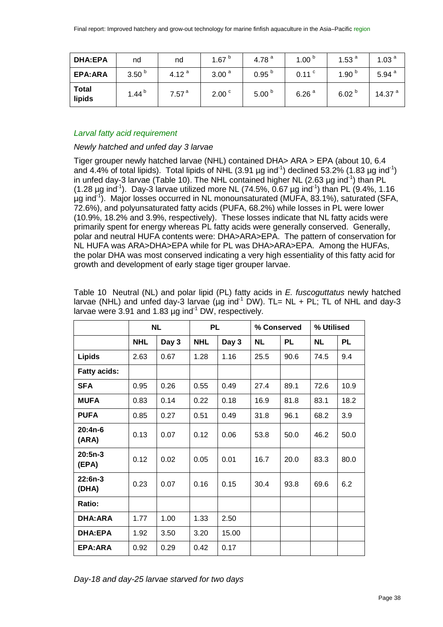| <b>DHA:EPA</b>         | nd                | nd                | 1.67 $b$          | 4.78 $^{a}$       | 1.00 $b$          | 1.53 $a$          | 1.03 $a$    |
|------------------------|-------------------|-------------------|-------------------|-------------------|-------------------|-------------------|-------------|
| EPA: ARA               | 3.50 <sup>b</sup> | 4.12 $a$          | 3.00 <sup>a</sup> | 0.95 <sup>b</sup> | $0.11$ $\degree$  | 1.90 $b$          | 5.94 $^{a}$ |
| <b>Total</b><br>lipids | 1.44 $^{\rm b}$   | 7.57 <sup>a</sup> | 2.00 <sup>c</sup> | 5.00 $b$          | 6.26 <sup>a</sup> | 6.02 <sup>b</sup> | 14.37 $a$   |

## *Larval fatty acid requirement*

## *Newly hatched and unfed day 3 larvae*

Tiger grouper newly hatched larvae (NHL) contained DHA> ARA > EPA (about 10, 6.4 and 4.4% of total lipids). Total lipids of NHL (3.91  $\mu$ g ind<sup>-1</sup>) declined 53.2% (1.83  $\mu$ g ind<sup>-1</sup>) in unfed day-3 larvae ([Table 10](#page-37-0)). The NHL contained higher NL (2.63  $\mu$ g ind<sup>-1</sup>) than PL  $(1.28 \,\mu g \, \text{ind}^{-1})$ . Day-3 larvae utilized more NL (74.5%, 0.67  $\mu g \, \text{ind}^{-1}$ ) than PL (9.4%, 1.16 µg ind<sup>-1</sup>). Major losses occurred in NL monounsaturated (MUFA, 83.1%), saturated (SFA, 72.6%), and polyunsaturated fatty acids (PUFA, 68.2%) while losses in PL were lower (10.9%, 18.2% and 3.9%, respectively). These losses indicate that NL fatty acids were primarily spent for energy whereas PL fatty acids were generally conserved. Generally, polar and neutral HUFA contents were: DHA>ARA>EPA. The pattern of conservation for NL HUFA was ARA>DHA>EPA while for PL was DHA>ARA>EPA. Among the HUFAs, the polar DHA was most conserved indicating a very high essentiality of this fatty acid for growth and development of early stage tiger grouper larvae.

|                     |            | <b>NL</b> | <b>PL</b>  |       | % Conserved |           | % Utilised |           |
|---------------------|------------|-----------|------------|-------|-------------|-----------|------------|-----------|
|                     | <b>NHL</b> | Day 3     | <b>NHL</b> | Day 3 | NL.         | <b>PL</b> | <b>NL</b>  | <b>PL</b> |
| <b>Lipids</b>       | 2.63       | 0.67      | 1.28       | 1.16  | 25.5        | 90.6      | 74.5       | 9.4       |
| <b>Fatty acids:</b> |            |           |            |       |             |           |            |           |
| <b>SFA</b>          | 0.95       | 0.26      | 0.55       | 0.49  | 27.4        | 89.1      | 72.6       | 10.9      |
| <b>MUFA</b>         | 0.83       | 0.14      | 0.22       | 0.18  | 16.9        | 81.8      | 83.1       | 18.2      |
| <b>PUFA</b>         | 0.85       | 0.27      | 0.51       | 0.49  | 31.8        | 96.1      | 68.2       | 3.9       |
| $20:4n-6$<br>(ARA)  | 0.13       | 0.07      | 0.12       | 0.06  | 53.8        | 50.0      | 46.2       | 50.0      |
| $20:5n-3$<br>(EPA)  | 0.12       | 0.02      | 0.05       | 0.01  | 16.7        | 20.0      | 83.3       | 80.0      |
| $22:6n-3$<br>(DHA)  | 0.23       | 0.07      | 0.16       | 0.15  | 30.4        | 93.8      | 69.6       | 6.2       |
| Ratio:              |            |           |            |       |             |           |            |           |
| <b>DHA:ARA</b>      | 1.77       | 1.00      | 1.33       | 2.50  |             |           |            |           |
| <b>DHA:EPA</b>      | 1.92       | 3.50      | 3.20       | 15.00 |             |           |            |           |
| EPA:ARA             | 0.92       | 0.29      | 0.42       | 0.17  |             |           |            |           |

<span id="page-37-0"></span>Table 10 Neutral (NL) and polar lipid (PL) fatty acids in *E. fuscoguttatus* newly hatched larvae (NHL) and unfed day-3 larvae ( $\mu$ g ind<sup>-1</sup> DW). TL= NL + PL; TL of NHL and day-3 larvae were 3.91 and 1.83  $\mu$ g ind<sup>-1</sup> DW, respectively.

*Day-18 and day-25 larvae starved for two days*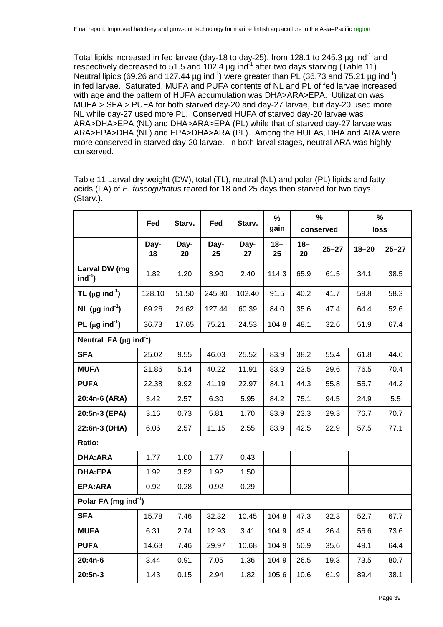Total lipids increased in fed larvae (day-18 to day-25), from 128.1 to 245.3  $\mu$ g ind<sup>-1</sup> and respectively decreased to 51.5 and 102.4 µg ind<sup>-1</sup> after two days starving [\(Table 11\)](#page-38-0). Neutral lipids (69.26 and 127.44  $\mu$ g ind<sup>-1</sup>) were greater than PL (36.73 and 75.21  $\mu$ g ind<sup>-1</sup>) in fed larvae. Saturated, MUFA and PUFA contents of NL and PL of fed larvae increased with age and the pattern of HUFA accumulation was DHA>ARA>EPA. Utilization was MUFA > SFA > PUFA for both starved day-20 and day-27 larvae, but day-20 used more NL while day-27 used more PL. Conserved HUFA of starved day-20 larvae was ARA>DHA>EPA (NL) and DHA>ARA>EPA (PL) while that of starved day-27 larvae was ARA>EPA>DHA (NL) and EPA>DHA>ARA (PL). Among the HUFAs, DHA and ARA were more conserved in starved day-20 larvae. In both larval stages, neutral ARA was highly conserved.

|                                          | Fed        | Starv.     | Fed        | Starv.     | %            |              | $\frac{9}{6}$ |           | $\frac{9}{6}$ |
|------------------------------------------|------------|------------|------------|------------|--------------|--------------|---------------|-----------|---------------|
|                                          |            |            |            |            | gain         |              | conserved     | loss      |               |
|                                          | Day-<br>18 | Day-<br>20 | Day-<br>25 | Day-<br>27 | $18 -$<br>25 | $18 -$<br>20 | $25 - 27$     | $18 - 20$ | $25 - 27$     |
| Larval DW (mg<br>$ind-1$                 | 1.82       | 1.20       | 3.90       | 2.40       | 114.3        | 65.9         | 61.5          | 34.1      | 38.5          |
| TL ( $\mu$ g ind <sup>-1</sup> )         | 128.10     | 51.50      | 245.30     | 102.40     | 91.5         | 40.2         | 41.7          | 59.8      | 58.3          |
| NL ( $\mu$ g ind <sup>-1</sup> )         | 69.26      | 24.62      | 127.44     | 60.39      | 84.0         | 35.6         | 47.4          | 64.4      | 52.6          |
| PL ( $\mu$ g ind <sup>-1</sup> )         | 36.73      | 17.65      | 75.21      | 24.53      | 104.8        | 48.1         | 32.6          | 51.9      | 67.4          |
| Neutral FA ( $\mu$ g ind <sup>-1</sup> ) |            |            |            |            |              |              |               |           |               |
| <b>SFA</b>                               | 25.02      | 9.55       | 46.03      | 25.52      | 83.9         | 38.2         | 55.4          | 61.8      | 44.6          |
| <b>MUFA</b>                              | 21.86      | 5.14       | 40.22      | 11.91      | 83.9         | 23.5         | 29.6          | 76.5      | 70.4          |
| <b>PUFA</b>                              | 22.38      | 9.92       | 41.19      | 22.97      | 84.1         | 44.3         | 55.8          | 55.7      | 44.2          |
| 20:4n-6 (ARA)                            | 3.42       | 2.57       | 6.30       | 5.95       | 84.2         | 75.1         | 94.5          | 24.9      | 5.5           |
| 20:5n-3 (EPA)                            | 3.16       | 0.73       | 5.81       | 1.70       | 83.9         | 23.3         | 29.3          | 76.7      | 70.7          |
| 22:6n-3 (DHA)                            | 6.06       | 2.57       | 11.15      | 2.55       | 83.9         | 42.5         | 22.9          | 57.5      | 77.1          |
| Ratio:                                   |            |            |            |            |              |              |               |           |               |
| <b>DHA:ARA</b>                           | 1.77       | 1.00       | 1.77       | 0.43       |              |              |               |           |               |
| <b>DHA:EPA</b>                           | 1.92       | 3.52       | 1.92       | 1.50       |              |              |               |           |               |
| EPA:ARA                                  | 0.92       | 0.28       | 0.92       | 0.29       |              |              |               |           |               |
| Polar FA (mg ind <sup>-1</sup> )         |            |            |            |            |              |              |               |           |               |
| <b>SFA</b>                               | 15.78      | 7.46       | 32.32      | 10.45      | 104.8        | 47.3         | 32.3          | 52.7      | 67.7          |
| <b>MUFA</b>                              | 6.31       | 2.74       | 12.93      | 3.41       | 104.9        | 43.4         | 26.4          | 56.6      | 73.6          |
| <b>PUFA</b>                              | 14.63      | 7.46       | 29.97      | 10.68      | 104.9        | 50.9         | 35.6          | 49.1      | 64.4          |
| $20:4n-6$                                | 3.44       | 0.91       | 7.05       | 1.36       | 104.9        | 26.5         | 19.3          | 73.5      | 80.7          |
| $20:5n-3$                                | 1.43       | 0.15       | 2.94       | 1.82       | 105.6        | 10.6         | 61.9          | 89.4      | 38.1          |

<span id="page-38-0"></span>Table 11 Larval dry weight (DW), total (TL), neutral (NL) and polar (PL) lipids and fatty acids (FA) of *E. fuscoguttatus* reared for 18 and 25 days then starved for two days (Starv.).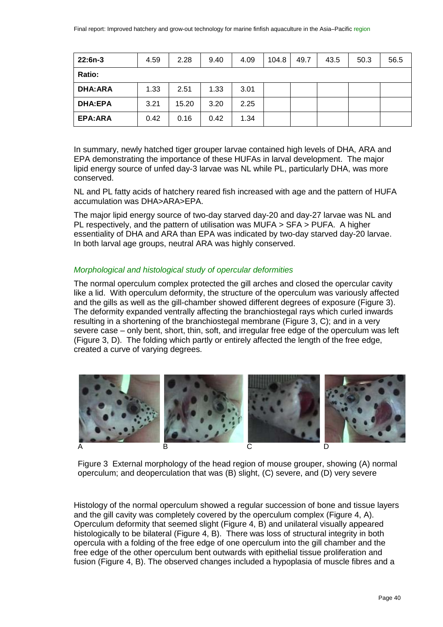| $22:6n-3$      | 4.59 | 2.28  | 9.40 | 4.09 | 104.8 | 49.7 | 43.5 | 50.3 | 56.5 |
|----------------|------|-------|------|------|-------|------|------|------|------|
| Ratio:         |      |       |      |      |       |      |      |      |      |
| <b>DHA:ARA</b> | 1.33 | 2.51  | 1.33 | 3.01 |       |      |      |      |      |
| <b>DHA:EPA</b> | 3.21 | 15.20 | 3.20 | 2.25 |       |      |      |      |      |
| EPA:ARA        | 0.42 | 0.16  | 0.42 | 1.34 |       |      |      |      |      |

In summary, newly hatched tiger grouper larvae contained high levels of DHA, ARA and EPA demonstrating the importance of these HUFAs in larval development. The major lipid energy source of unfed day-3 larvae was NL while PL, particularly DHA, was more conserved.

NL and PL fatty acids of hatchery reared fish increased with age and the pattern of HUFA accumulation was DHA>ARA>EPA.

The major lipid energy source of two-day starved day-20 and day-27 larvae was NL and PL respectively, and the pattern of utilisation was MUFA > SFA > PUFA. A higher essentiality of DHA and ARA than EPA was indicated by two-day starved day-20 larvae. In both larval age groups, neutral ARA was highly conserved.

## *Morphological and histological study of opercular deformities*

The normal operculum complex protected the gill arches and closed the opercular cavity like a lid. With operculum deformity, the structure of the operculum was variously affected and the gills as well as the gill-chamber showed different degrees of exposure [\(Figure 3\)](#page-39-0). The deformity expanded ventrally affecting the branchiostegal rays which curled inwards resulting in a shortening of the branchiostegal membrane [\(Figure 3,](#page-39-0) C); and in a very severe case – only bent, short, thin, soft, and irregular free edge of the operculum was left [\(Figure 3,](#page-39-0) D). The folding which partly or entirely affected the length of the free edge, created a curve of varying degrees.



<span id="page-39-0"></span>Figure 3 External morphology of the head region of mouse grouper, showing (A) normal operculum; and deoperculation that was (B) slight, (C) severe, and (D) very severe

Histology of the normal operculum showed a regular succession of bone and tissue layers and the gill cavity was completely covered by the operculum complex [\(Figure 4,](#page-40-0) A). Operculum deformity that seemed slight [\(Figure 4,](#page-40-0) B) and unilateral visually appeared histologically to be bilateral [\(Figure 4,](#page-40-0) B). There was loss of structural integrity in both opercula with a folding of the free edge of one operculum into the gill chamber and the free edge of the other operculum bent outwards with epithelial tissue proliferation and fusion [\(Figure 4,](#page-40-0) B). The observed changes included a hypoplasia of muscle fibres and a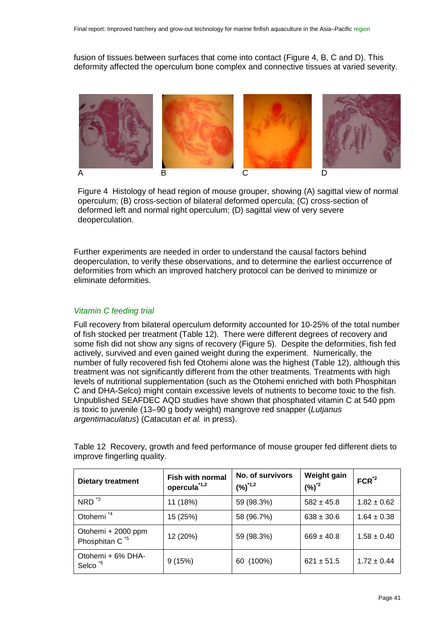fusion of tissues between surfaces that come into contact [\(Figure 4,](#page-40-0) B, C and D). This deformity affected the operculum bone complex and connective tissues at varied severity.



<span id="page-40-0"></span>Figure 4 Histology of head region of mouse grouper, showing (A) sagittal view of normal operculum; (B) cross-section of bilateral deformed opercula; (C) cross-section of deformed left and normal right operculum; (D) sagittal view of very severe deoperculation.

Further experiments are needed in order to understand the causal factors behind deoperculation, to verify these observations, and to determine the earliest occurrence of deformities from which an improved hatchery protocol can be derived to minimize or eliminate deformities.

## *Vitamin C feeding trial*

Full recovery from bilateral operculum deformity accounted for 10-25% of the total number of fish stocked per treatment [\(Table 12\)](#page-40-1). There were different degrees of recovery and some fish did not show any signs of recovery [\(Figure 5\)](#page-41-0). Despite the deformities, fish fed actively, survived and even gained weight during the experiment. Numerically, the number of fully recovered fish fed Otohemi alone was the highest [\(Table 12\)](#page-40-1), although this treatment was not significantly different from the other treatments. Treatments with high levels of nutritional supplementation (such as the Otohemi enriched with both Phosphitan C and DHA-Selco) might contain excessive levels of nutrients to become toxic to the fish. Unpublished SEAFDEC AQD studies have shown that phosphated vitamin C at 540 ppm is toxic to juvenile (13–90 g body weight) mangrove red snapper (*Lutjanus argentimaculatus*) (Catacutan *et al.* in press).

| <b>Dietary treatment</b>                         | <b>Fish with normal</b><br>opercula <sup>*1,2</sup> | No. of survivors<br>$(%)^{1,2}$ | Weight gain<br>$(\%)^2$ | $FCR^2$         |
|--------------------------------------------------|-----------------------------------------------------|---------------------------------|-------------------------|-----------------|
| $NRD$ <sup>*3</sup>                              | 11 (18%)                                            | 59 (98.3%)                      | $582 \pm 45.8$          | $1.82 \pm 0.62$ |
| Otohemi <sup>*4</sup>                            | 15 (25%)                                            | 58 (96.7%)                      | $638 \pm 30.6$          | $1.64 \pm 0.38$ |
| Otohemi + 2000 ppm<br>Phosphitan C <sup>*5</sup> | 12 (20%)                                            | 59 (98.3%)                      | $669 \pm 40.8$          | $1.58 \pm 0.40$ |
| Otohemi + 6% DHA-<br>Selco <sup>*6</sup>         | 9(15%)                                              | 60 (100%)                       | $621 \pm 51.5$          | $1.72 \pm 0.44$ |

<span id="page-40-1"></span>Table 12 Recovery, growth and feed performance of mouse grouper fed different diets to improve fingerling quality.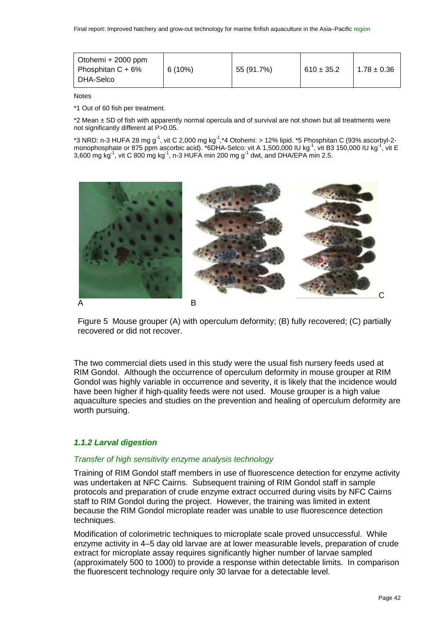| Otohemi + 2000 ppm<br>Phosphitan $C + 6%$<br>DHA-Selco | 6(10%) | 55 (91.7%) | $610 \pm 35.2$ | $1.78 \pm 0.36$ |
|--------------------------------------------------------|--------|------------|----------------|-----------------|
|--------------------------------------------------------|--------|------------|----------------|-----------------|

Notes

\*1 Out of 60 fish per treatment.

\*2 Mean ± SD of fish with apparently normal opercula and of survival are not shown but all treatments were not significantly different at P>0.05.

\*3 NRD: n-3 HUFA 28 mg g<sup>-1</sup>, vit C 2,000 mg kg<sup>-1</sup>,\*4 Otohemi: > 12% lipid. \*5 Phosphitan C (93% ascorbyl-2monophosphate or 875 ppm ascorbic acid). \*6DHA-Selco: vit A 1,500,000 IU kg<sup>-1</sup>, vit B3 150,000 IU kg<sup>-1</sup>, vit E 3,600 mg kg $^1$ , vit C 800 mg kg $^1$ , n-3 HUFA min 200 mg g $^1$  dwt, and DHA/EPA min 2.5.



<span id="page-41-0"></span>Figure 5 Mouse grouper (A) with operculum deformity; (B) fully recovered; (C) partially recovered or did not recover.

The two commercial diets used in this study were the usual fish nursery feeds used at RIM Gondol. Although the occurrence of operculum deformity in mouse grouper at RIM Gondol was highly variable in occurrence and severity, it is likely that the incidence would have been higher if high-quality feeds were not used. Mouse grouper is a high value aquaculture species and studies on the prevention and healing of operculum deformity are worth pursuing.

## *1.1.2 Larval digestion*

#### *Transfer of high sensitivity enzyme analysis technology*

Training of RIM Gondol staff members in use of fluorescence detection for enzyme activity was undertaken at NFC Cairns. Subsequent training of RIM Gondol staff in sample protocols and preparation of crude enzyme extract occurred during visits by NFC Cairns staff to RIM Gondol during the project. However, the training was limited in extent because the RIM Gondol microplate reader was unable to use fluorescence detection techniques.

Modification of colorimetric techniques to microplate scale proved unsuccessful. While enzyme activity in 4–5 day old larvae are at lower measurable levels, preparation of crude extract for microplate assay requires significantly higher number of larvae sampled (approximately 500 to 1000) to provide a response within detectable limits. In comparison the fluorescent technology require only 30 larvae for a detectable level.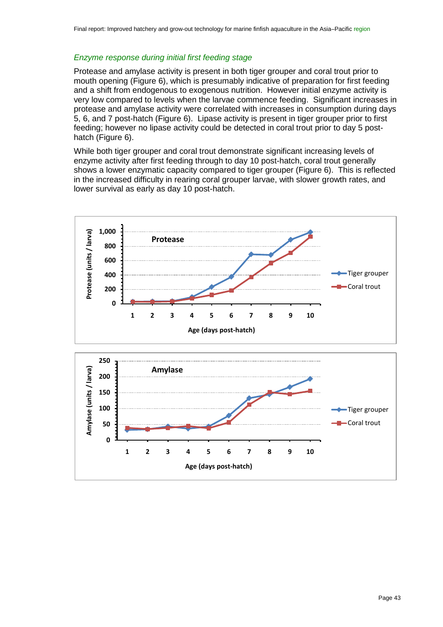#### *Enzyme response during initial first feeding stage*

Protease and amylase activity is present in both tiger grouper and coral trout prior to mouth opening [\(Figure 6\)](#page-43-0), which is presumably indicative of preparation for first feeding and a shift from endogenous to exogenous nutrition. However initial enzyme activity is very low compared to levels when the larvae commence feeding. Significant increases in protease and amylase activity were correlated with increases in consumption during days 5, 6, and 7 post-hatch [\(Figure 6\)](#page-43-0). Lipase activity is present in tiger grouper prior to first feeding; however no lipase activity could be detected in coral trout prior to day 5 posthatch [\(Figure 6\)](#page-43-0).

While both tiger grouper and coral trout demonstrate significant increasing levels of enzyme activity after first feeding through to day 10 post-hatch, coral trout generally shows a lower enzymatic capacity compared to tiger grouper [\(Figure 6\)](#page-43-0). This is reflected in the increased difficulty in rearing coral grouper larvae, with slower growth rates, and lower survival as early as day 10 post-hatch.

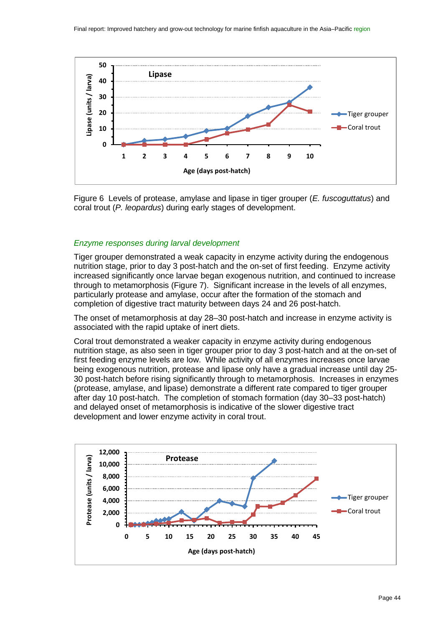

<span id="page-43-0"></span>Figure 6 Levels of protease, amylase and lipase in tiger grouper (*E. fuscoguttatus*) and coral trout (*P. leopardus*) during early stages of development.

#### *Enzyme responses during larval development*

Tiger grouper demonstrated a weak capacity in enzyme activity during the endogenous nutrition stage, prior to day 3 post-hatch and the on-set of first feeding. Enzyme activity increased significantly once larvae began exogenous nutrition, and continued to increase through to metamorphosis [\(Figure 7\)](#page-44-0). Significant increase in the levels of all enzymes, particularly protease and amylase, occur after the formation of the stomach and completion of digestive tract maturity between days 24 and 26 post-hatch.

The onset of metamorphosis at day 28–30 post-hatch and increase in enzyme activity is associated with the rapid uptake of inert diets.

Coral trout demonstrated a weaker capacity in enzyme activity during endogenous nutrition stage, as also seen in tiger grouper prior to day 3 post-hatch and at the on-set of first feeding enzyme levels are low. While activity of all enzymes increases once larvae being exogenous nutrition, protease and lipase only have a gradual increase until day 25- 30 post-hatch before rising significantly through to metamorphosis. Increases in enzymes (protease, amylase, and lipase) demonstrate a different rate compared to tiger grouper after day 10 post-hatch. The completion of stomach formation (day 30–33 post-hatch) and delayed onset of metamorphosis is indicative of the slower digestive tract development and lower enzyme activity in coral trout.

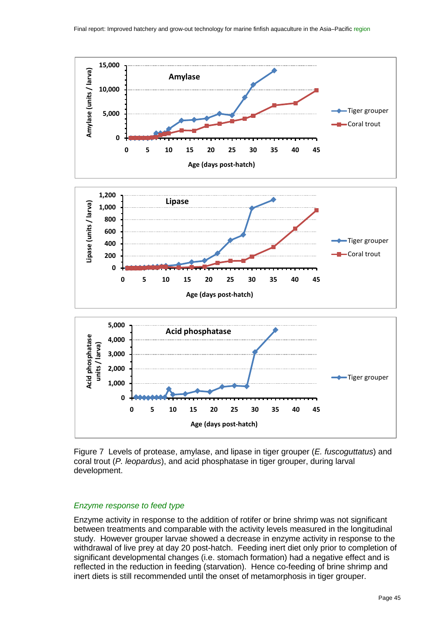

<span id="page-44-0"></span>Figure 7 Levels of protease, amylase, and lipase in tiger grouper (*E. fuscoguttatus*) and coral trout (*P. leopardus*), and acid phosphatase in tiger grouper, during larval development.

#### *Enzyme response to feed type*

Enzyme activity in response to the addition of rotifer or brine shrimp was not significant between treatments and comparable with the activity levels measured in the longitudinal study. However grouper larvae showed a decrease in enzyme activity in response to the withdrawal of live prey at day 20 post-hatch. Feeding inert diet only prior to completion of significant developmental changes (i.e. stomach formation) had a negative effect and is reflected in the reduction in feeding (starvation). Hence co-feeding of brine shrimp and inert diets is still recommended until the onset of metamorphosis in tiger grouper.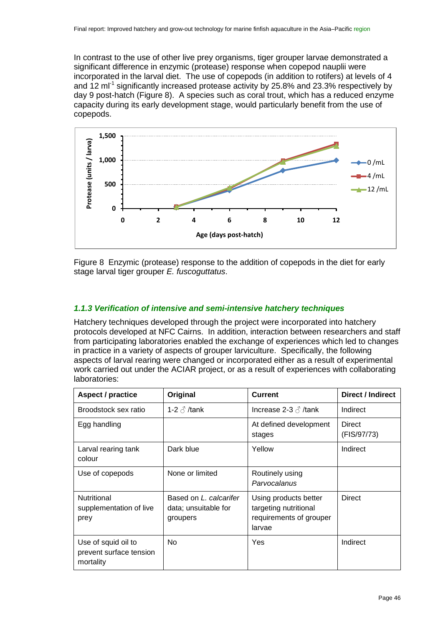In contrast to the use of other live prey organisms, tiger grouper larvae demonstrated a significant difference in enzymic (protease) response when copepod nauplii were incorporated in the larval diet. The use of copepods (in addition to rotifers) at levels of 4 and 12 ml<sup>-1</sup> significantly increased protease activity by 25.8% and 23.3% respectively by day 9 post-hatch ([Figure 8](#page-45-0)). A species such as coral trout, which has a reduced enzyme capacity during its early development stage, would particularly benefit from the use of copepods.



<span id="page-45-0"></span>Figure 8 Enzymic (protease) response to the addition of copepods in the diet for early stage larval tiger grouper *E. fuscoguttatus*.

## *1.1.3 Verification of intensive and semi-intensive hatchery techniques*

Hatchery techniques developed through the project were incorporated into hatchery protocols developed at NFC Cairns. In addition, interaction between researchers and staff from participating laboratories enabled the exchange of experiences which led to changes in practice in a variety of aspects of grouper larviculture. Specifically, the following aspects of larval rearing were changed or incorporated either as a result of experimental work carried out under the ACIAR project, or as a result of experiences with collaborating laboratories:

| <b>Aspect / practice</b>                                    | Original                                                   | <b>Current</b>                                                                      | Direct / Indirect     |
|-------------------------------------------------------------|------------------------------------------------------------|-------------------------------------------------------------------------------------|-----------------------|
| Broodstock sex ratio                                        | 1-2 $\delta$ /tank                                         | Increase 2-3 $\beta$ /tank                                                          | Indirect              |
| Egg handling                                                |                                                            | At defined development<br>stages                                                    | Direct<br>(FIS/97/73) |
| Larval rearing tank<br>colour                               | Dark blue                                                  | Yellow                                                                              | Indirect              |
| Use of copepods                                             | None or limited                                            | Routinely using<br>Parvocalanus                                                     |                       |
| Nutritional<br>supplementation of live<br>prey              | Based on L. calcarifer<br>data; unsuitable for<br>groupers | Using products better<br>targeting nutritional<br>requirements of grouper<br>larvae | <b>Direct</b>         |
| Use of squid oil to<br>prevent surface tension<br>mortality | <b>No</b>                                                  | Yes                                                                                 | Indirect              |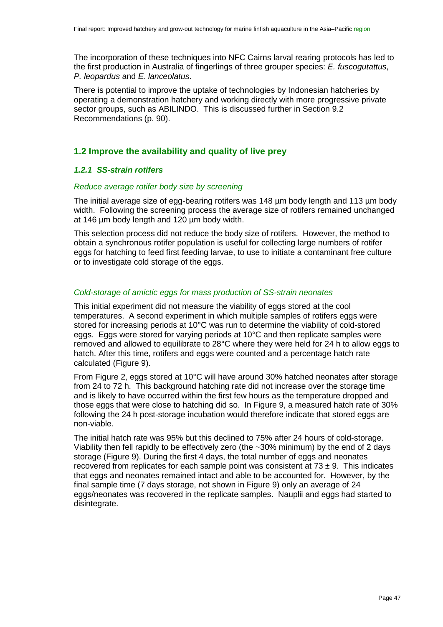The incorporation of these techniques into NFC Cairns larval rearing protocols has led to the first production in Australia of fingerlings of three grouper species: *E. fuscogutattus*, *P. leopardus* and *E. lanceolatus*.

There is potential to improve the uptake of technologies by Indonesian hatcheries by operating a demonstration hatchery and working directly with more progressive private sector groups, such as ABILINDO. This is discussed further in Section 9.2 Recommendations (p. [90\)](#page-89-0).

## **1.2 Improve the availability and quality of live prey**

#### *1.2.1 SS-strain rotifers*

#### *Reduce average rotifer body size by screening*

The initial average size of egg-bearing rotifers was 148 µm body length and 113 µm body width. Following the screening process the average size of rotifers remained unchanged at 146 µm body length and 120 µm body width.

This selection process did not reduce the body size of rotifers. However, the method to obtain a synchronous rotifer population is useful for collecting large numbers of rotifer eggs for hatching to feed first feeding larvae, to use to initiate a contaminant free culture or to investigate cold storage of the eggs.

#### *Cold-storage of amictic eggs for mass production of SS-strain neonates*

This initial experiment did not measure the viability of eggs stored at the cool temperatures. A second experiment in which multiple samples of rotifers eggs were stored for increasing periods at 10°C was run to determine the viability of cold-stored eggs. Eggs were stored for varying periods at 10°C and then replicate samples were removed and allowed to equilibrate to 28°C where they were held for 24 h to allow eggs to hatch. After this time, rotifers and eggs were counted and a percentage hatch rate calculated [\(Figure 9\)](#page-47-0).

From [Figure 2,](#page-12-0) eggs stored at 10°C will have around 30% hatched neonates after storage from 24 to 72 h. This background hatching rate did not increase over the storage time and is likely to have occurred within the first few hours as the temperature dropped and those eggs that were close to hatching did so. In [Figure 9,](#page-47-0) a measured hatch rate of 30% following the 24 h post-storage incubation would therefore indicate that stored eggs are non-viable.

The initial hatch rate was 95% but this declined to 75% after 24 hours of cold-storage. Viability then fell rapidly to be effectively zero (the ~30% minimum) by the end of 2 days storage [\(Figure 9\)](#page-47-0). During the first 4 days, the total number of eggs and neonates recovered from replicates for each sample point was consistent at  $73 \pm 9$ . This indicates that eggs and neonates remained intact and able to be accounted for. However, by the final sample time (7 days storage, not shown in [Figure 9\)](#page-47-0) only an average of 24 eggs/neonates was recovered in the replicate samples. Nauplii and eggs had started to disintegrate.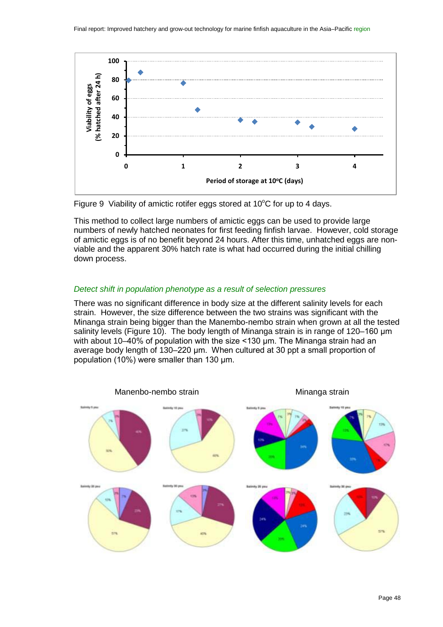

<span id="page-47-0"></span>

This method to collect large numbers of amictic eggs can be used to provide large numbers of newly hatched neonates for first feeding finfish larvae. However, cold storage of amictic eggs is of no benefit beyond 24 hours. After this time, unhatched eggs are nonviable and the apparent 30% hatch rate is what had occurred during the initial chilling down process.

#### *Detect shift in population phenotype as a result of selection pressures*

There was no significant difference in body size at the different salinity levels for each strain. However, the size difference between the two strains was significant with the Minanga strain being bigger than the Manembo-nembo strain when grown at all the tested salinity levels [\(Figure 10\)](#page-48-0). The body length of Minanga strain is in range of 120–160 μm with about 10–40% of population with the size <130 μm. The Minanga strain had an average body length of 130–220 μm. When cultured at 30 ppt a small proportion of population (10%) were smaller than 130 μm.

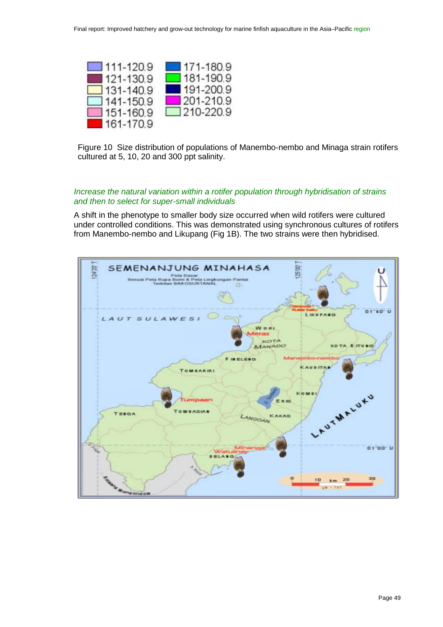

<span id="page-48-0"></span>Figure 10 Size distribution of populations of Manembo-nembo and Minaga strain rotifers cultured at 5, 10, 20 and 300 ppt salinity.

## *Increase the natural variation within a rotifer population through hybridisation of strains and then to select for super-small individuals*

A shift in the phenotype to smaller body size occurred when wild rotifers were cultured under controlled conditions. This was demonstrated using synchronous cultures of rotifers from Manembo-nembo and Likupang (Fig 1B). The two strains were then hybridised.

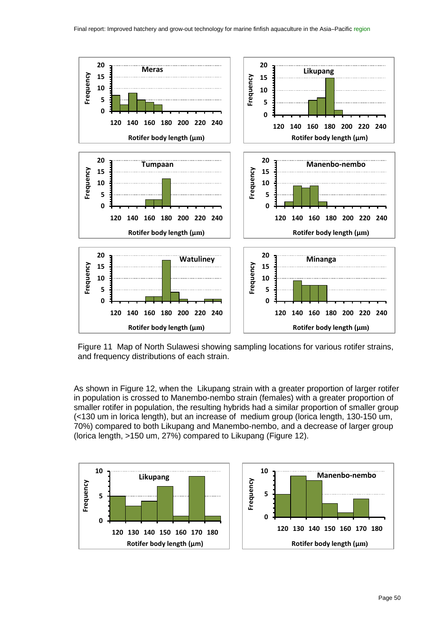

Figure 11 Map of North Sulawesi showing sampling locations for various rotifer strains, and frequency distributions of each strain.

As shown in [Figure 12,](#page-50-0) when the Likupang strain with a greater proportion of larger rotifer in population is crossed to Manembo-nembo strain (females) with a greater proportion of smaller rotifer in population, the resulting hybrids had a similar proportion of smaller group (<130 um in lorica length), but an increase of medium group (lorica length, 130-150 um, 70%) compared to both Likupang and Manembo-nembo, and a decrease of larger group (lorica length, >150 um, 27%) compared to Likupang [\(Figure 12\)](#page-50-0).

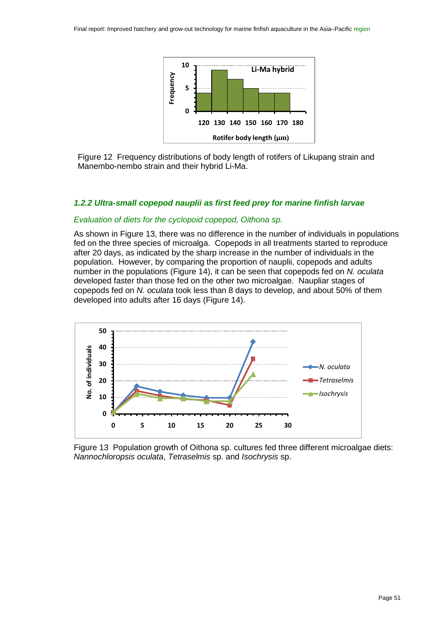

<span id="page-50-0"></span>Figure 12 Frequency distributions of body length of rotifers of Likupang strain and Manembo-nembo strain and their hybrid Li-Ma.

#### *1.2.2 Ultra-small copepod nauplii as first feed prey for marine finfish larvae*

#### *Evaluation of diets for the cyclopoid copepod, Oithona sp.*

As shown in [Figure 13,](#page-50-1) there was no difference in the number of individuals in populations fed on the three species of microalga. Copepods in all treatments started to reproduce after 20 days, as indicated by the sharp increase in the number of individuals in the population. However, by comparing the proportion of nauplii, copepods and adults number in the populations [\(Figure 14\)](#page-51-0), it can be seen that copepods fed on *N. oculata* developed faster than those fed on the other two microalgae. Naupliar stages of copepods fed on *N. oculata* took less than 8 days to develop, and about 50% of them developed into adults after 16 days [\(Figure 14\)](#page-51-0).



<span id="page-50-1"></span>Figure 13 Population growth of Oithona sp. cultures fed three different microalgae diets: *Nannochloropsis oculata*, *Tetraselmis* sp. and *Isochrysis* sp.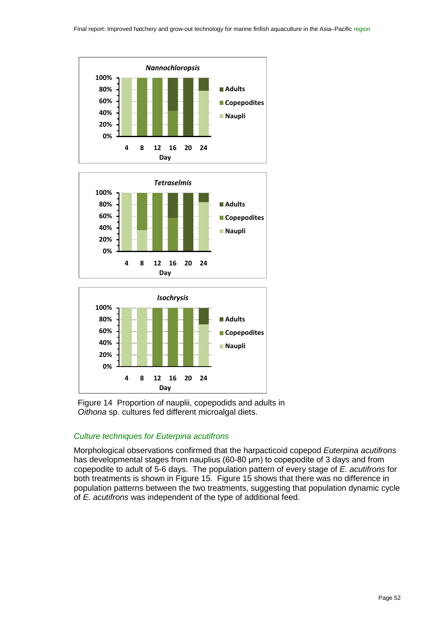





<span id="page-51-0"></span>

#### *Culture techniques for Euterpina acutifrons*

Morphological observations confirmed that the harpacticoid copepod *Euterpina acutifrons* has developmental stages from nauplius (60-80 μm) to copepodite of 3 days and from copepodite to adult of 5-6 days. The population pattern of every stage of *E. acutifrons* for both treatments is shown in [Figure 15.](#page-52-0) [Figure 15](#page-52-0) shows that there was no difference in population patterns between the two treatments, suggesting that population dynamic cycle of *E. acutifrons* was independent of the type of additional feed.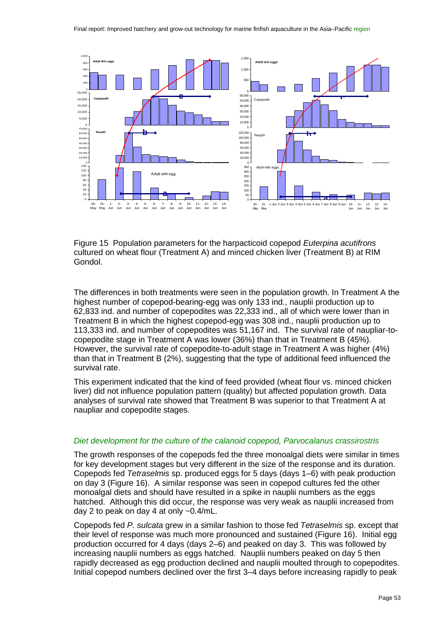

<span id="page-52-0"></span>Figure 15 Population parameters for the harpacticoid copepod *Euterpina acutifrons* cultured on wheat flour (Treatment A) and minced chicken liver (Treatment B) at RIM Gondol.

The differences in both treatments were seen in the population growth. In Treatment A the highest number of copepod-bearing-egg was only 133 ind., nauplii production up to 62,833 ind. and number of copepodites was 22,333 ind., all of which were lower than in Treatment B in which the highest copepod-egg was 308 ind., nauplii production up to 113,333 ind. and number of copepodites was 51,167 ind. The survival rate of naupliar-tocopepodite stage in Treatment A was lower (36%) than that in Treatment B (45%). However, the survival rate of copepodite-to-adult stage in Treatment A was higher (4%) than that in Treatment B (2%), suggesting that the type of additional feed influenced the survival rate.

This experiment indicated that the kind of feed provided (wheat flour vs. minced chicken liver) did not influence population pattern (quality) but affected population growth. Data analyses of survival rate showed that Treatment B was superior to that Treatment A at naupliar and copepodite stages.

#### *Diet development for the culture of the calanoid copepod, Parvocalanus crassirostris*

The growth responses of the copepods fed the three monoalgal diets were similar in times for key development stages but very different in the size of the response and its duration. Copepods fed *Tetraselmis* sp. produced eggs for 5 days (days 1–6) with peak production on day 3 [\(Figure 16\)](#page-54-0). A similar response was seen in copepod cultures fed the other monoalgal diets and should have resulted in a spike in nauplii numbers as the eggs hatched. Although this did occur, the response was very weak as nauplii increased from day 2 to peak on day 4 at only ~0.4/mL.

Copepods fed *P. sulcata* grew in a similar fashion to those fed *Tetraselmis* sp. except that their level of response was much more pronounced and sustained [\(Figure 16\)](#page-54-0). Initial egg production occurred for 4 days (days 2–6) and peaked on day 3. This was followed by increasing nauplii numbers as eggs hatched. Nauplii numbers peaked on day 5 then rapidly decreased as egg production declined and nauplii moulted through to copepodites. Initial copepod numbers declined over the first 3–4 days before increasing rapidly to peak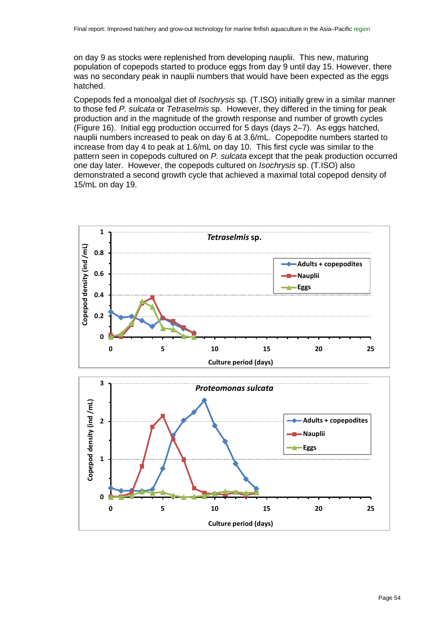on day 9 as stocks were replenished from developing nauplii. This new, maturing population of copepods started to produce eggs from day 9 until day 15. However, there was no secondary peak in nauplii numbers that would have been expected as the eggs hatched.

Copepods fed a monoalgal diet of *Isochrysis* sp. (T.ISO) initially grew in a similar manner to those fed *P. sulcata* or *Tetraselmis* sp. However, they differed in the timing for peak production and in the magnitude of the growth response and number of growth cycles [\(Figure 16\)](#page-54-0). Initial egg production occurred for 5 days (days 2–7). As eggs hatched, nauplii numbers increased to peak on day 6 at 3.6/mL. Copepodite numbers started to increase from day 4 to peak at 1.6/mL on day 10. This first cycle was similar to the pattern seen in copepods cultured on *P. sulcata* except that the peak production occurred one day later. However, the copepods cultured on *Isochrysis* sp. (T.ISO) also demonstrated a second growth cycle that achieved a maximal total copepod density of 15/mL on day 19.



**0 5 10 15 20 25**

**Culture period (days)**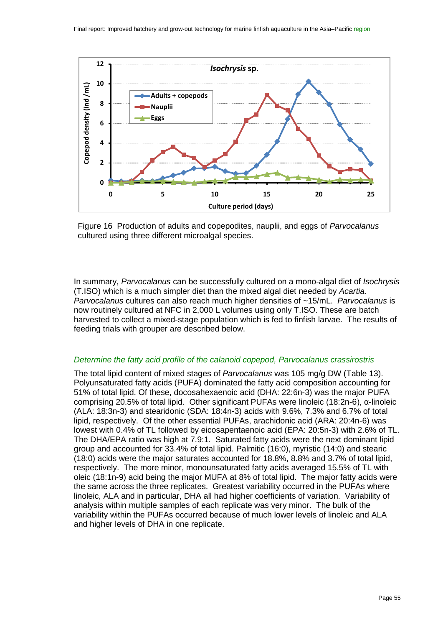

<span id="page-54-0"></span>Figure 16 Production of adults and copepodites, nauplii, and eggs of *Parvocalanus* cultured using three different microalgal species.

In summary, *Parvocalanus* can be successfully cultured on a mono-algal diet of *Isochrysis* (T.ISO) which is a much simpler diet than the mixed algal diet needed by *Acartia*. *Parvocalanus* cultures can also reach much higher densities of ~15/mL. *Parvocalanus* is now routinely cultured at NFC in 2,000 L volumes using only T.ISO. These are batch harvested to collect a mixed-stage population which is fed to finfish larvae. The results of feeding trials with grouper are described below.

#### *Determine the fatty acid profile of the calanoid copepod, Parvocalanus crassirostris*

The total lipid content of mixed stages of *Parvocalanus* was 105 mg/g DW [\(Table 13\)](#page-55-0). Polyunsaturated fatty acids (PUFA) dominated the fatty acid composition accounting for 51% of total lipid. Of these, docosahexaenoic acid (DHA: 22:6n-3) was the major PUFA comprising 20.5% of total lipid. Other significant PUFAs were linoleic (18:2n-6), α-linoleic (ALA: 18:3n-3) and stearidonic (SDA: 18:4n-3) acids with 9.6%, 7.3% and 6.7% of total lipid, respectively. Of the other essential PUFAs, arachidonic acid (ARA: 20:4n-6) was lowest with 0.4% of TL followed by eicosapentaenoic acid (EPA: 20:5n-3) with 2.6% of TL. The DHA/EPA ratio was high at 7.9:1. Saturated fatty acids were the next dominant lipid group and accounted for 33.4% of total lipid. Palmitic (16:0), myristic (14:0) and stearic (18:0) acids were the major saturates accounted for 18.8%, 8.8% and 3.7% of total lipid, respectively. The more minor, monounsaturated fatty acids averaged 15.5% of TL with oleic (18:1n-9) acid being the major MUFA at 8% of total lipid. The major fatty acids were the same across the three replicates. Greatest variability occurred in the PUFAs where linoleic, ALA and in particular, DHA all had higher coefficients of variation. Variability of analysis within multiple samples of each replicate was very minor. The bulk of the variability within the PUFAs occurred because of much lower levels of linoleic and ALA and higher levels of DHA in one replicate.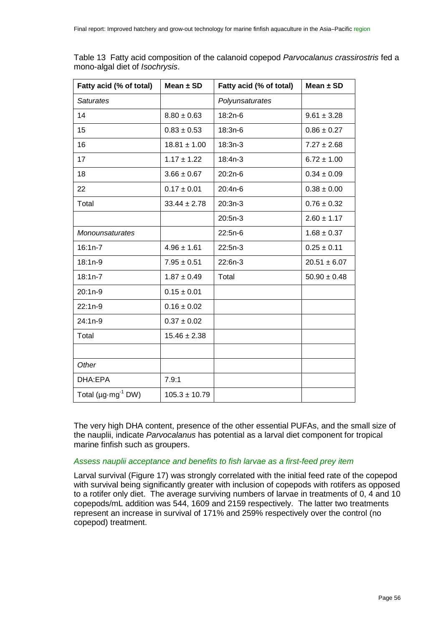| Fatty acid (% of total)              | Mean $\pm$ SD     | Fatty acid (% of total) | Mean $\pm$ SD    |
|--------------------------------------|-------------------|-------------------------|------------------|
| <b>Saturates</b>                     |                   | Polyunsaturates         |                  |
| 14                                   | $8.80 \pm 0.63$   | 18:2n-6                 | $9.61 \pm 3.28$  |
| 15                                   | $0.83 \pm 0.53$   | 18:3n-6                 | $0.86 \pm 0.27$  |
| 16                                   | $18.81 \pm 1.00$  | $18:3n-3$               | $7.27 \pm 2.68$  |
| 17                                   | $1.17 \pm 1.22$   | $18:4n-3$               | $6.72 \pm 1.00$  |
| 18                                   | $3.66 \pm 0.67$   | $20:2n-6$               | $0.34 \pm 0.09$  |
| 22                                   | $0.17 \pm 0.01$   | 20:4n-6                 | $0.38 \pm 0.00$  |
| Total                                | $33.44 \pm 2.78$  | $20:3n-3$               | $0.76 \pm 0.32$  |
|                                      |                   | $20:5n-3$               | $2.60 \pm 1.17$  |
| <b>Monounsaturates</b>               |                   | $22:5n-6$               | $1.68 \pm 0.37$  |
| $16:1n-7$                            | $4.96 \pm 1.61$   | $22:5n-3$               | $0.25 \pm 0.11$  |
| $18:1n-9$                            | $7.95 \pm 0.51$   | 22:6n-3                 | $20.51 \pm 6.07$ |
| $18:1n-7$                            | $1.87 \pm 0.49$   | Total                   | $50.90 \pm 0.48$ |
| 20:1n-9                              | $0.15 \pm 0.01$   |                         |                  |
| $22:1n-9$                            | $0.16 \pm 0.02$   |                         |                  |
| $24:1n-9$                            | $0.37 \pm 0.02$   |                         |                  |
| Total                                | $15.46 \pm 2.38$  |                         |                  |
|                                      |                   |                         |                  |
| Other                                |                   |                         |                  |
| DHA:EPA                              | 7.9:1             |                         |                  |
| Total ( $\mu$ g·mg <sup>-1</sup> DW) | $105.3 \pm 10.79$ |                         |                  |

<span id="page-55-0"></span>Table 13 Fatty acid composition of the calanoid copepod *Parvocalanus crassirostris* fed a mono-algal diet of *Isochrysis*.

The very high DHA content, presence of the other essential PUFAs, and the small size of the nauplii, indicate *Parvocalanus* has potential as a larval diet component for tropical marine finfish such as groupers.

#### *Assess nauplii acceptance and benefits to fish larvae as a first-feed prey item*

Larval survival [\(Figure 17\)](#page-56-0) was strongly correlated with the initial feed rate of the copepod with survival being significantly greater with inclusion of copepods with rotifers as opposed to a rotifer only diet. The average surviving numbers of larvae in treatments of 0, 4 and 10 copepods/mL addition was 544, 1609 and 2159 respectively. The latter two treatments represent an increase in survival of 171% and 259% respectively over the control (no copepod) treatment.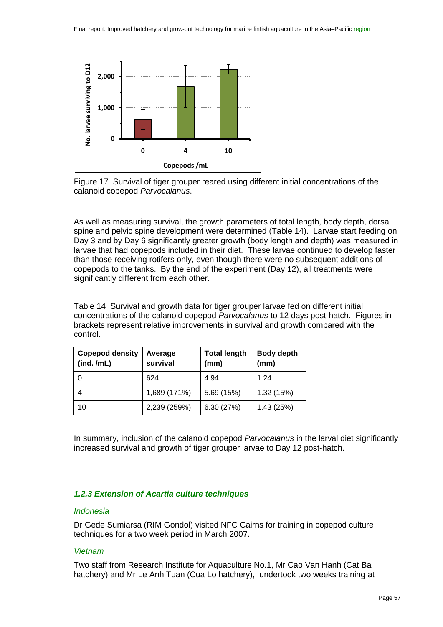

<span id="page-56-0"></span>Figure 17 Survival of tiger grouper reared using different initial concentrations of the calanoid copepod *Parvocalanus*.

As well as measuring survival, the growth parameters of total length, body depth, dorsal spine and pelvic spine development were determined [\(Table 14\)](#page-56-1). Larvae start feeding on Day 3 and by Day 6 significantly greater growth (body length and depth) was measured in larvae that had copepods included in their diet. These larvae continued to develop faster than those receiving rotifers only, even though there were no subsequent additions of copepods to the tanks. By the end of the experiment (Day 12), all treatments were significantly different from each other.

<span id="page-56-1"></span>Table 14 Survival and growth data for tiger grouper larvae fed on different initial concentrations of the calanoid copepod *Parvocalanus* to 12 days post-hatch. Figures in brackets represent relative improvements in survival and growth compared with the control.

| <b>Copepod density</b><br>(ind. /mL) | Average<br>survival | <b>Total length</b><br>(mm) | <b>Body depth</b><br>(mm) |
|--------------------------------------|---------------------|-----------------------------|---------------------------|
| 0                                    | 624                 | 4.94                        | 1 24                      |
|                                      | 1,689 (171%)        | 5.69 (15%)                  | 1.32(15%)                 |
| 10                                   | 2,239 (259%)        | 6.30(27%)                   | 1.43(25%)                 |

In summary, inclusion of the calanoid copepod *Parvocalanus* in the larval diet significantly increased survival and growth of tiger grouper larvae to Day 12 post-hatch.

## *1.2.3 Extension of Acartia culture techniques*

#### *Indonesia*

Dr Gede Sumiarsa (RIM Gondol) visited NFC Cairns for training in copepod culture techniques for a two week period in March 2007.

## *Vietnam*

Two staff from Research Institute for Aquaculture No.1, Mr Cao Van Hanh (Cat Ba hatchery) and Mr Le Anh Tuan (Cua Lo hatchery), undertook two weeks training at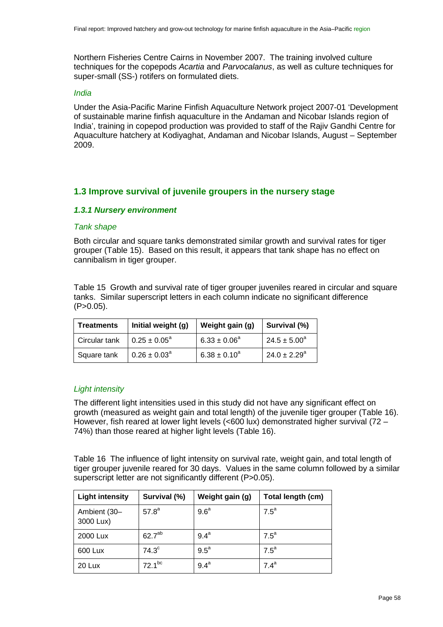Northern Fisheries Centre Cairns in November 2007. The training involved culture techniques for the copepods *Acartia* and *Parvocalanus*, as well as culture techniques for super-small (SS-) rotifers on formulated diets.

#### *India*

Under the Asia-Pacific Marine Finfish Aquaculture Network project 2007-01 'Development of sustainable marine finfish aquaculture in the Andaman and Nicobar Islands region of India', training in copepod production was provided to staff of the Rajiv Gandhi Centre for Aquaculture hatchery at Kodiyaghat, Andaman and Nicobar Islands, August – September 2009.

## **1.3 Improve survival of juvenile groupers in the nursery stage**

#### *1.3.1 Nursery environment*

#### *Tank shape*

Both circular and square tanks demonstrated similar growth and survival rates for tiger grouper [\(Table 15\)](#page-57-0). Based on this result, it appears that tank shape has no effect on cannibalism in tiger grouper.

<span id="page-57-0"></span>Table 15 Growth and survival rate of tiger grouper juveniles reared in circular and square tanks. Similar superscript letters in each column indicate no significant difference  $(P>0.05)$ .

| <b>Treatments</b> | Initial weight (g)      | Weight gain (g)   | Survival (%)      |
|-------------------|-------------------------|-------------------|-------------------|
| Circular tank     | $0.25 \pm 0.05^{\circ}$ | $6.33 \pm 0.06^a$ | $24.5 \pm 5.00^a$ |
| Square tank       | $0.26 \pm 0.03^{\circ}$ | $6.38 \pm 0.10^a$ | $24.0 \pm 2.29^a$ |

## *Light intensity*

The different light intensities used in this study did not have any significant effect on growth (measured as weight gain and total length) of the juvenile tiger grouper [\(Table 16\)](#page-57-1). However, fish reared at lower light levels (<600 lux) demonstrated higher survival (72 – 74%) than those reared at higher light levels [\(Table 16\)](#page-57-1).

<span id="page-57-1"></span>Table 16 The influence of light intensity on survival rate, weight gain, and total length of tiger grouper juvenile reared for 30 days. Values in the same column followed by a similar superscript letter are not significantly different (P>0.05).

| <b>Light intensity</b>    | Survival (%)       | Weight gain (g)  | Total length (cm) |
|---------------------------|--------------------|------------------|-------------------|
| Ambient (30-<br>3000 Lux) | $57.8^{a}$         | 9.6 <sup>a</sup> | $7.5^{\circ}$     |
| 2000 Lux                  | 62.7 <sup>ab</sup> | $9.4^a$          | $7.5^{\circ}$     |
| 600 Lux                   | $74.3^\circ$       | $9.5^{\circ}$    | $7.5^a$           |
| 20 Lux                    | $72.1^{bc}$        | $9.4^a$          | 7.4 <sup>a</sup>  |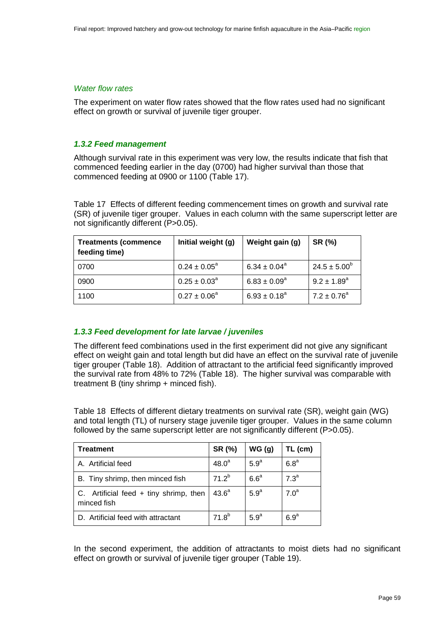#### *Water flow rates*

The experiment on water flow rates showed that the flow rates used had no significant effect on growth or survival of juvenile tiger grouper.

## *1.3.2 Feed management*

Although survival rate in this experiment was very low, the results indicate that fish that commenced feeding earlier in the day (0700) had higher survival than those that commenced feeding at 0900 or 1100 [\(Table 17\)](#page-58-0).

<span id="page-58-0"></span>Table 17 Effects of different feeding commencement times on growth and survival rate (SR) of juvenile tiger grouper. Values in each column with the same superscript letter are not significantly different (P>0.05).

| <b>Treatments (commence</b><br>feeding time) | Initial weight (g)      | Weight gain (g)   | SR (%)                 |
|----------------------------------------------|-------------------------|-------------------|------------------------|
| 0700                                         | $0.24 \pm 0.05^{\circ}$ | $6.34 \pm 0.04^a$ | $24.5 \pm 5.00^6$      |
| 0900                                         | $0.25 \pm 0.03^{\circ}$ | $6.83 \pm 0.09^a$ | $9.2 \pm 1.89^{\circ}$ |
| 1100                                         | $0.27 \pm 0.06^a$       | $6.93 \pm 0.18^a$ | $7.2 \pm 0.76^a$       |

## *1.3.3 Feed development for late larvae / juveniles*

The different feed combinations used in the first experiment did not give any significant effect on weight gain and total length but did have an effect on the survival rate of juvenile tiger grouper [\(Table 18\)](#page-58-1). Addition of attractant to the artificial feed significantly improved the survival rate from 48% to 72% [\(Table 18\)](#page-58-1). The higher survival was comparable with treatment B (tiny shrimp + minced fish).

<span id="page-58-1"></span>Table 18 Effects of different dietary treatments on survival rate (SR), weight gain (WG) and total length (TL) of nursery stage juvenile tiger grouper. Values in the same column followed by the same superscript letter are not significantly different (P>0.05).

| <b>Treatment</b>                                        | SR (%)            | WG(g)            | TL (cm)          |
|---------------------------------------------------------|-------------------|------------------|------------------|
| A. Artificial feed                                      | 48.0 <sup>a</sup> | 5.9 <sup>a</sup> | 6.8 <sup>a</sup> |
| B. Tiny shrimp, then minced fish                        | $71.2^{b}$        | 6.6 <sup>a</sup> | 7.3 <sup>a</sup> |
| C. Artificial feed $+$ tiny shrimp, then<br>minced fish | 43.6 <sup>a</sup> | 5.9 <sup>a</sup> | 7.0 <sup>a</sup> |
| D. Artificial feed with attractant                      | $71.8^{b}$        | 5.9 <sup>a</sup> | 6.9 <sup>a</sup> |

In the second experiment, the addition of attractants to moist diets had no significant effect on growth or survival of juvenile tiger grouper [\(Table 19\)](#page-59-0).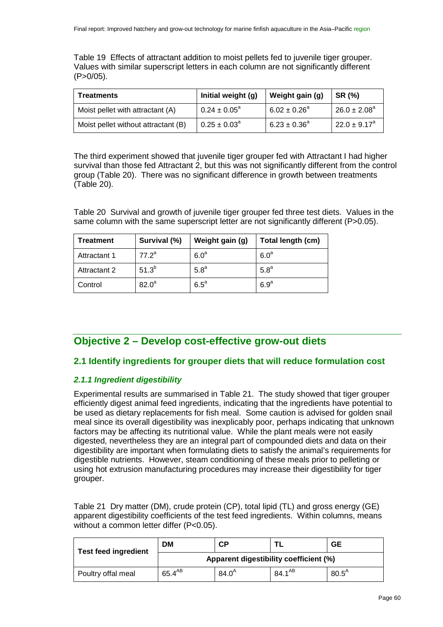<span id="page-59-0"></span>Table 19 Effects of attractant addition to moist pellets fed to juvenile tiger grouper. Values with similar superscript letters in each column are not significantly different (P>0/05).

| <b>Treatments</b>                   | Initial weight (g)      | Weight gain (g)   | SR (%)                  |
|-------------------------------------|-------------------------|-------------------|-------------------------|
| Moist pellet with attractant (A)    | $0.24 \pm 0.05^{\circ}$ | $6.02 \pm 0.26^a$ | $26.0 \pm 2.08^a$       |
| Moist pellet without attractant (B) | $0.25 \pm 0.03^{\circ}$ | $6.23 \pm 0.36^a$ | $22.0 \pm 9.17^{\circ}$ |

The third experiment showed that juvenile tiger grouper fed with Attractant I had higher survival than those fed Attractant 2, but this was not significantly different from the control group [\(Table 20\)](#page-59-1). There was no significant difference in growth between treatments [\(Table 20\)](#page-59-1).

<span id="page-59-1"></span>Table 20 Survival and growth of juvenile tiger grouper fed three test diets. Values in the same column with the same superscript letter are not significantly different (P>0.05).

| Treatment    | Survival (%)      | Weight gain (g)  | Total length (cm) |
|--------------|-------------------|------------------|-------------------|
| Attractant 1 | $77.2^a$          | 6.0 <sup>a</sup> | 6.0 <sup>a</sup>  |
| Attractant 2 | $51.3^{b}$        | 5.8 <sup>a</sup> | 5.8 <sup>a</sup>  |
| Control      | 82.0 <sup>a</sup> | $6.5^{\circ}$    | 6.9 <sup>a</sup>  |

## **Objective 2 – Develop cost-effective grow-out diets**

## **2.1 Identify ingredients for grouper diets that will reduce formulation cost**

## *2.1.1 Ingredient digestibility*

Experimental results are summarised in [Table 21.](#page-59-2) The study showed that tiger grouper efficiently digest animal feed ingredients, indicating that the ingredients have potential to be used as dietary replacements for fish meal. Some caution is advised for golden snail meal since its overall digestibility was inexplicably poor, perhaps indicating that unknown factors may be affecting its nutritional value. While the plant meals were not easily digested, nevertheless they are an integral part of compounded diets and data on their digestibility are important when formulating diets to satisfy the animal's requirements for digestible nutrients. However, steam conditioning of these meals prior to pelleting or using hot extrusion manufacturing procedures may increase their digestibility for tiger grouper.

<span id="page-59-2"></span>Table 21 Dry matter (DM), crude protein (CP), total lipid (TL) and gross energy (GE) apparent digestibility coefficients of the test feed ingredients. Within columns, means without a common letter differ (P<0.05).

| <b>Test feed ingredient</b> | <b>DM</b><br>CР<br>GЕ                  |            |                    |                   |  |
|-----------------------------|----------------------------------------|------------|--------------------|-------------------|--|
|                             | Apparent digestibility coefficient (%) |            |                    |                   |  |
| Poultry offal meal          | $65.4^{AB}$                            | $84.0^{A}$ | 84.1 <sup>AB</sup> | $80.5^{\text{A}}$ |  |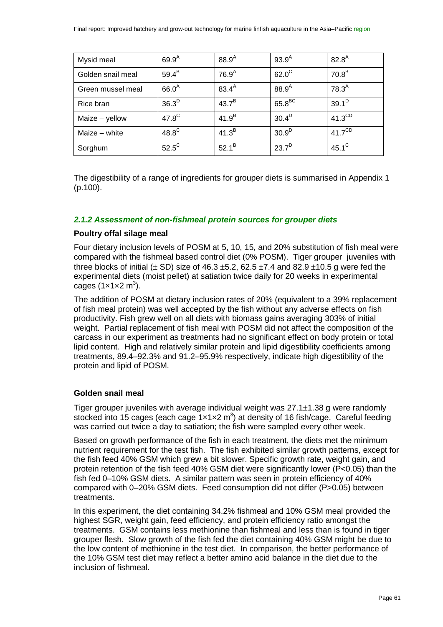| Mysid meal        | $69.9^{A}$     | $88.9^{\mathsf{A}}$ | $93.9^{A}$         | $82.8^{A}$         |
|-------------------|----------------|---------------------|--------------------|--------------------|
| Golden snail meal | $59.4^B$       | 76.9 <sup>A</sup>   | $62.0^{\circ}$     | 70.8 <sup>B</sup>  |
| Green mussel meal | $66.0^A$       | $83.4^{A}$          | $88.9^A$           | $78.3^{A}$         |
| Rice bran         | $36.3^D$       | $43.7^B$            | $65.8^{\text{BC}}$ | $39.1^D$           |
| Maize - yellow    | $47.8^{\circ}$ | 41.9 <sup>B</sup>   | 30.4 <sup>D</sup>  | $41.3^{\text{CD}}$ |
| Maize - white     | $48.8^{\circ}$ | 41.3 <sup>B</sup>   | 30.9 <sup>D</sup>  | $41.7^{\text{CD}}$ |
| Sorghum           | $52.5^{\circ}$ | $52.1^{B}$          | 23.7 <sup>D</sup>  | $45.1^{\circ}$     |

The digestibility of a range of ingredients for grouper diets is summarised in Appendix 1 (p[.100\)](#page-99-0).

## *2.1.2 Assessment of non-fishmeal protein sources for grouper diets*

## **Poultry offal silage meal**

Four dietary inclusion levels of POSM at 5, 10, 15, and 20% substitution of fish meal were compared with the fishmeal based control diet (0% POSM). Tiger grouper juveniles with three blocks of initial ( $\pm$  SD) size of 46.3  $\pm$ 5.2, 62.5  $\pm$ 7.4 and 82.9  $\pm$ 10.5 g were fed the experimental diets (moist pellet) at satiation twice daily for 20 weeks in experimental cages (1×1×2 $m^3$ ).

The addition of POSM at dietary inclusion rates of 20% (equivalent to a 39% replacement of fish meal protein) was well accepted by the fish without any adverse effects on fish productivity. Fish grew well on all diets with biomass gains averaging 303% of initial weight. Partial replacement of fish meal with POSM did not affect the composition of the carcass in our experiment as treatments had no significant effect on body protein or total lipid content. High and relatively similar protein and lipid digestibility coefficients among treatments, 89.4–92.3% and 91.2–95.9% respectively, indicate high digestibility of the protein and lipid of POSM.

## **Golden snail meal**

Tiger grouper juveniles with average individual weight was 27.1±1.38 g were randomly stocked into 15 cages (each cage  $1 \times 1 \times 2$  m<sup>3</sup>) at density of 16 fish/cage. Careful feeding was carried out twice a day to satiation; the fish were sampled every other week.

Based on growth performance of the fish in each treatment, the diets met the minimum nutrient requirement for the test fish. The fish exhibited similar growth patterns, except for the fish feed 40% GSM which grew a bit slower. Specific growth rate, weight gain, and protein retention of the fish feed 40% GSM diet were significantly lower (P<0.05) than the fish fed 0–10% GSM diets. A similar pattern was seen in protein efficiency of 40% compared with 0–20% GSM diets. Feed consumption did not differ (P>0.05) between treatments.

In this experiment, the diet containing 34.2% fishmeal and 10% GSM meal provided the highest SGR, weight gain, feed efficiency, and protein efficiency ratio amongst the treatments. GSM contains less methionine than fishmeal and less than is found in tiger grouper flesh. Slow growth of the fish fed the diet containing 40% GSM might be due to the low content of methionine in the test diet. In comparison, the better performance of the 10% GSM test diet may reflect a better amino acid balance in the diet due to the inclusion of fishmeal.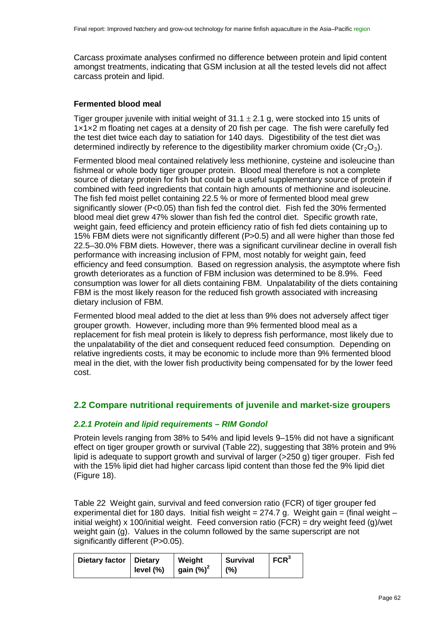Carcass proximate analyses confirmed no difference between protein and lipid content amongst treatments, indicating that GSM inclusion at all the tested levels did not affect carcass protein and lipid.

## **Fermented blood meal**

Tiger grouper juvenile with initial weight of  $31.1 \pm 2.1$  g, were stocked into 15 units of 1×1×2 m floating net cages at a density of 20 fish per cage. The fish were carefully fed the test diet twice each day to satiation for 140 days. Digestibility of the test diet was determined indirectly by reference to the digestibility marker chromium oxide (Cr<sub>2</sub>O<sub>3</sub>).

Fermented blood meal contained relatively less methionine, cysteine and isoleucine than fishmeal or whole body tiger grouper protein. Blood meal therefore is not a complete source of dietary protein for fish but could be a useful supplementary source of protein if combined with feed ingredients that contain high amounts of methionine and isoleucine. The fish fed moist pellet containing 22.5 % or more of fermented blood meal grew significantly slower (P<0.05) than fish fed the control diet. Fish fed the 30% fermented blood meal diet grew 47% slower than fish fed the control diet. Specific growth rate, weight gain, feed efficiency and protein efficiency ratio of fish fed diets containing up to 15% FBM diets were not significantly different (P>0.5) and all were higher than those fed 22.5–30.0% FBM diets. However, there was a significant curvilinear decline in overall fish performance with increasing inclusion of FPM, most notably for weight gain, feed efficiency and feed consumption. Based on regression analysis, the asymptote where fish growth deteriorates as a function of FBM inclusion was determined to be 8.9%. Feed consumption was lower for all diets containing FBM. Unpalatability of the diets containing FBM is the most likely reason for the reduced fish growth associated with increasing dietary inclusion of FBM.

Fermented blood meal added to the diet at less than 9% does not adversely affect tiger grouper growth. However, including more than 9% fermented blood meal as a replacement for fish meal protein is likely to depress fish performance, most likely due to the unpalatability of the diet and consequent reduced feed consumption. Depending on relative ingredients costs, it may be economic to include more than 9% fermented blood meal in the diet, with the lower fish productivity being compensated for by the lower feed cost.

## **2.2 Compare nutritional requirements of juvenile and market-size groupers**

#### *2.2.1 Protein and lipid requirements – RIM Gondol*

Protein levels ranging from 38% to 54% and lipid levels 9–15% did not have a significant effect on tiger grouper growth or survival [\(Table 22\)](#page-61-0), suggesting that 38% protein and 9% lipid is adequate to support growth and survival of larger (>250 g) tiger grouper. Fish fed with the 15% lipid diet had higher carcass lipid content than those fed the 9% lipid diet [\(Figure 18\)](#page-62-0).

<span id="page-61-0"></span>Table 22 Weight gain, survival and feed conversion ratio (FCR) of tiger grouper fed experimental diet for 180 days. Initial fish weight =  $274.7$  g. Weight gain = (final weight – initial weight) x 100/initial weight. Feed conversion ratio (FCR) = dry weight feed (g)/wet weight gain (g). Values in the column followed by the same superscript are not significantly different (P>0.05).

| Dietary factor   Dietary | level $(\% )$ | Weight<br>gain $(\%)^2$ | <b>Survival</b><br>(%) | FCR <sup>3</sup> |
|--------------------------|---------------|-------------------------|------------------------|------------------|
|                          |               |                         |                        |                  |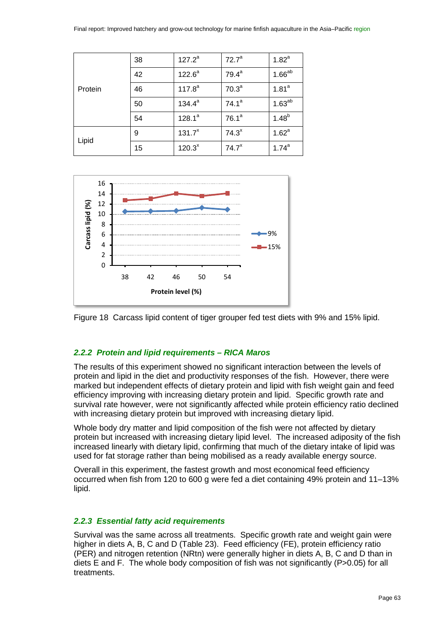| Protein | 38 | $127.2^a$   | 72.7 <sup>a</sup> | $1.82^{a}$        |
|---------|----|-------------|-------------------|-------------------|
|         | 42 | $122.6^a$   | $79.4^a$          | $1.66^{ab}$       |
|         | 46 | $117.8^{a}$ | 70.3 <sup>a</sup> | 1.81 <sup>a</sup> |
|         | 50 | $134.4^a$   | $74.1^a$          | $1.63^{ab}$       |
|         | 54 | $128.1^a$   | 76.1 <sup>a</sup> | $1.48^{b}$        |
| Lipid   | 9  | $131.7^{x}$ | 74.3 <sup>x</sup> | 1.62 <sup>a</sup> |
|         | 15 | $120.3^{x}$ | 74.7 <sup>x</sup> | $1.74^{a}$        |



<span id="page-62-0"></span>

#### *2.2.2 Protein and lipid requirements – RICA Maros*

The results of this experiment showed no significant interaction between the levels of protein and lipid in the diet and productivity responses of the fish. However, there were marked but independent effects of dietary protein and lipid with fish weight gain and feed efficiency improving with increasing dietary protein and lipid. Specific growth rate and survival rate however, were not significantly affected while protein efficiency ratio declined with increasing dietary protein but improved with increasing dietary lipid.

Whole body dry matter and lipid composition of the fish were not affected by dietary protein but increased with increasing dietary lipid level. The increased adiposity of the fish increased linearly with dietary lipid, confirming that much of the dietary intake of lipid was used for fat storage rather than being mobilised as a ready available energy source.

Overall in this experiment, the fastest growth and most economical feed efficiency occurred when fish from 120 to 600 g were fed a diet containing 49% protein and 11–13% lipid.

#### *2.2.3 Essential fatty acid requirements*

Survival was the same across all treatments. Specific growth rate and weight gain were higher in diets A, B, C and D [\(Table 23\)](#page-63-0). Feed efficiency (FE), protein efficiency ratio (PER) and nitrogen retention (NRtn) were generally higher in diets A, B, C and D than in diets E and F. The whole body composition of fish was not significantly (P>0.05) for all treatments.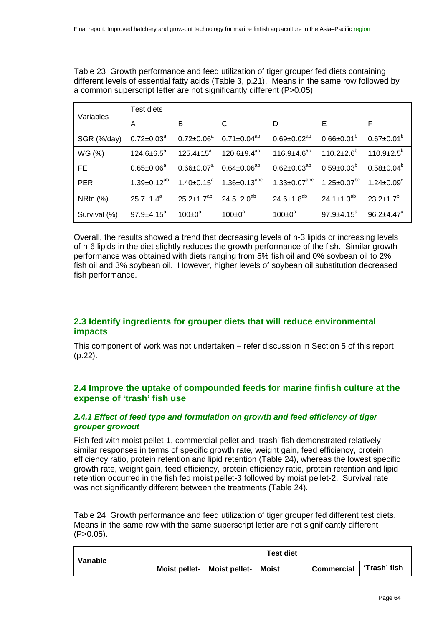<span id="page-63-0"></span>Table 23 Growth performance and feed utilization of tiger grouper fed diets containing different levels of essential fatty acids [\(Table 3,](#page-20-0) p[.21\)](#page-20-0). Means in the same row followed by a common superscript letter are not significantly different (P>0.05).

| Variables    | Test diets           |                     |                       |                               |                              |                              |  |  |
|--------------|----------------------|---------------------|-----------------------|-------------------------------|------------------------------|------------------------------|--|--|
|              | A                    | B                   | C                     | D                             | E                            | F                            |  |  |
| SGR (%/day)  | $0.72 \pm 0.03^a$    | $0.72 \pm 0.06^a$   | $0.71 \pm 0.04^{ab}$  | $0.69 \pm 0.02^{ab}$          | $0.66 \pm 0.01^b$            | $0.67 \pm 0.01^b$            |  |  |
| WG (%)       | $124.6 \pm 6.5^a$    | $125.4 \pm 15^a$    | $120.6 \pm 9.4^{ab}$  | 116.9 $\pm$ 4.6 <sup>ab</sup> | $110.2 \pm 2.6^{\circ}$      | $110.9 \pm 2.5^{\circ}$      |  |  |
| FE.          | $0.65 \pm 0.06^a$    | $0.66 \pm 0.07^a$   | $0.64 \pm 0.06^{ab}$  | $0.62 \pm 0.03^{ab}$          | $0.59 \pm 0.03^b$            | $0.58 \pm 0.04^b$            |  |  |
| <b>PER</b>   | $1.39 \pm 0.12^{ab}$ | $1.40 \pm 0.15^a$   | $1.36 \pm 0.13^{abc}$ | $1.33 \pm 0.07^{abc}$         | $1.25 \pm 0.07^{bc}$         | $1.24 \pm 0.09^c$            |  |  |
| NRtn $(%)$   | $25.7 \pm 1.4^a$     | $25.2 \pm 1.7^{ab}$ | $24.5 \pm 2.0^{ab}$   | $24.6 \pm 1.8^{ab}$           | 24.1 $\pm$ 1.3 <sup>ab</sup> | $23.2 \pm 1.7^b$             |  |  |
| Survival (%) | $97.9 + 4.15^a$      | $100 \pm 0^a$       | $100 \pm 0^a$         | $100 \pm 0^a$                 | $97.9 \pm 4.15^a$            | $96.2 \pm 4.47$ <sup>a</sup> |  |  |

Overall, the results showed a trend that decreasing levels of n-3 lipids or increasing levels of n-6 lipids in the diet slightly reduces the growth performance of the fish. Similar growth performance was obtained with diets ranging from 5% fish oil and 0% soybean oil to 2% fish oil and 3% soybean oil. However, higher levels of soybean oil substitution decreased fish performance.

## **2.3 Identify ingredients for grouper diets that will reduce environmental impacts**

This component of work was not undertaken – refer discussion in Section 5 of this report (p[.22\)](#page-21-0).

## **2.4 Improve the uptake of compounded feeds for marine finfish culture at the expense of 'trash' fish use**

## <span id="page-63-2"></span>*2.4.1 Effect of feed type and formulation on growth and feed efficiency of tiger grouper growout*

Fish fed with moist pellet-1, commercial pellet and 'trash' fish demonstrated relatively similar responses in terms of specific growth rate, weight gain, feed efficiency, protein efficiency ratio, protein retention and lipid retention [\(Table 24\)](#page-63-1), whereas the lowest specific growth rate, weight gain, feed efficiency, protein efficiency ratio, protein retention and lipid retention occurred in the fish fed moist pellet-3 followed by moist pellet-2. Survival rate was not significantly different between the treatments [\(Table 24\)](#page-63-1).

<span id="page-63-1"></span>Table 24 Growth performance and feed utilization of tiger grouper fed different test diets. Means in the same row with the same superscript letter are not significantly different  $(P>0.05)$ .

| Variable | <b>Test diet</b> |                                       |  |                   |              |
|----------|------------------|---------------------------------------|--|-------------------|--------------|
|          |                  | Moist pellet-   Moist pellet-   Moist |  | <b>Commercial</b> | ʻTrash' fish |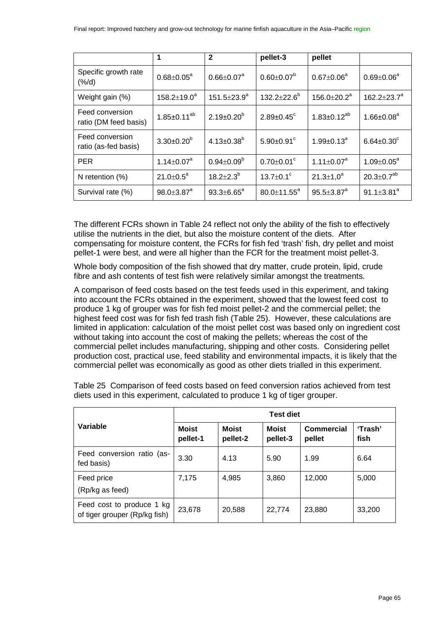|                                          | 1                            | $\mathbf{2}$        | pellet-3                     | pellet                        |                             |
|------------------------------------------|------------------------------|---------------------|------------------------------|-------------------------------|-----------------------------|
| Specific growth rate<br>(% / d)          | $0.68 \pm 0.05^{\text{a}}$   | $0.66 \pm 0.07^a$   | $0.60 \pm 0.07^b$            | $0.67 \pm 0.06^a$             | $0.69 \pm 0.06^a$           |
| Weight gain (%)                          | $158.2 \pm 19.0^a$           | $151.5 \pm 23.9^a$  | $132.2 \pm 22.6^b$           | 156.0 $\pm$ 20.2 <sup>a</sup> | 162.2 $\pm$ 23.7 $^{\circ}$ |
| Feed conversion<br>ratio (DM feed basis) | $1.85 \pm 0.11^{ab}$         | $2.19 \pm 0.20^b$   | $2.89 \pm 0.45$ <sup>c</sup> | $1.83 \pm 0.12^{ab}$          | $1.66 \pm 0.08^a$           |
| Feed conversion<br>ratio (as-fed basis)  | $3.30 \pm 0.20^b$            | $4.13 \pm 0.38^{b}$ | $5.90 \pm 0.91$ °            | $1.99 \pm 0.13^a$             | $6.64 \pm 0.30^c$           |
| <b>PER</b>                               | $1.14 \pm 0.07^a$            | $0.94 \pm 0.09^b$   | $0.70 \pm 0.01$ °            | 1.11 $\pm$ 0.07 $^{\text{a}}$ | $1.09 \pm 0.05^a$           |
| N retention $(\%)$                       | $21.0 \pm 0.5^a$             | $18.2 \pm 2.3^b$    | 13.7 $\pm$ 0.1 $\degree$     | $21.3 \pm 1.0^a$              | $20.3 \pm 0.7^{ab}$         |
| Survival rate (%)                        | $98.0 \pm 3.87$ <sup>a</sup> | $93.3 \pm 6.65^a$   | $80.0 \pm 11.55^{\circ}$     | $95.5 \pm 3.87^a$             | $91.1 \pm 3.81^a$           |

The different FCRs shown in [Table 24](#page-63-1) reflect not only the ability of the fish to effectively utilise the nutrients in the diet, but also the moisture content of the diets. After compensating for moisture content, the FCRs for fish fed 'trash' fish, dry pellet and moist pellet-1 were best, and were all higher than the FCR for the treatment moist pellet-3.

Whole body composition of the fish showed that dry matter, crude protein, lipid, crude fibre and ash contents of test fish were relatively similar amongst the treatments.

A comparison of feed costs based on the test feeds used in this experiment, and taking into account the FCRs obtained in the experiment, showed that the lowest feed cost to produce 1 kg of grouper was for fish fed moist pellet-2 and the commercial pellet; the highest feed cost was for fish fed trash fish [\(Table 25\)](#page-64-0). However, these calculations are limited in application: calculation of the moist pellet cost was based only on ingredient cost without taking into account the cost of making the pellets; whereas the cost of the commercial pellet includes manufacturing, shipping and other costs. Considering pellet production cost, practical use, feed stability and environmental impacts, it is likely that the commercial pellet was economically as good as other diets trialled in this experiment.

|                                                            | <b>Test diet</b>         |                          |                          |                             |                 |  |
|------------------------------------------------------------|--------------------------|--------------------------|--------------------------|-----------------------------|-----------------|--|
| Variable                                                   | <b>Moist</b><br>pellet-1 | <b>Moist</b><br>pellet-2 | <b>Moist</b><br>pellet-3 | <b>Commercial</b><br>pellet | 'Trash'<br>fish |  |
| Feed conversion ratio (as-<br>fed basis)                   | 3.30                     | 4.13                     | 5.90                     | 1.99                        | 6.64            |  |
| Feed price<br>(Rp/kg as feed)                              | 7,175                    | 4,985                    | 3,860                    | 12,000                      | 5,000           |  |
| Feed cost to produce 1 kg<br>of tiger grouper (Rp/kg fish) | 23,678                   | 20,588                   | 22,774                   | 23,880                      | 33,200          |  |

<span id="page-64-0"></span>Table 25 Comparison of feed costs based on feed conversion ratios achieved from test diets used in this experiment, calculated to produce 1 kg of tiger grouper.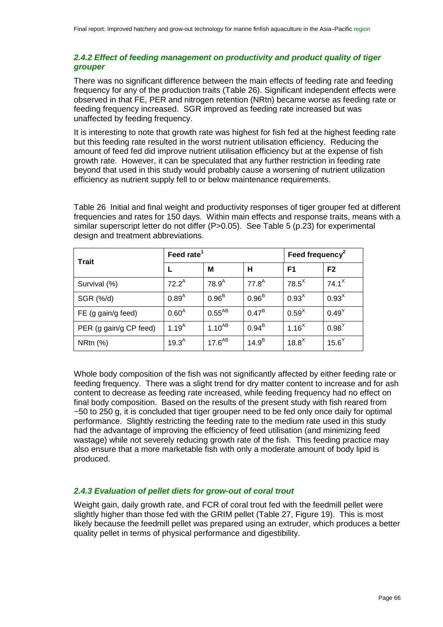## *2.4.2 Effect of feeding management on productivity and product quality of tiger grouper*

There was no significant difference between the main effects of feeding rate and feeding frequency for any of the production traits [\(Table 26\)](#page-65-0). Significant independent effects were observed in that FE, PER and nitrogen retention (NRtn) became worse as feeding rate or feeding frequency increased. SGR improved as feeding rate increased but was unaffected by feeding frequency.

It is interesting to note that growth rate was highest for fish fed at the highest feeding rate but this feeding rate resulted in the worst nutrient utilisation efficiency. Reducing the amount of feed fed did improve nutrient utilisation efficiency but at the expense of fish growth rate. However, it can be speculated that any further restriction in feeding rate beyond that used in this study would probably cause a worsening of nutrient utilization efficiency as nutrient supply fell to or below maintenance requirements.

<span id="page-65-0"></span>Table 26 Initial and final weight and productivity responses of tiger grouper fed at different frequencies and rates for 150 days. Within main effects and response traits, means with a similar superscript letter do not differ (P>0.05). See [Table 5](#page-22-0) (p[.23\)](#page-22-0) for experimental design and treatment abbreviations.

| <b>Trait</b>           | Feed rate <sup>1</sup> |                   |                   | Feed frequency <sup>2</sup> |                   |
|------------------------|------------------------|-------------------|-------------------|-----------------------------|-------------------|
|                        |                        | М                 | н                 | F <sub>1</sub>              | F <sub>2</sub>    |
| Survival (%)           | $72.2^A$               | $78.9^{A}$        | $77.8^A$          | $78.5^{\textstyle\times}$   | 74.1 <sup>X</sup> |
| SGR (%/d)              | $0.89^{A}$             | 0.96 <sup>B</sup> | 0.96 <sup>B</sup> | 0.93 <sup>X</sup>           | 0.93 <sup>X</sup> |
| FE (g gain/g feed)     | $0.60^{A}$             | $0.55^{AB}$       | $0.47^{\text{B}}$ | 0.59 <sup>X</sup>           | $0.49^Y$          |
| PER (g gain/g CP feed) | 1.19 <sup>A</sup>      | $1.10^{AB}$       | $0.94^B$          | 1.16 <sup>X</sup>           | $0.98^Y$          |
| <b>NRtn</b> (%)        | $19.3^{A}$             | $17.6^{AB}$       | 14.9 <sup>B</sup> | $18.8^X$                    | 15.6 <sup>Y</sup> |

Whole body composition of the fish was not significantly affected by either feeding rate or feeding frequency. There was a slight trend for dry matter content to increase and for ash content to decrease as feeding rate increased, while feeding frequency had no effect on final body composition. Based on the results of the present study with fish reared from  $\sim$  50 to 250 g, it is concluded that tiger grouper need to be fed only once daily for optimal performance. Slightly restricting the feeding rate to the medium rate used in this study had the advantage of improving the efficiency of feed utilisation (and minimizing feed wastage) while not severely reducing growth rate of the fish. This feeding practice may also ensure that a more marketable fish with only a moderate amount of body lipid is produced.

## *2.4.3 Evaluation of pellet diets for grow-out of coral trout*

Weight gain, daily growth rate, and FCR of coral trout fed with the feedmill pellet were slightly higher than those fed with the GRIM pellet [\(Table 27,](#page-66-0) [Figure 19\)](#page-66-1). This is most likely because the feedmill pellet was prepared using an extruder, which produces a better quality pellet in terms of physical performance and digestibility.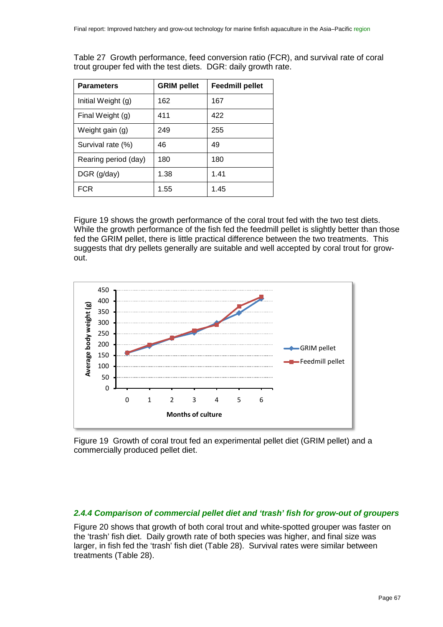| <b>Parameters</b>    | <b>GRIM pellet</b> | <b>Feedmill pellet</b> |
|----------------------|--------------------|------------------------|
| Initial Weight (g)   | 162                | 167                    |
| Final Weight (g)     | 411                | 422                    |
| Weight gain (g)      | 249                | 255                    |
| Survival rate (%)    | 46                 | 49                     |
| Rearing period (day) | 180                | 180                    |
| DGR (g/day)          | 1.38               | 1.41                   |
| FCR                  | 1.55               | 1.45                   |

<span id="page-66-0"></span>Table 27 Growth performance, feed conversion ratio (FCR), and survival rate of coral trout grouper fed with the test diets. DGR: daily growth rate.

[Figure 19](#page-66-1) shows the growth performance of the coral trout fed with the two test diets. While the growth performance of the fish fed the feedmill pellet is slightly better than those fed the GRIM pellet, there is little practical difference between the two treatments. This suggests that dry pellets generally are suitable and well accepted by coral trout for growout.



<span id="page-66-1"></span>Figure 19 Growth of coral trout fed an experimental pellet diet (GRIM pellet) and a commercially produced pellet diet.

#### *2.4.4 Comparison of commercial pellet diet and 'trash' fish for grow-out of groupers*

[Figure 20](#page-67-0) shows that growth of both coral trout and white-spotted grouper was faster on the 'trash' fish diet. Daily growth rate of both species was higher, and final size was larger, in fish fed the 'trash' fish diet [\(Table 28\)](#page-67-1). Survival rates were similar between treatments [\(Table 28\)](#page-67-1).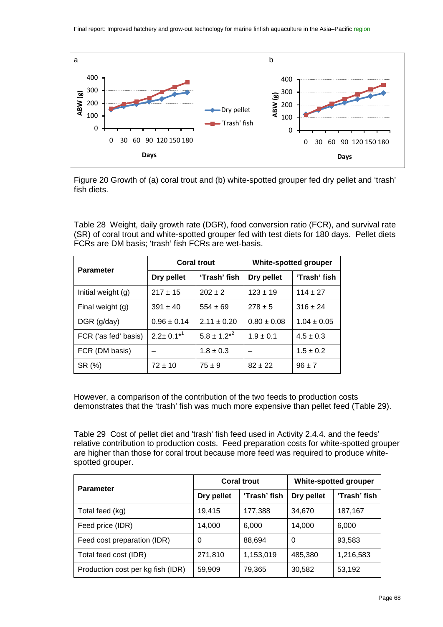

<span id="page-67-0"></span>Figure 20 Growth of (a) coral trout and (b) white-spotted grouper fed dry pellet and 'trash' fish diets.

<span id="page-67-1"></span>Table 28 Weight, daily growth rate (DGR), food conversion ratio (FCR), and survival rate (SR) of coral trout and white-spotted grouper fed with test diets for 180 days. Pellet diets FCRs are DM basis; 'trash' fish FCRs are wet-basis.

| <b>Parameter</b>     | <b>Coral trout</b> |                    | White-spotted grouper |                 |  |
|----------------------|--------------------|--------------------|-----------------------|-----------------|--|
|                      | Dry pellet         | 'Trash' fish       | Dry pellet            | 'Trash' fish    |  |
| Initial weight (g)   | $217 \pm 15$       | $202 + 2$          | $123 \pm 19$          | $114 \pm 27$    |  |
| Final weight (g)     | $391 \pm 40$       | $554 \pm 69$       | $278 \pm 5$           | $316 \pm 24$    |  |
| DGR (g/day)          | $0.96 \pm 0.14$    | $2.11 \pm 0.20$    | $0.80 \pm 0.08$       | $1.04 \pm 0.05$ |  |
| FCR ('as fed' basis) | $2.2 \pm 0.1^{*1}$ | $5.8 \pm 1.2^{*2}$ | $1.9 \pm 0.1$         | $4.5 \pm 0.3$   |  |
| FCR (DM basis)       |                    | $1.8 \pm 0.3$      |                       | $1.5 \pm 0.2$   |  |
| SR (%)               | $72 \pm 10$        | $75 \pm 9$         | $82 \pm 22$           | $96 \pm 7$      |  |

However, a comparison of the contribution of the two feeds to production costs demonstrates that the 'trash' fish was much more expensive than pellet feed [\(Table 29\)](#page-67-2).

<span id="page-67-2"></span>Table 29 Cost of pellet diet and 'trash' fish feed used in Activity 2.4.4. and the feeds' relative contribution to production costs. Feed preparation costs for white-spotted grouper are higher than those for coral trout because more feed was required to produce whitespotted grouper.

| <b>Parameter</b>                  | <b>Coral trout</b> |              | <b>White-spotted grouper</b> |              |
|-----------------------------------|--------------------|--------------|------------------------------|--------------|
|                                   | Dry pellet         | 'Trash' fish | Dry pellet                   | 'Trash' fish |
| Total feed (kg)                   | 19,415             | 177,388      | 34,670                       | 187,167      |
| Feed price (IDR)                  | 14,000             | 6.000        | 14,000                       | 6.000        |
| Feed cost preparation (IDR)       | 0                  | 88,694       | 0                            | 93,583       |
| Total feed cost (IDR)             | 271,810            | 1,153,019    | 485,380                      | 1,216,583    |
| Production cost per kg fish (IDR) | 59,909             | 79,365       | 30,582                       | 53,192       |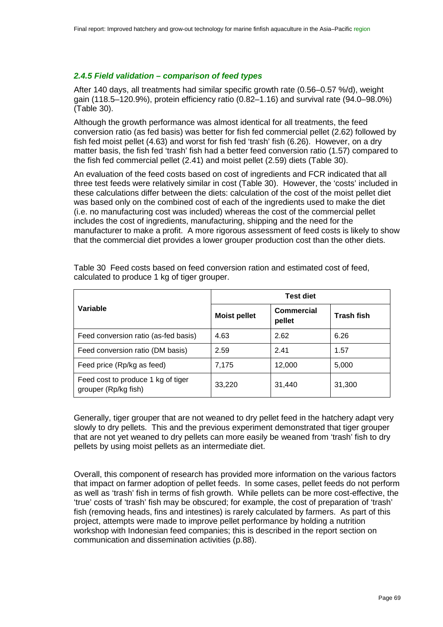#### *2.4.5 Field validation – comparison of feed types*

After 140 days, all treatments had similar specific growth rate (0.56–0.57 %/d), weight gain (118.5–120.9%), protein efficiency ratio (0.82–1.16) and survival rate (94.0–98.0%) [\(Table 30\)](#page-68-0).

Although the growth performance was almost identical for all treatments, the feed conversion ratio (as fed basis) was better for fish fed commercial pellet (2.62) followed by fish fed moist pellet (4.63) and worst for fish fed 'trash' fish (6.26). However, on a dry matter basis, the fish fed 'trash' fish had a better feed conversion ratio (1.57) compared to the fish fed commercial pellet (2.41) and moist pellet (2.59) diets [\(Table 30\)](#page-68-0).

An evaluation of the feed costs based on cost of ingredients and FCR indicated that all three test feeds were relatively similar in cost [\(Table 30\)](#page-68-0). However, the 'costs' included in these calculations differ between the diets: calculation of the cost of the moist pellet diet was based only on the combined cost of each of the ingredients used to make the diet (i.e. no manufacturing cost was included) whereas the cost of the commercial pellet includes the cost of ingredients, manufacturing, shipping and the need for the manufacturer to make a profit. A more rigorous assessment of feed costs is likely to show that the commercial diet provides a lower grouper production cost than the other diets.

|                                                            | <b>Test diet</b>    |                             |                   |  |
|------------------------------------------------------------|---------------------|-----------------------------|-------------------|--|
| Variable                                                   | <b>Moist pellet</b> | <b>Commercial</b><br>pellet | <b>Trash fish</b> |  |
| Feed conversion ratio (as-fed basis)                       | 4.63                | 2.62                        | 6.26              |  |
| Feed conversion ratio (DM basis)                           | 2.59                | 2.41                        | 1.57              |  |
| Feed price (Rp/kg as feed)                                 | 7,175               | 12,000                      | 5,000             |  |
| Feed cost to produce 1 kg of tiger<br>grouper (Rp/kg fish) | 33,220              | 31,440                      | 31,300            |  |

<span id="page-68-0"></span>Table 30 Feed costs based on feed conversion ration and estimated cost of feed, calculated to produce 1 kg of tiger grouper.

Generally, tiger grouper that are not weaned to dry pellet feed in the hatchery adapt very slowly to dry pellets. This and the previous experiment demonstrated that tiger grouper that are not yet weaned to dry pellets can more easily be weaned from 'trash' fish to dry pellets by using moist pellets as an intermediate diet.

Overall, this component of research has provided more information on the various factors that impact on farmer adoption of pellet feeds. In some cases, pellet feeds do not perform as well as 'trash' fish in terms of fish growth. While pellets can be more cost-effective, the 'true' costs of 'trash' fish may be obscured; for example, the cost of preparation of 'trash' fish (removing heads, fins and intestines) is rarely calculated by farmers. As part of this project, attempts were made to improve pellet performance by holding a nutrition workshop with Indonesian feed companies; this is described in the report section on communication and dissemination activities (p[.88\)](#page-87-0).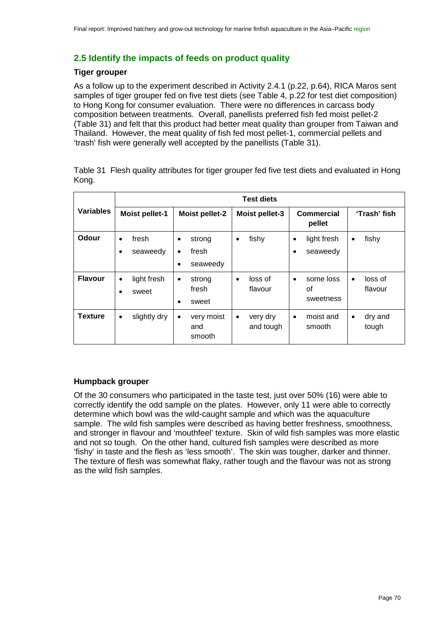## **2.5 Identify the impacts of feeds on product quality**

#### **Tiger grouper**

As a follow up to the experiment described in Activity 2.4.1 (p[.22,](#page-21-1) p[.64\)](#page-63-2), RICA Maros sent samples of tiger grouper fed on five test diets (see [Table 4,](#page-21-2) p[.22](#page-21-2) for test diet composition) to Hong Kong for consumer evaluation. There were no differences in carcass body composition between treatments. Overall, panellists preferred fish fed moist pellet-2 [\(Table 31\)](#page-69-0) and felt that this product had better meat quality than grouper from Taiwan and Thailand. However, the meat quality of fish fed most pellet-1, commercial pellets and 'trash' fish were generally well accepted by the panellists [\(Table 31\)](#page-69-0).

<span id="page-69-0"></span>Table 31 Flesh quality attributes for tiger grouper fed five test diets and evaluated in Hong Kong.

|                  | <b>Test diets</b>                                                       |                                                            |                                    |                                           |                                 |
|------------------|-------------------------------------------------------------------------|------------------------------------------------------------|------------------------------------|-------------------------------------------|---------------------------------|
| <b>Variables</b> | <b>Moist pellet-1</b><br><b>Moist pellet-2</b><br><b>Moist pellet-3</b> |                                                            | Commercial<br>pellet               | 'Trash' fish                              |                                 |
| Odour            | fresh<br>$\bullet$<br>seaweedy                                          | strong<br>٠<br>fresh<br>$\bullet$<br>seaweedy<br>$\bullet$ | fishy<br>$\bullet$                 | light fresh<br>$\bullet$<br>seaweedy<br>٠ | fishy<br>$\bullet$              |
| <b>Flavour</b>   | light fresh<br>$\bullet$<br>sweet                                       | strong<br>$\bullet$<br>fresh<br>sweet<br>$\bullet$         | loss of<br>٠<br>flavour            | some loss<br>$\bullet$<br>οf<br>sweetness | loss of<br>$\bullet$<br>flavour |
| <b>Texture</b>   | slightly dry<br>$\bullet$                                               | very moist<br>$\bullet$<br>and<br>smooth                   | very dry<br>$\bullet$<br>and tough | moist and<br>$\bullet$<br>smooth          | dry and<br>$\bullet$<br>tough   |

## **Humpback grouper**

Of the 30 consumers who participated in the taste test, just over 50% (16) were able to correctly identify the odd sample on the plates. However, only 11 were able to correctly determine which bowl was the wild-caught sample and which was the aquaculture sample. The wild fish samples were described as having better freshness, smoothness, and stronger in flavour and 'mouthfeel' texture. Skin of wild fish samples was more elastic and not so tough. On the other hand, cultured fish samples were described as more 'fishy' in taste and the flesh as 'less smooth'. The skin was tougher, darker and thinner. The texture of flesh was somewhat flaky, rather tough and the flavour was not as strong as the wild fish samples.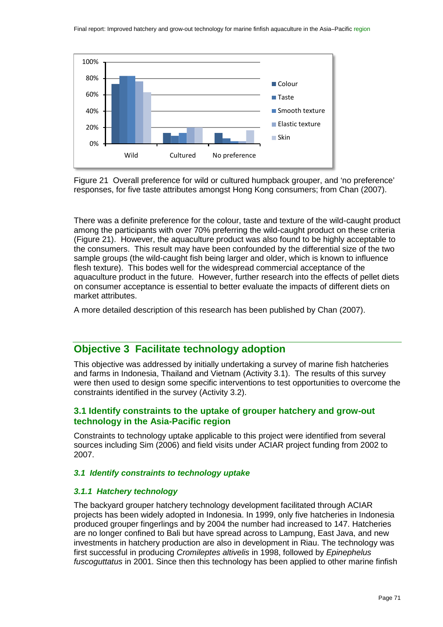

<span id="page-70-0"></span>Figure 21 Overall preference for wild or cultured humpback grouper, and 'no preference' responses, for five taste attributes amongst Hong Kong consumers; from Chan (2007).

There was a definite preference for the colour, taste and texture of the wild-caught product among the participants with over 70% preferring the wild-caught product on these criteria [\(Figure 21\)](#page-70-0). However, the aquaculture product was also found to be highly acceptable to the consumers. This result may have been confounded by the differential size of the two sample groups (the wild-caught fish being larger and older, which is known to influence flesh texture). This bodes well for the widespread commercial acceptance of the aquaculture product in the future. However, further research into the effects of pellet diets on consumer acceptance is essential to better evaluate the impacts of different diets on market attributes.

A more detailed description of this research has been published by Chan (2007).

## **Objective 3 Facilitate technology adoption**

This objective was addressed by initially undertaking a survey of marine fish hatcheries and farms in Indonesia, Thailand and Vietnam (Activity 3.1). The results of this survey were then used to design some specific interventions to test opportunities to overcome the constraints identified in the survey (Activity 3.2).

## **3.1 Identify constraints to the uptake of grouper hatchery and grow-out technology in the Asia-Pacific region**

Constraints to technology uptake applicable to this project were identified from several sources including Sim (2006) and field visits under ACIAR project funding from 2002 to 2007.

#### *3.1 Identify constraints to technology uptake*

#### *3.1.1 Hatchery technology*

The backyard grouper hatchery technology development facilitated through ACIAR projects has been widely adopted in Indonesia. In 1999, only five hatcheries in Indonesia produced grouper fingerlings and by 2004 the number had increased to 147. Hatcheries are no longer confined to Bali but have spread across to Lampung, East Java, and new investments in hatchery production are also in development in Riau. The technology was first successful in producing *Cromileptes altivelis* in 1998, followed by *Epinephelus fuscoguttatus* in 2001. Since then this technology has been applied to other marine finfish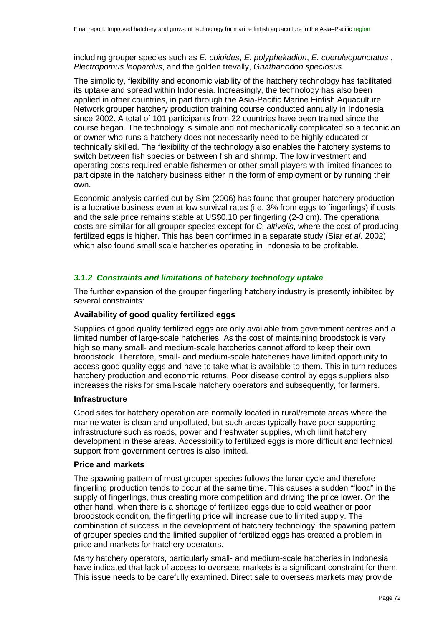including grouper species such as *E. coioides*, *E. polyphekadion*, *E. coeruleopunctatus* , *Plectropomus leopardus*, and the golden trevally, *Gnathanodon speciosus*.

The simplicity, flexibility and economic viability of the hatchery technology has facilitated its uptake and spread within Indonesia. Increasingly, the technology has also been applied in other countries, in part through the Asia-Pacific Marine Finfish Aquaculture Network grouper hatchery production training course conducted annually in Indonesia since 2002. A total of 101 participants from 22 countries have been trained since the course began. The technology is simple and not mechanically complicated so a technician or owner who runs a hatchery does not necessarily need to be highly educated or technically skilled. The flexibility of the technology also enables the hatchery systems to switch between fish species or between fish and shrimp. The low investment and operating costs required enable fishermen or other small players with limited finances to participate in the hatchery business either in the form of employment or by running their own.

Economic analysis carried out by Sim (2006) has found that grouper hatchery production is a lucrative business even at low survival rates (i.e. 3% from eggs to fingerlings) if costs and the sale price remains stable at US\$0.10 per fingerling (2-3 cm). The operational costs are similar for all grouper species except for *C. altivelis*, where the cost of producing fertilized eggs is higher. This has been confirmed in a separate study (Siar *et al.* 2002), which also found small scale hatcheries operating in Indonesia to be profitable.

#### *3.1.2 Constraints and limitations of hatchery technology uptake*

The further expansion of the grouper fingerling hatchery industry is presently inhibited by several constraints:

#### **Availability of good quality fertilized eggs**

Supplies of good quality fertilized eggs are only available from government centres and a limited number of large-scale hatcheries. As the cost of maintaining broodstock is very high so many small- and medium-scale hatcheries cannot afford to keep their own broodstock. Therefore, small- and medium-scale hatcheries have limited opportunity to access good quality eggs and have to take what is available to them. This in turn reduces hatchery production and economic returns. Poor disease control by eggs suppliers also increases the risks for small-scale hatchery operators and subsequently, for farmers.

#### **Infrastructure**

Good sites for hatchery operation are normally located in rural/remote areas where the marine water is clean and unpolluted, but such areas typically have poor supporting infrastructure such as roads, power and freshwater supplies, which limit hatchery development in these areas. Accessibility to fertilized eggs is more difficult and technical support from government centres is also limited.

#### **Price and markets**

The spawning pattern of most grouper species follows the lunar cycle and therefore fingerling production tends to occur at the same time. This causes a sudden "flood" in the supply of fingerlings, thus creating more competition and driving the price lower. On the other hand, when there is a shortage of fertilized eggs due to cold weather or poor broodstock condition, the fingerling price will increase due to limited supply. The combination of success in the development of hatchery technology, the spawning pattern of grouper species and the limited supplier of fertilized eggs has created a problem in price and markets for hatchery operators.

Many hatchery operators, particularly small- and medium-scale hatcheries in Indonesia have indicated that lack of access to overseas markets is a significant constraint for them. This issue needs to be carefully examined. Direct sale to overseas markets may provide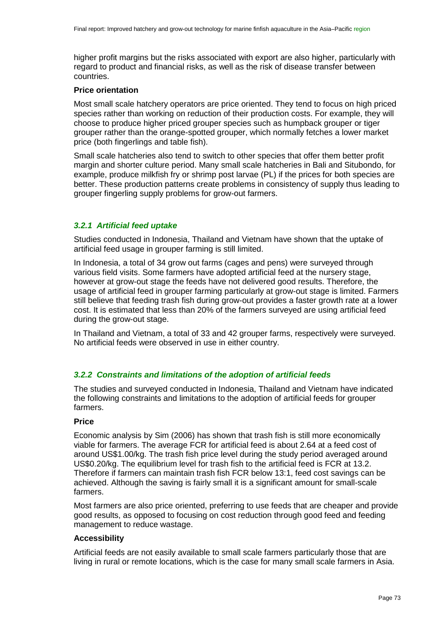higher profit margins but the risks associated with export are also higher, particularly with regard to product and financial risks, as well as the risk of disease transfer between countries.

#### **Price orientation**

Most small scale hatchery operators are price oriented. They tend to focus on high priced species rather than working on reduction of their production costs. For example, they will choose to produce higher priced grouper species such as humpback grouper or tiger grouper rather than the orange-spotted grouper, which normally fetches a lower market price (both fingerlings and table fish).

Small scale hatcheries also tend to switch to other species that offer them better profit margin and shorter culture period. Many small scale hatcheries in Bali and Situbondo, for example, produce milkfish fry or shrimp post larvae (PL) if the prices for both species are better. These production patterns create problems in consistency of supply thus leading to grouper fingerling supply problems for grow-out farmers.

## *3.2.1 Artificial feed uptake*

Studies conducted in Indonesia, Thailand and Vietnam have shown that the uptake of artificial feed usage in grouper farming is still limited.

In Indonesia, a total of 34 grow out farms (cages and pens) were surveyed through various field visits. Some farmers have adopted artificial feed at the nursery stage, however at grow-out stage the feeds have not delivered good results. Therefore, the usage of artificial feed in grouper farming particularly at grow-out stage is limited. Farmers still believe that feeding trash fish during grow-out provides a faster growth rate at a lower cost. It is estimated that less than 20% of the farmers surveyed are using artificial feed during the grow-out stage.

In Thailand and Vietnam, a total of 33 and 42 grouper farms, respectively were surveyed. No artificial feeds were observed in use in either country.

# *3.2.2 Constraints and limitations of the adoption of artificial feeds*

The studies and surveyed conducted in Indonesia, Thailand and Vietnam have indicated the following constraints and limitations to the adoption of artificial feeds for grouper farmers.

#### **Price**

Economic analysis by Sim (2006) has shown that trash fish is still more economically viable for farmers. The average FCR for artificial feed is about 2.64 at a feed cost of around US\$1.00/kg. The trash fish price level during the study period averaged around US\$0.20/kg. The equilibrium level for trash fish to the artificial feed is FCR at 13.2. Therefore if farmers can maintain trash fish FCR below 13:1, feed cost savings can be achieved. Although the saving is fairly small it is a significant amount for small-scale farmers.

Most farmers are also price oriented, preferring to use feeds that are cheaper and provide good results, as opposed to focusing on cost reduction through good feed and feeding management to reduce wastage.

#### **Accessibility**

Artificial feeds are not easily available to small scale farmers particularly those that are living in rural or remote locations, which is the case for many small scale farmers in Asia.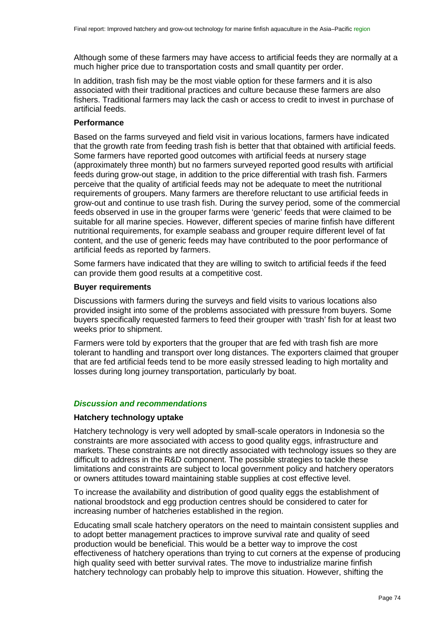Although some of these farmers may have access to artificial feeds they are normally at a much higher price due to transportation costs and small quantity per order.

In addition, trash fish may be the most viable option for these farmers and it is also associated with their traditional practices and culture because these farmers are also fishers. Traditional farmers may lack the cash or access to credit to invest in purchase of artificial feeds.

#### **Performance**

Based on the farms surveyed and field visit in various locations, farmers have indicated that the growth rate from feeding trash fish is better that that obtained with artificial feeds. Some farmers have reported good outcomes with artificial feeds at nursery stage (approximately three month) but no farmers surveyed reported good results with artificial feeds during grow-out stage, in addition to the price differential with trash fish. Farmers perceive that the quality of artificial feeds may not be adequate to meet the nutritional requirements of groupers. Many farmers are therefore reluctant to use artificial feeds in grow-out and continue to use trash fish. During the survey period, some of the commercial feeds observed in use in the grouper farms were 'generic' feeds that were claimed to be suitable for all marine species. However, different species of marine finfish have different nutritional requirements, for example seabass and grouper require different level of fat content, and the use of generic feeds may have contributed to the poor performance of artificial feeds as reported by farmers.

Some farmers have indicated that they are willing to switch to artificial feeds if the feed can provide them good results at a competitive cost.

#### **Buyer requirements**

Discussions with farmers during the surveys and field visits to various locations also provided insight into some of the problems associated with pressure from buyers. Some buyers specifically requested farmers to feed their grouper with 'trash' fish for at least two weeks prior to shipment.

Farmers were told by exporters that the grouper that are fed with trash fish are more tolerant to handling and transport over long distances. The exporters claimed that grouper that are fed artificial feeds tend to be more easily stressed leading to high mortality and losses during long journey transportation, particularly by boat.

#### *Discussion and recommendations*

#### **Hatchery technology uptake**

Hatchery technology is very well adopted by small-scale operators in Indonesia so the constraints are more associated with access to good quality eggs, infrastructure and markets. These constraints are not directly associated with technology issues so they are difficult to address in the R&D component. The possible strategies to tackle these limitations and constraints are subject to local government policy and hatchery operators or owners attitudes toward maintaining stable supplies at cost effective level.

To increase the availability and distribution of good quality eggs the establishment of national broodstock and egg production centres should be considered to cater for increasing number of hatcheries established in the region.

Educating small scale hatchery operators on the need to maintain consistent supplies and to adopt better management practices to improve survival rate and quality of seed production would be beneficial. This would be a better way to improve the cost effectiveness of hatchery operations than trying to cut corners at the expense of producing high quality seed with better survival rates. The move to industrialize marine finfish hatchery technology can probably help to improve this situation. However, shifting the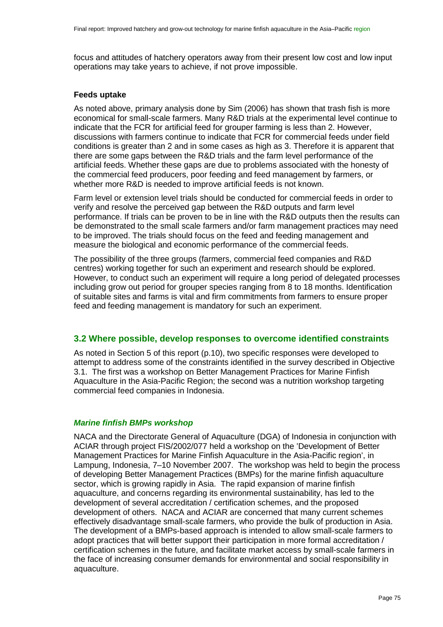focus and attitudes of hatchery operators away from their present low cost and low input operations may take years to achieve, if not prove impossible.

#### **Feeds uptake**

As noted above, primary analysis done by Sim (2006) has shown that trash fish is more economical for small-scale farmers. Many R&D trials at the experimental level continue to indicate that the FCR for artificial feed for grouper farming is less than 2. However, discussions with farmers continue to indicate that FCR for commercial feeds under field conditions is greater than 2 and in some cases as high as 3. Therefore it is apparent that there are some gaps between the R&D trials and the farm level performance of the artificial feeds. Whether these gaps are due to problems associated with the honesty of the commercial feed producers, poor feeding and feed management by farmers, or whether more R&D is needed to improve artificial feeds is not known.

Farm level or extension level trials should be conducted for commercial feeds in order to verify and resolve the perceived gap between the R&D outputs and farm level performance. If trials can be proven to be in line with the R&D outputs then the results can be demonstrated to the small scale farmers and/or farm management practices may need to be improved. The trials should focus on the feed and feeding management and measure the biological and economic performance of the commercial feeds.

The possibility of the three groups (farmers, commercial feed companies and R&D centres) working together for such an experiment and research should be explored. However, to conduct such an experiment will require a long period of delegated processes including grow out period for grouper species ranging from 8 to 18 months. Identification of suitable sites and farms is vital and firm commitments from farmers to ensure proper feed and feeding management is mandatory for such an experiment.

# **3.2 Where possible, develop responses to overcome identified constraints**

As noted in Section 5 of this report (p[.10\)](#page-9-0), two specific responses were developed to attempt to address some of the constraints identified in the survey described in Objective 3.1. The first was a workshop on Better Management Practices for Marine Finfish Aquaculture in the Asia-Pacific Region; the second was a nutrition workshop targeting commercial feed companies in Indonesia.

#### *Marine finfish BMPs workshop*

NACA and the Directorate General of Aquaculture (DGA) of Indonesia in conjunction with ACIAR through project FIS/2002/077 held a workshop on the 'Development of Better Management Practices for Marine Finfish Aquaculture in the Asia-Pacific region', in Lampung, Indonesia, 7–10 November 2007. The workshop was held to begin the process of developing Better Management Practices (BMPs) for the marine finfish aquaculture sector, which is growing rapidly in Asia. The rapid expansion of marine finfish aquaculture, and concerns regarding its environmental sustainability, has led to the development of several accreditation / certification schemes, and the proposed development of others. NACA and ACIAR are concerned that many current schemes effectively disadvantage small-scale farmers, who provide the bulk of production in Asia. The development of a BMPs-based approach is intended to allow small-scale farmers to adopt practices that will better support their participation in more formal accreditation / certification schemes in the future, and facilitate market access by small-scale farmers in the face of increasing consumer demands for environmental and social responsibility in aquaculture.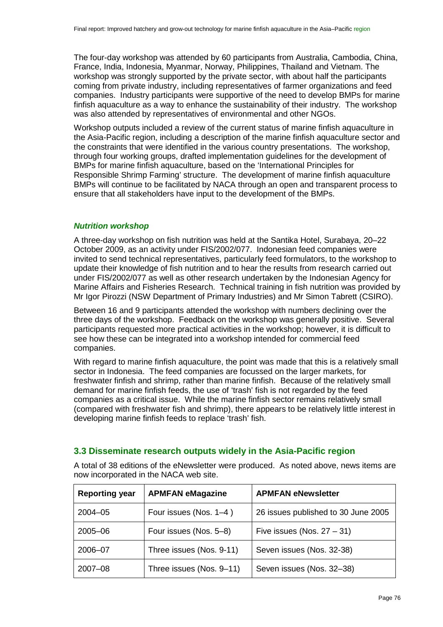The four-day workshop was attended by 60 participants from Australia, Cambodia, China, France, India, Indonesia, Myanmar, Norway, Philippines, Thailand and Vietnam. The workshop was strongly supported by the private sector, with about half the participants coming from private industry, including representatives of farmer organizations and feed companies. Industry participants were supportive of the need to develop BMPs for marine finfish aquaculture as a way to enhance the sustainability of their industry. The workshop was also attended by representatives of environmental and other NGOs.

Workshop outputs included a review of the current status of marine finfish aquaculture in the Asia-Pacific region, including a description of the marine finfish aquaculture sector and the constraints that were identified in the various country presentations. The workshop, through four working groups, drafted implementation guidelines for the development of BMPs for marine finfish aquaculture, based on the 'International Principles for Responsible Shrimp Farming' structure. The development of marine finfish aquaculture BMPs will continue to be facilitated by NACA through an open and transparent process to ensure that all stakeholders have input to the development of the BMPs.

## *Nutrition workshop*

A three-day workshop on fish nutrition was held at the Santika Hotel, Surabaya, 20–22 October 2009, as an activity under FIS/2002/077. Indonesian feed companies were invited to send technical representatives, particularly feed formulators, to the workshop to update their knowledge of fish nutrition and to hear the results from research carried out under FIS/2002/077 as well as other research undertaken by the Indonesian Agency for Marine Affairs and Fisheries Research. Technical training in fish nutrition was provided by Mr Igor Pirozzi (NSW Department of Primary Industries) and Mr Simon Tabrett (CSIRO).

Between 16 and 9 participants attended the workshop with numbers declining over the three days of the workshop. Feedback on the workshop was generally positive. Several participants requested more practical activities in the workshop; however, it is difficult to see how these can be integrated into a workshop intended for commercial feed companies.

With regard to marine finfish aquaculture, the point was made that this is a relatively small sector in Indonesia. The feed companies are focussed on the larger markets, for freshwater finfish and shrimp, rather than marine finfish. Because of the relatively small demand for marine finfish feeds, the use of 'trash' fish is not regarded by the feed companies as a critical issue. While the marine finfish sector remains relatively small (compared with freshwater fish and shrimp), there appears to be relatively little interest in developing marine finfish feeds to replace 'trash' fish.

# **3.3 Disseminate research outputs widely in the Asia-Pacific region**

A total of 38 editions of the eNewsletter were produced. As noted above, news items are now incorporated in the NACA web site.

| <b>Reporting year</b> | <b>APMFAN eMagazine</b>  | <b>APMFAN eNewsletter</b>           |
|-----------------------|--------------------------|-------------------------------------|
| $2004 - 05$           | Four issues (Nos. 1-4)   | 26 issues published to 30 June 2005 |
| 2005-06               | Four issues (Nos. 5–8)   | Five issues (Nos. $27 - 31$ )       |
| 2006-07               | Three issues (Nos. 9-11) | Seven issues (Nos. 32-38)           |
| 2007-08               | Three issues (Nos. 9-11) | Seven issues (Nos. 32-38)           |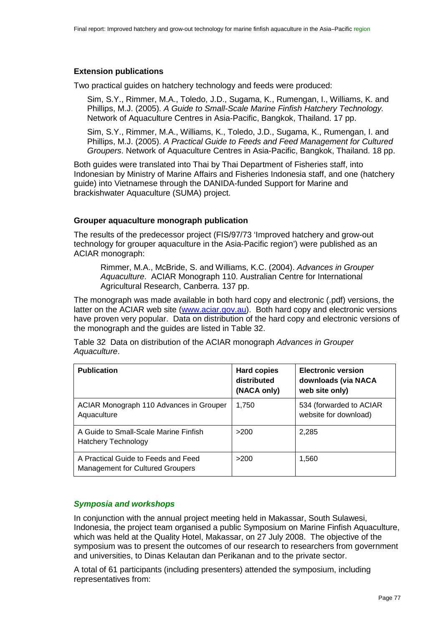# **Extension publications**

Two practical guides on hatchery technology and feeds were produced:

Sim, S.Y., Rimmer, M.A., Toledo, J.D., Sugama, K., Rumengan, I., Williams, K. and Phillips, M.J. (2005). *A Guide to Small-Scale Marine Finfish Hatchery Technology.*  Network of Aquaculture Centres in Asia-Pacific, Bangkok, Thailand. 17 pp.

Sim, S.Y., Rimmer, M.A., Williams, K., Toledo, J.D., Sugama, K., Rumengan, I. and Phillips, M.J. (2005). *A Practical Guide to Feeds and Feed Management for Cultured Groupers*. Network of Aquaculture Centres in Asia-Pacific, Bangkok, Thailand. 18 pp.

Both guides were translated into Thai by Thai Department of Fisheries staff, into Indonesian by Ministry of Marine Affairs and Fisheries Indonesia staff, and one (hatchery guide) into Vietnamese through the DANIDA-funded Support for Marine and brackishwater Aquaculture (SUMA) project.

## **Grouper aquaculture monograph publication**

The results of the predecessor project (FIS/97/73 'Improved hatchery and grow-out technology for grouper aquaculture in the Asia-Pacific region') were published as an ACIAR monograph:

Rimmer, M.A., McBride, S. and Williams, K.C. (2004). *Advances in Grouper Aquaculture*. ACIAR Monograph 110. Australian Centre for International Agricultural Research, Canberra. 137 pp.

The monograph was made available in both hard copy and electronic (.pdf) versions, the latter on the ACIAR web site [\(www.aciar.gov.au\)](http://www.aciar.gov.au/). Both hard copy and electronic versions have proven very popular. Data on distribution of the hard copy and electronic versions of the monograph and the guides are listed in [Table 32.](#page-76-0)

<span id="page-76-0"></span>Table 32 Data on distribution of the ACIAR monograph *Advances in Grouper Aquaculture*.

| <b>Publication</b>                                                             | <b>Hard copies</b><br>distributed<br>(NACA only) | <b>Electronic version</b><br>downloads (via NACA<br>web site only) |
|--------------------------------------------------------------------------------|--------------------------------------------------|--------------------------------------------------------------------|
| ACIAR Monograph 110 Advances in Grouper<br>Aquaculture                         | 1,750                                            | 534 (forwarded to ACIAR<br>website for download)                   |
| A Guide to Small-Scale Marine Finfish<br>Hatchery Technology                   | >200                                             | 2,285                                                              |
| A Practical Guide to Feeds and Feed<br><b>Management for Cultured Groupers</b> | >200                                             | 1,560                                                              |

# *Symposia and workshops*

In conjunction with the annual project meeting held in Makassar, South Sulawesi, Indonesia, the project team organised a public Symposium on Marine Finfish Aquaculture, which was held at the Quality Hotel, Makassar, on 27 July 2008. The objective of the symposium was to present the outcomes of our research to researchers from government and universities, to Dinas Kelautan dan Perikanan and to the private sector.

A total of 61 participants (including presenters) attended the symposium, including representatives from: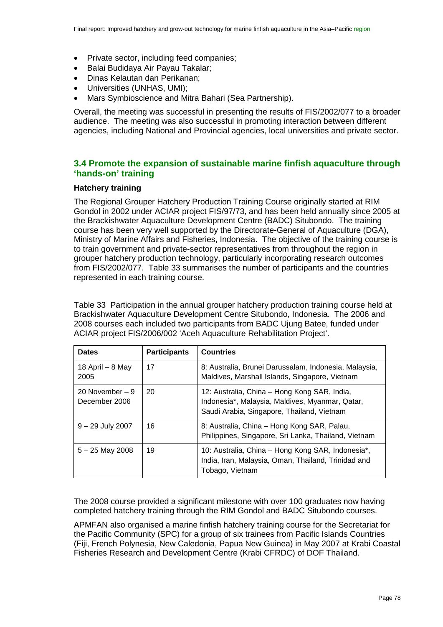- Private sector, including feed companies;
- Balai Budidaya Air Payau Takalar;
- Dinas Kelautan dan Perikanan;
- Universities (UNHAS, UMI);
- Mars Symbioscience and Mitra Bahari (Sea Partnership).

Overall, the meeting was successful in presenting the results of FIS/2002/077 to a broader audience. The meeting was also successful in promoting interaction between different agencies, including National and Provincial agencies, local universities and private sector.

# **3.4 Promote the expansion of sustainable marine finfish aquaculture through 'hands-on' training**

#### **Hatchery training**

The Regional Grouper Hatchery Production Training Course originally started at RIM Gondol in 2002 under ACIAR project FIS/97/73, and has been held annually since 2005 at the Brackishwater Aquaculture Development Centre (BADC) Situbondo. The training course has been very well supported by the Directorate-General of Aquaculture (DGA), Ministry of Marine Affairs and Fisheries, Indonesia. The objective of the training course is to train government and private-sector representatives from throughout the region in grouper hatchery production technology, particularly incorporating research outcomes from FIS/2002/077. [Table 33](#page-77-0) summarises the number of participants and the countries represented in each training course.

<span id="page-77-0"></span>Table 33 Participation in the annual grouper hatchery production training course held at Brackishwater Aquaculture Development Centre Situbondo, Indonesia. The 2006 and 2008 courses each included two participants from BADC Ujung Batee, funded under ACIAR project FIS/2006/002 'Aceh Aquaculture Rehabilitation Project'.

| <b>Dates</b>                      | <b>Participants</b> | <b>Countries</b>                                                                                                                              |
|-----------------------------------|---------------------|-----------------------------------------------------------------------------------------------------------------------------------------------|
| 18 April $-$ 8 May<br>2005        | 17                  | 8: Australia, Brunei Darussalam, Indonesia, Malaysia,<br>Maldives, Marshall Islands, Singapore, Vietnam                                       |
| 20 November $-9$<br>December 2006 | 20                  | 12: Australia, China – Hong Kong SAR, India,<br>Indonesia*, Malaysia, Maldives, Myanmar, Qatar,<br>Saudi Arabia, Singapore, Thailand, Vietnam |
| $9 - 29$ July 2007                | 16                  | 8: Australia, China – Hong Kong SAR, Palau,<br>Philippines, Singapore, Sri Lanka, Thailand, Vietnam                                           |
| $5 - 25$ May 2008                 | 19                  | 10: Australia, China – Hong Kong SAR, Indonesia*,<br>India, Iran, Malaysia, Oman, Thailand, Trinidad and<br>Tobago, Vietnam                   |

The 2008 course provided a significant milestone with over 100 graduates now having completed hatchery training through the RIM Gondol and BADC Situbondo courses.

APMFAN also organised a marine finfish hatchery training course for the Secretariat for the Pacific Community (SPC) for a group of six trainees from Pacific Islands Countries (Fiji, French Polynesia, New Caledonia, Papua New Guinea) in May 2007 at Krabi Coastal Fisheries Research and Development Centre (Krabi CFRDC) of DOF Thailand.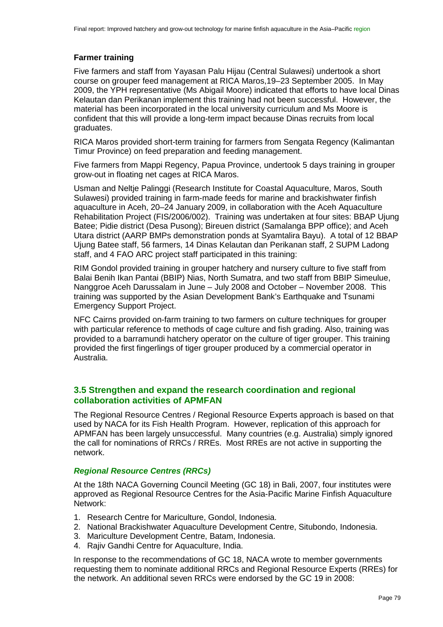# **Farmer training**

Five farmers and staff from Yayasan Palu Hijau (Central Sulawesi) undertook a short course on grouper feed management at RICA Maros,19–23 September 2005. In May 2009, the YPH representative (Ms Abigail Moore) indicated that efforts to have local Dinas Kelautan dan Perikanan implement this training had not been successful. However, the material has been incorporated in the local university curriculum and Ms Moore is confident that this will provide a long-term impact because Dinas recruits from local graduates.

RICA Maros provided short-term training for farmers from Sengata Regency (Kalimantan Timur Province) on feed preparation and feeding management.

Five farmers from Mappi Regency, Papua Province, undertook 5 days training in grouper grow-out in floating net cages at RICA Maros.

Usman and Neltje Palinggi (Research Institute for Coastal Aquaculture, Maros, South Sulawesi) provided training in farm-made feeds for marine and brackishwater finfish aquaculture in Aceh, 20–24 January 2009, in collaboration with the Aceh Aquaculture Rehabilitation Project (FIS/2006/002). Training was undertaken at four sites: BBAP Ujung Batee; Pidie district (Desa Pusong); Bireuen district (Samalanga BPP office); and Aceh Utara district (AARP BMPs demonstration ponds at Syamtalira Bayu). A total of 12 BBAP Ujung Batee staff, 56 farmers, 14 Dinas Kelautan dan Perikanan staff, 2 SUPM Ladong staff, and 4 FAO ARC project staff participated in this training:

RIM Gondol provided training in grouper hatchery and nursery culture to five staff from Balai Benih Ikan Pantai (BBIP) Nias, North Sumatra, and two staff from BBIP Simeulue, Nanggroe Aceh Darussalam in June – July 2008 and October – November 2008. This training was supported by the Asian Development Bank's Earthquake and Tsunami Emergency Support Project.

NFC Cairns provided on-farm training to two farmers on culture techniques for grouper with particular reference to methods of cage culture and fish grading. Also, training was provided to a barramundi hatchery operator on the culture of tiger grouper. This training provided the first fingerlings of tiger grouper produced by a commercial operator in Australia.

# **3.5 Strengthen and expand the research coordination and regional collaboration activities of APMFAN**

The Regional Resource Centres / Regional Resource Experts approach is based on that used by NACA for its Fish Health Program. However, replication of this approach for APMFAN has been largely unsuccessful. Many countries (e.g. Australia) simply ignored the call for nominations of RRCs / RREs. Most RREs are not active in supporting the network.

# *Regional Resource Centres (RRCs)*

At the 18th NACA Governing Council Meeting (GC 18) in Bali, 2007, four institutes were approved as Regional Resource Centres for the Asia-Pacific Marine Finfish Aquaculture Network:

- 1. Research Centre for Mariculture, Gondol, Indonesia.
- 2. National Brackishwater Aquaculture Development Centre, Situbondo, Indonesia.
- 3. Mariculture Development Centre, Batam, Indonesia.
- 4. Rajiv Gandhi Centre for Aquaculture, India.

In response to the recommendations of GC 18, NACA wrote to member governments requesting them to nominate additional RRCs and Regional Resource Experts (RREs) for the network. An additional seven RRCs were endorsed by the GC 19 in 2008: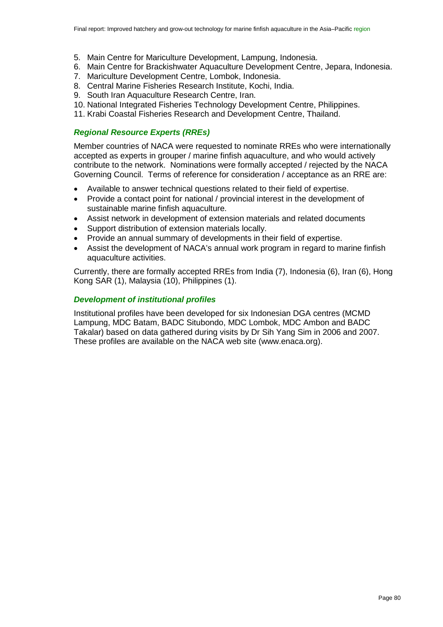- 5. Main Centre for Mariculture Development, Lampung, Indonesia.
- 6. Main Centre for Brackishwater Aquaculture Development Centre, Jepara, Indonesia.
- 7. Mariculture Development Centre, Lombok, Indonesia.
- 8. Central Marine Fisheries Research Institute, Kochi, India.
- 9. South Iran Aquaculture Research Centre, Iran.
- 10. National Integrated Fisheries Technology Development Centre, Philippines.
- 11. Krabi Coastal Fisheries Research and Development Centre, Thailand.

#### *Regional Resource Experts (RREs)*

Member countries of NACA were requested to nominate RREs who were internationally accepted as experts in grouper / marine finfish aquaculture, and who would actively contribute to the network. Nominations were formally accepted / rejected by the NACA Governing Council. Terms of reference for consideration / acceptance as an RRE are:

- Available to answer technical questions related to their field of expertise.
- Provide a contact point for national / provincial interest in the development of sustainable marine finfish aquaculture.
- Assist network in development of extension materials and related documents
- Support distribution of extension materials locally.
- Provide an annual summary of developments in their field of expertise.
- Assist the development of NACA's annual work program in regard to marine finfish aquaculture activities.

Currently, there are formally accepted RREs from India (7), Indonesia (6), Iran (6), Hong Kong SAR (1), Malaysia (10), Philippines (1).

#### *Development of institutional profiles*

Institutional profiles have been developed for six Indonesian DGA centres (MCMD Lampung, MDC Batam, BADC Situbondo, MDC Lombok, MDC Ambon and BADC Takalar) based on data gathered during visits by Dr Sih Yang Sim in 2006 and 2007. These profiles are available on the NACA web site (www.enaca.org).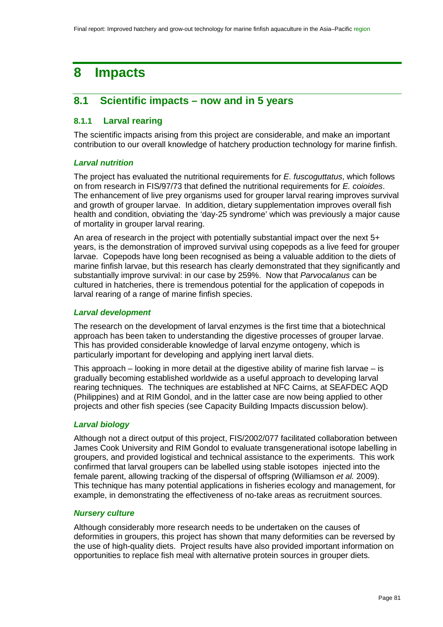# **8 Impacts**

# **8.1 Scientific impacts – now and in 5 years**

# **8.1.1 Larval rearing**

The scientific impacts arising from this project are considerable, and make an important contribution to our overall knowledge of hatchery production technology for marine finfish.

# *Larval nutrition*

The project has evaluated the nutritional requirements for *E. fuscoguttatus*, which follows on from research in FIS/97/73 that defined the nutritional requirements for *E. coioides*. The enhancement of live prey organisms used for grouper larval rearing improves survival and growth of grouper larvae. In addition, dietary supplementation improves overall fish health and condition, obviating the 'day-25 syndrome' which was previously a major cause of mortality in grouper larval rearing.

An area of research in the project with potentially substantial impact over the next 5+ years, is the demonstration of improved survival using copepods as a live feed for grouper larvae. Copepods have long been recognised as being a valuable addition to the diets of marine finfish larvae, but this research has clearly demonstrated that they significantly and substantially improve survival: in our case by 259%. Now that *Parvocalanus* can be cultured in hatcheries, there is tremendous potential for the application of copepods in larval rearing of a range of marine finfish species.

## *Larval development*

The research on the development of larval enzymes is the first time that a biotechnical approach has been taken to understanding the digestive processes of grouper larvae. This has provided considerable knowledge of larval enzyme ontogeny, which is particularly important for developing and applying inert larval diets.

This approach – looking in more detail at the digestive ability of marine fish larvae – is gradually becoming established worldwide as a useful approach to developing larval rearing techniques. The techniques are established at NFC Cairns, at SEAFDEC AQD (Philippines) and at RIM Gondol, and in the latter case are now being applied to other projects and other fish species (see Capacity Building Impacts discussion below).

# *Larval biology*

Although not a direct output of this project, FIS/2002/077 facilitated collaboration between James Cook University and RIM Gondol to evaluate transgenerational isotope labelling in groupers, and provided logistical and technical assistance to the experiments. This work confirmed that larval groupers can be labelled using stable isotopes injected into the female parent, allowing tracking of the dispersal of offspring (Williamson *et al.* 2009). This technique has many potential applications in fisheries ecology and management, for example, in demonstrating the effectiveness of no-take areas as recruitment sources.

# *Nursery culture*

Although considerably more research needs to be undertaken on the causes of deformities in groupers, this project has shown that many deformities can be reversed by the use of high-quality diets. Project results have also provided important information on opportunities to replace fish meal with alternative protein sources in grouper diets.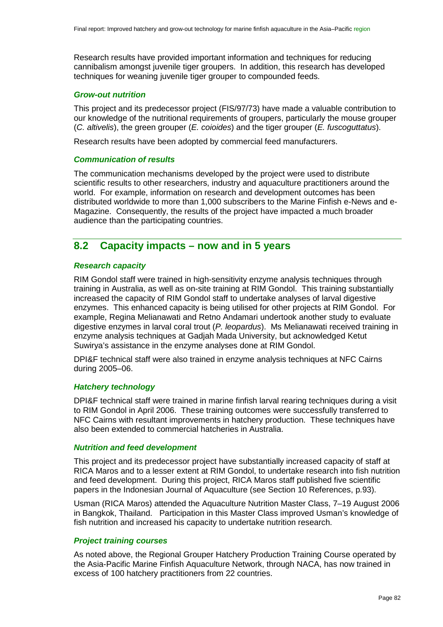Research results have provided important information and techniques for reducing cannibalism amongst juvenile tiger groupers. In addition, this research has developed techniques for weaning juvenile tiger grouper to compounded feeds.

#### *Grow-out nutrition*

This project and its predecessor project (FIS/97/73) have made a valuable contribution to our knowledge of the nutritional requirements of groupers, particularly the mouse grouper (*C. altivelis*), the green grouper (*E. coioides*) and the tiger grouper (*E. fuscoguttatus*).

Research results have been adopted by commercial feed manufacturers.

## *Communication of results*

The communication mechanisms developed by the project were used to distribute scientific results to other researchers, industry and aquaculture practitioners around the world. For example, information on research and development outcomes has been distributed worldwide to more than 1,000 subscribers to the Marine Finfish e-News and e-Magazine. Consequently, the results of the project have impacted a much broader audience than the participating countries.

# **8.2 Capacity impacts – now and in 5 years**

#### *Research capacity*

RIM Gondol staff were trained in high-sensitivity enzyme analysis techniques through training in Australia, as well as on-site training at RIM Gondol. This training substantially increased the capacity of RIM Gondol staff to undertake analyses of larval digestive enzymes. This enhanced capacity is being utilised for other projects at RIM Gondol. For example, Regina Melianawati and Retno Andamari undertook another study to evaluate digestive enzymes in larval coral trout (*P. leopardus*). Ms Melianawati received training in enzyme analysis techniques at Gadjah Mada University, but acknowledged Ketut Suwirya's assistance in the enzyme analyses done at RIM Gondol.

DPI&F technical staff were also trained in enzyme analysis techniques at NFC Cairns during 2005–06.

## *Hatchery technology*

DPI&F technical staff were trained in marine finfish larval rearing techniques during a visit to RIM Gondol in April 2006. These training outcomes were successfully transferred to NFC Cairns with resultant improvements in hatchery production. These techniques have also been extended to commercial hatcheries in Australia.

#### *Nutrition and feed development*

This project and its predecessor project have substantially increased capacity of staff at RICA Maros and to a lesser extent at RIM Gondol, to undertake research into fish nutrition and feed development. During this project, RICA Maros staff published five scientific papers in the Indonesian Journal of Aquaculture (see Section 10 [References,](#page-91-0) p[.93\)](#page-92-0).

Usman (RICA Maros) attended the Aquaculture Nutrition Master Class, 7–19 August 2006 in Bangkok, Thailand. Participation in this Master Class improved Usman's knowledge of fish nutrition and increased his capacity to undertake nutrition research.

#### *Project training courses*

As noted above, the Regional Grouper Hatchery Production Training Course operated by the Asia-Pacific Marine Finfish Aquaculture Network, through NACA, has now trained in excess of 100 hatchery practitioners from 22 countries.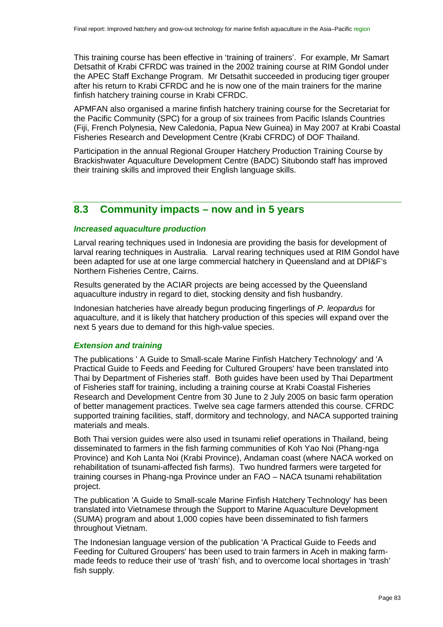This training course has been effective in 'training of trainers'. For example, Mr Samart Detsathit of Krabi CFRDC was trained in the 2002 training course at RIM Gondol under the APEC Staff Exchange Program. Mr Detsathit succeeded in producing tiger grouper after his return to Krabi CFRDC and he is now one of the main trainers for the marine finfish hatchery training course in Krabi CFRDC.

APMFAN also organised a marine finfish hatchery training course for the Secretariat for the Pacific Community (SPC) for a group of six trainees from Pacific Islands Countries (Fiji, French Polynesia, New Caledonia, Papua New Guinea) in May 2007 at Krabi Coastal Fisheries Research and Development Centre (Krabi CFRDC) of DOF Thailand.

Participation in the annual Regional Grouper Hatchery Production Training Course by Brackishwater Aquaculture Development Centre (BADC) Situbondo staff has improved their training skills and improved their English language skills.

# **8.3 Community impacts – now and in 5 years**

#### *Increased aquaculture production*

Larval rearing techniques used in Indonesia are providing the basis for development of larval rearing techniques in Australia. Larval rearing techniques used at RIM Gondol have been adapted for use at one large commercial hatchery in Queensland and at DPI&F's Northern Fisheries Centre, Cairns.

Results generated by the ACIAR projects are being accessed by the Queensland aquaculture industry in regard to diet, stocking density and fish husbandry.

Indonesian hatcheries have already begun producing fingerlings of *P. leopardus* for aquaculture, and it is likely that hatchery production of this species will expand over the next 5 years due to demand for this high-value species.

#### *Extension and training*

The publications ' A Guide to Small-scale Marine Finfish Hatchery Technology' and 'A Practical Guide to Feeds and Feeding for Cultured Groupers' have been translated into Thai by Department of Fisheries staff. Both guides have been used by Thai Department of Fisheries staff for training, including a training course at Krabi Coastal Fisheries Research and Development Centre from 30 June to 2 July 2005 on basic farm operation of better management practices. Twelve sea cage farmers attended this course. CFRDC supported training facilities, staff, dormitory and technology, and NACA supported training materials and meals.

Both Thai version guides were also used in tsunami relief operations in Thailand, being disseminated to farmers in the fish farming communities of Koh Yao Noi (Phang-nga Province) and Koh Lanta Noi (Krabi Province), Andaman coast (where NACA worked on rehabilitation of tsunami-affected fish farms). Two hundred farmers were targeted for training courses in Phang-nga Province under an FAO – NACA tsunami rehabilitation project.

The publication 'A Guide to Small-scale Marine Finfish Hatchery Technology' has been translated into Vietnamese through the Support to Marine Aquaculture Development (SUMA) program and about 1,000 copies have been disseminated to fish farmers throughout Vietnam.

The Indonesian language version of the publication 'A Practical Guide to Feeds and Feeding for Cultured Groupers' has been used to train farmers in Aceh in making farmmade feeds to reduce their use of 'trash' fish, and to overcome local shortages in 'trash' fish supply.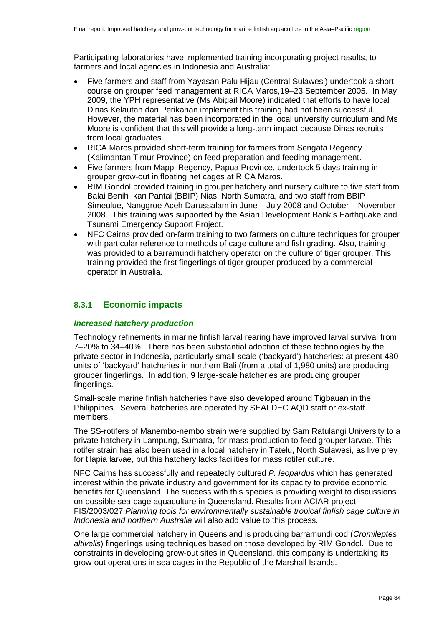Participating laboratories have implemented training incorporating project results, to farmers and local agencies in Indonesia and Australia:

- Five farmers and staff from Yayasan Palu Hijau (Central Sulawesi) undertook a short course on grouper feed management at RICA Maros,19–23 September 2005. In May 2009, the YPH representative (Ms Abigail Moore) indicated that efforts to have local Dinas Kelautan dan Perikanan implement this training had not been successful. However, the material has been incorporated in the local university curriculum and Ms Moore is confident that this will provide a long-term impact because Dinas recruits from local graduates.
- RICA Maros provided short-term training for farmers from Sengata Regency (Kalimantan Timur Province) on feed preparation and feeding management.
- Five farmers from Mappi Regency, Papua Province, undertook 5 days training in grouper grow-out in floating net cages at RICA Maros.
- RIM Gondol provided training in grouper hatchery and nursery culture to five staff from Balai Benih Ikan Pantai (BBIP) Nias, North Sumatra, and two staff from BBIP Simeulue, Nanggroe Aceh Darussalam in June – July 2008 and October – November 2008. This training was supported by the Asian Development Bank's Earthquake and Tsunami Emergency Support Project.
- NFC Cairns provided on-farm training to two farmers on culture techniques for grouper with particular reference to methods of cage culture and fish grading. Also, training was provided to a barramundi hatchery operator on the culture of tiger grouper. This training provided the first fingerlings of tiger grouper produced by a commercial operator in Australia.

# **8.3.1 Economic impacts**

#### *Increased hatchery production*

Technology refinements in marine finfish larval rearing have improved larval survival from 7–20% to 34–40%. There has been substantial adoption of these technologies by the private sector in Indonesia, particularly small-scale ('backyard') hatcheries: at present 480 units of 'backyard' hatcheries in northern Bali (from a total of 1,980 units) are producing grouper fingerlings. In addition, 9 large-scale hatcheries are producing grouper fingerlings.

Small-scale marine finfish hatcheries have also developed around Tigbauan in the Philippines. Several hatcheries are operated by SEAFDEC AQD staff or ex-staff members.

The SS-rotifers of Manembo-nembo strain were supplied by Sam Ratulangi University to a private hatchery in Lampung, Sumatra, for mass production to feed grouper larvae. This rotifer strain has also been used in a local hatchery in Tatelu, North Sulawesi, as live prey for tilapia larvae, but this hatchery lacks facilities for mass rotifer culture.

NFC Cairns has successfully and repeatedly cultured *P. leopardus* which has generated interest within the private industry and government for its capacity to provide economic benefits for Queensland. The success with this species is providing weight to discussions on possible sea-cage aquaculture in Queensland. Results from ACIAR project FIS/2003/027 *Planning tools for environmentally sustainable tropical finfish cage culture in Indonesia and northern Australia* will also add value to this process.

One large commercial hatchery in Queensland is producing barramundi cod (*Cromileptes altivelis*) fingerlings using techniques based on those developed by RIM Gondol. Due to constraints in developing grow-out sites in Queensland, this company is undertaking its grow-out operations in sea cages in the Republic of the Marshall Islands.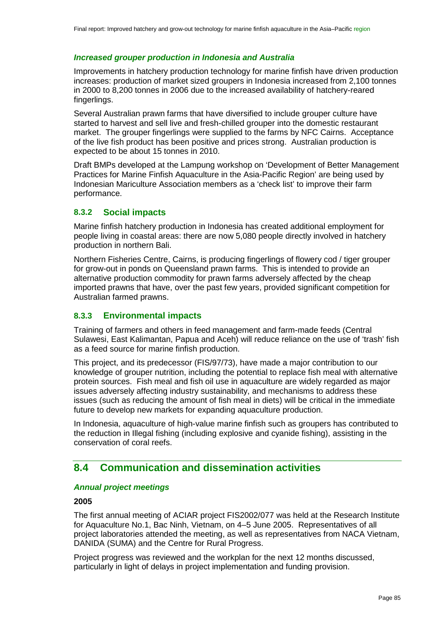#### *Increased grouper production in Indonesia and Australia*

Improvements in hatchery production technology for marine finfish have driven production increases: production of market sized groupers in Indonesia increased from 2,100 tonnes in 2000 to 8,200 tonnes in 2006 due to the increased availability of hatchery-reared fingerlings.

Several Australian prawn farms that have diversified to include grouper culture have started to harvest and sell live and fresh-chilled grouper into the domestic restaurant market. The grouper fingerlings were supplied to the farms by NFC Cairns. Acceptance of the live fish product has been positive and prices strong. Australian production is expected to be about 15 tonnes in 2010.

Draft BMPs developed at the Lampung workshop on 'Development of Better Management Practices for Marine Finfish Aquaculture in the Asia-Pacific Region' are being used by Indonesian Mariculture Association members as a 'check list' to improve their farm performance.

# **8.3.2 Social impacts**

Marine finfish hatchery production in Indonesia has created additional employment for people living in coastal areas: there are now 5,080 people directly involved in hatchery production in northern Bali.

Northern Fisheries Centre, Cairns, is producing fingerlings of flowery cod / tiger grouper for grow-out in ponds on Queensland prawn farms. This is intended to provide an alternative production commodity for prawn farms adversely affected by the cheap imported prawns that have, over the past few years, provided significant competition for Australian farmed prawns.

#### **8.3.3 Environmental impacts**

Training of farmers and others in feed management and farm-made feeds (Central Sulawesi, East Kalimantan, Papua and Aceh) will reduce reliance on the use of 'trash' fish as a feed source for marine finfish production.

This project, and its predecessor (FIS/97/73), have made a major contribution to our knowledge of grouper nutrition, including the potential to replace fish meal with alternative protein sources. Fish meal and fish oil use in aquaculture are widely regarded as major issues adversely affecting industry sustainability, and mechanisms to address these issues (such as reducing the amount of fish meal in diets) will be critical in the immediate future to develop new markets for expanding aquaculture production.

In Indonesia, aquaculture of high-value marine finfish such as groupers has contributed to the reduction in Illegal fishing (including explosive and cyanide fishing), assisting in the conservation of coral reefs.

# **8.4 Communication and dissemination activities**

#### *Annual project meetings*

#### **2005**

The first annual meeting of ACIAR project FIS2002/077 was held at the Research Institute for Aquaculture No.1, Bac Ninh, Vietnam, on 4–5 June 2005. Representatives of all project laboratories attended the meeting, as well as representatives from NACA Vietnam, DANIDA (SUMA) and the Centre for Rural Progress.

Project progress was reviewed and the workplan for the next 12 months discussed, particularly in light of delays in project implementation and funding provision.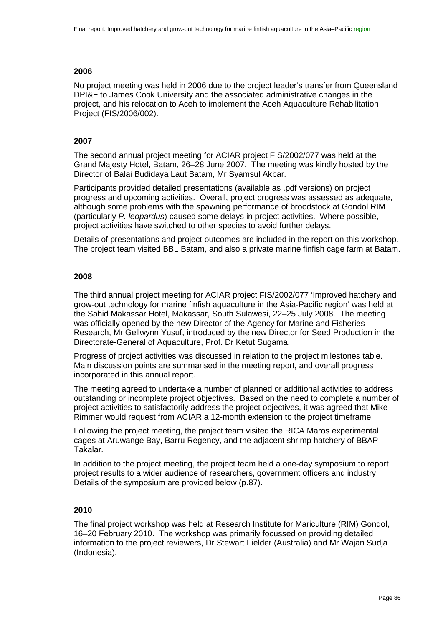## **2006**

No project meeting was held in 2006 due to the project leader's transfer from Queensland DPI&F to James Cook University and the associated administrative changes in the project, and his relocation to Aceh to implement the Aceh Aquaculture Rehabilitation Project (FIS/2006/002).

# **2007**

The second annual project meeting for ACIAR project FIS/2002/077 was held at the Grand Majesty Hotel, Batam, 26–28 June 2007. The meeting was kindly hosted by the Director of Balai Budidaya Laut Batam, Mr Syamsul Akbar.

Participants provided detailed presentations (available as .pdf versions) on project progress and upcoming activities. Overall, project progress was assessed as adequate, although some problems with the spawning performance of broodstock at Gondol RIM (particularly *P. leopardus*) caused some delays in project activities. Where possible, project activities have switched to other species to avoid further delays.

Details of presentations and project outcomes are included in the report on this workshop. The project team visited BBL Batam, and also a private marine finfish cage farm at Batam.

## **2008**

The third annual project meeting for ACIAR project FIS/2002/077 'Improved hatchery and grow-out technology for marine finfish aquaculture in the Asia-Pacific region' was held at the Sahid Makassar Hotel, Makassar, South Sulawesi, 22–25 July 2008. The meeting was officially opened by the new Director of the Agency for Marine and Fisheries Research, Mr Gellwynn Yusuf, introduced by the new Director for Seed Production in the Directorate-General of Aquaculture, Prof. Dr Ketut Sugama.

Progress of project activities was discussed in relation to the project milestones table. Main discussion points are summarised in the meeting report, and overall progress incorporated in this annual report.

The meeting agreed to undertake a number of planned or additional activities to address outstanding or incomplete project objectives. Based on the need to complete a number of project activities to satisfactorily address the project objectives, it was agreed that Mike Rimmer would request from ACIAR a 12-month extension to the project timeframe.

Following the project meeting, the project team visited the RICA Maros experimental cages at Aruwange Bay, Barru Regency, and the adjacent shrimp hatchery of BBAP Takalar.

In addition to the project meeting, the project team held a one-day symposium to report project results to a wider audience of researchers, government officers and industry. Details of the symposium are provided below (p[.87\)](#page-86-0).

# **2010**

The final project workshop was held at Research Institute for Mariculture (RIM) Gondol, 16–20 February 2010. The workshop was primarily focussed on providing detailed information to the project reviewers, Dr Stewart Fielder (Australia) and Mr Wajan Sudja (Indonesia).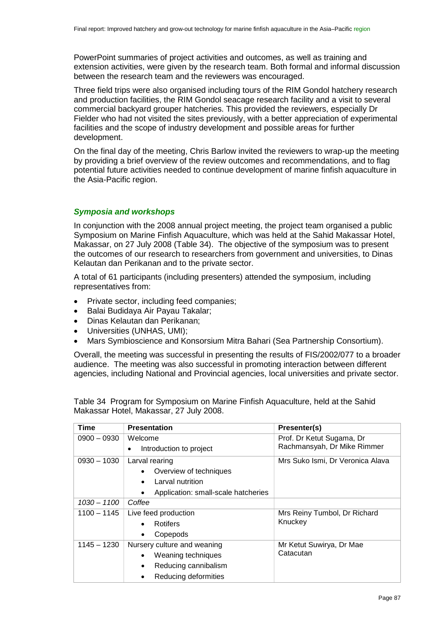PowerPoint summaries of project activities and outcomes, as well as training and extension activities, were given by the research team. Both formal and informal discussion between the research team and the reviewers was encouraged.

Three field trips were also organised including tours of the RIM Gondol hatchery research and production facilities, the RIM Gondol seacage research facility and a visit to several commercial backyard grouper hatcheries. This provided the reviewers, especially Dr Fielder who had not visited the sites previously, with a better appreciation of experimental facilities and the scope of industry development and possible areas for further development.

On the final day of the meeting, Chris Barlow invited the reviewers to wrap-up the meeting by providing a brief overview of the review outcomes and recommendations, and to flag potential future activities needed to continue development of marine finfish aquaculture in the Asia-Pacific region.

# <span id="page-86-0"></span>*Symposia and workshops*

In conjunction with the 2008 annual project meeting, the project team organised a public Symposium on Marine Finfish Aquaculture, which was held at the Sahid Makassar Hotel, Makassar, on 27 July 2008 [\(Table 34\)](#page-86-1). The objective of the symposium was to present the outcomes of our research to researchers from government and universities, to Dinas Kelautan dan Perikanan and to the private sector.

A total of 61 participants (including presenters) attended the symposium, including representatives from:

- Private sector, including feed companies;
- Balai Budidaya Air Payau Takalar;
- Dinas Kelautan dan Perikanan;
- Universities (UNHAS, UMI);
- Mars Symbioscience and Konsorsium Mitra Bahari (Sea Partnership Consortium).

Overall, the meeting was successful in presenting the results of FIS/2002/077 to a broader audience. The meeting was also successful in promoting interaction between different agencies, including National and Provincial agencies, local universities and private sector.

<span id="page-86-1"></span>Table 34 Program for Symposium on Marine Finfish Aquaculture, held at the Sahid Makassar Hotel, Makassar, 27 July 2008.

| Time          | <b>Presentation</b>                 | Presenter(s)                     |
|---------------|-------------------------------------|----------------------------------|
| $0900 - 0930$ | Welcome                             | Prof. Dr Ketut Sugama, Dr        |
|               | Introduction to project             | Rachmansyah, Dr Mike Rimmer      |
| $0930 - 1030$ | Larval rearing                      | Mrs Suko Ismi, Dr Veronica Alava |
|               | Overview of techniques              |                                  |
|               | Larval nutrition                    |                                  |
|               | Application: small-scale hatcheries |                                  |
| 1030 - 1100   | Coffee                              |                                  |
| $1100 - 1145$ | Live feed production                | Mrs Reiny Tumbol, Dr Richard     |
|               | Rotifers<br>$\bullet$               | Knuckey                          |
|               | Copepods                            |                                  |
| $1145 - 1230$ | Nursery culture and weaning         | Mr Ketut Suwirya, Dr Mae         |
|               | Weaning techniques                  | Catacutan                        |
|               | Reducing cannibalism                |                                  |
|               | Reducing deformities                |                                  |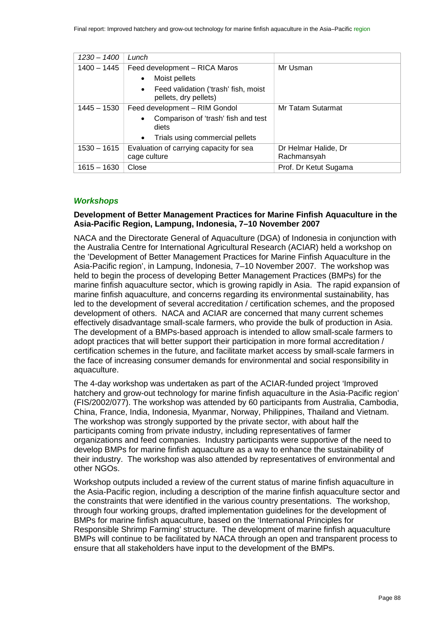| $1230 - 1400$ | Lunch                                                                      |                                     |
|---------------|----------------------------------------------------------------------------|-------------------------------------|
| $1400 - 1445$ | Feed development - RICA Maros                                              | Mr Usman                            |
|               | Moist pellets<br>$\bullet$                                                 |                                     |
|               | Feed validation ('trash' fish, moist<br>$\bullet$<br>pellets, dry pellets) |                                     |
| 1445 – 1530   | Feed development - RIM Gondol                                              | Mr Tatam Sutarmat                   |
|               | Comparison of 'trash' fish and test<br>$\bullet$<br>diets                  |                                     |
|               | Trials using commercial pellets<br>$\bullet$                               |                                     |
| $1530 - 1615$ | Evaluation of carrying capacity for sea<br>cage culture                    | Dr Helmar Halide, Dr<br>Rachmansyah |
| $1615 - 1630$ | Close                                                                      | Prof. Dr Ketut Sugama               |

## *Workshops*

## **Development of Better Management Practices for Marine Finfish Aquaculture in the Asia-Pacific Region, Lampung, Indonesia, 7–10 November 2007**

NACA and the Directorate General of Aquaculture (DGA) of Indonesia in conjunction with the Australia Centre for International Agricultural Research (ACIAR) held a workshop on the 'Development of Better Management Practices for Marine Finfish Aquaculture in the Asia-Pacific region', in Lampung, Indonesia, 7–10 November 2007. The workshop was held to begin the process of developing Better Management Practices (BMPs) for the marine finfish aquaculture sector, which is growing rapidly in Asia. The rapid expansion of marine finfish aquaculture, and concerns regarding its environmental sustainability, has led to the development of several accreditation / certification schemes, and the proposed development of others. NACA and ACIAR are concerned that many current schemes effectively disadvantage small-scale farmers, who provide the bulk of production in Asia. The development of a BMPs-based approach is intended to allow small-scale farmers to adopt practices that will better support their participation in more formal accreditation / certification schemes in the future, and facilitate market access by small-scale farmers in the face of increasing consumer demands for environmental and social responsibility in aquaculture.

The 4-day workshop was undertaken as part of the ACIAR-funded project 'Improved hatchery and grow-out technology for marine finfish aquaculture in the Asia-Pacific region' (FIS/2002/077). The workshop was attended by 60 participants from Australia, Cambodia, China, France, India, Indonesia, Myanmar, Norway, Philippines, Thailand and Vietnam. The workshop was strongly supported by the private sector, with about half the participants coming from private industry, including representatives of farmer organizations and feed companies. Industry participants were supportive of the need to develop BMPs for marine finfish aquaculture as a way to enhance the sustainability of their industry. The workshop was also attended by representatives of environmental and other NGOs.

Workshop outputs included a review of the current status of marine finfish aquaculture in the Asia-Pacific region, including a description of the marine finfish aquaculture sector and the constraints that were identified in the various country presentations. The workshop, through four working groups, drafted implementation guidelines for the development of BMPs for marine finfish aquaculture, based on the 'International Principles for Responsible Shrimp Farming' structure. The development of marine finfish aquaculture BMPs will continue to be facilitated by NACA through an open and transparent process to ensure that all stakeholders have input to the development of the BMPs.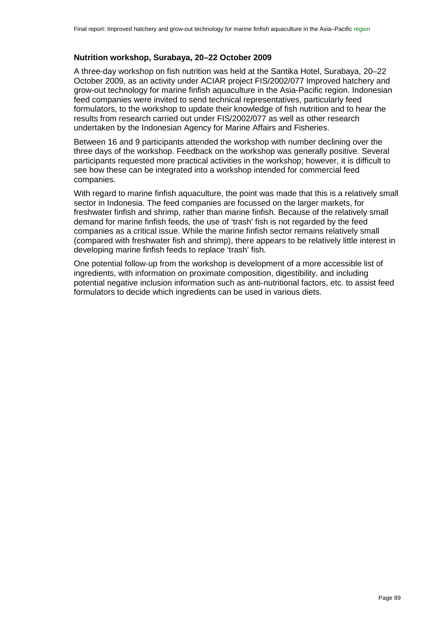# **Nutrition workshop, Surabaya, 20–22 October 2009**

A three-day workshop on fish nutrition was held at the Santika Hotel, Surabaya, 20–22 October 2009, as an activity under ACIAR project FIS/2002/077 Improved hatchery and grow-out technology for marine finfish aquaculture in the Asia-Pacific region. Indonesian feed companies were invited to send technical representatives, particularly feed formulators, to the workshop to update their knowledge of fish nutrition and to hear the results from research carried out under FIS/2002/077 as well as other research undertaken by the Indonesian Agency for Marine Affairs and Fisheries.

Between 16 and 9 participants attended the workshop with number declining over the three days of the workshop. Feedback on the workshop was generally positive. Several participants requested more practical activities in the workshop; however, it is difficult to see how these can be integrated into a workshop intended for commercial feed companies.

With regard to marine finfish aquaculture, the point was made that this is a relatively small sector in Indonesia. The feed companies are focussed on the larger markets, for freshwater finfish and shrimp, rather than marine finfish. Because of the relatively small demand for marine finfish feeds, the use of 'trash' fish is not regarded by the feed companies as a critical issue. While the marine finfish sector remains relatively small (compared with freshwater fish and shrimp), there appears to be relatively little interest in developing marine finfish feeds to replace 'trash' fish.

One potential follow-up from the workshop is development of a more accessible list of ingredients, with information on proximate composition, digestibility, and including potential negative inclusion information such as anti-nutritional factors, etc. to assist feed formulators to decide which ingredients can be used in various diets.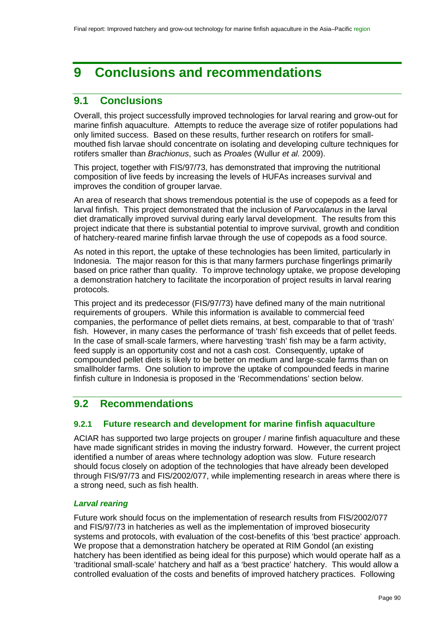# **9 Conclusions and recommendations**

# **9.1 Conclusions**

Overall, this project successfully improved technologies for larval rearing and grow-out for marine finfish aquaculture. Attempts to reduce the average size of rotifer populations had only limited success. Based on these results, further research on rotifers for smallmouthed fish larvae should concentrate on isolating and developing culture techniques for rotifers smaller than *Brachionus*, such as *Proales* (Wullur *et al.* 2009).

This project, together with FIS/97/73, has demonstrated that improving the nutritional composition of live feeds by increasing the levels of HUFAs increases survival and improves the condition of grouper larvae.

An area of research that shows tremendous potential is the use of copepods as a feed for larval finfish. This project demonstrated that the inclusion of *Parvocalanus* in the larval diet dramatically improved survival during early larval development. The results from this project indicate that there is substantial potential to improve survival, growth and condition of hatchery-reared marine finfish larvae through the use of copepods as a food source.

As noted in this report, the uptake of these technologies has been limited, particularly in Indonesia. The major reason for this is that many farmers purchase fingerlings primarily based on price rather than quality. To improve technology uptake, we propose developing a demonstration hatchery to facilitate the incorporation of project results in larval rearing protocols.

This project and its predecessor (FIS/97/73) have defined many of the main nutritional requirements of groupers. While this information is available to commercial feed companies, the performance of pellet diets remains, at best, comparable to that of 'trash' fish. However, in many cases the performance of 'trash' fish exceeds that of pellet feeds. In the case of small-scale farmers, where harvesting 'trash' fish may be a farm activity, feed supply is an opportunity cost and not a cash cost. Consequently, uptake of compounded pellet diets is likely to be better on medium and large-scale farms than on smallholder farms. One solution to improve the uptake of compounded feeds in marine finfish culture in Indonesia is proposed in the 'Recommendations' section below.

# **9.2 Recommendations**

# **9.2.1 Future research and development for marine finfish aquaculture**

ACIAR has supported two large projects on grouper / marine finfish aquaculture and these have made significant strides in moving the industry forward. However, the current project identified a number of areas where technology adoption was slow. Future research should focus closely on adoption of the technologies that have already been developed through FIS/97/73 and FIS/2002/077, while implementing research in areas where there is a strong need, such as fish health.

# *Larval rearing*

Future work should focus on the implementation of research results from FIS/2002/077 and FIS/97/73 in hatcheries as well as the implementation of improved biosecurity systems and protocols, with evaluation of the cost-benefits of this 'best practice' approach. We propose that a demonstration hatchery be operated at RIM Gondol (an existing hatchery has been identified as being ideal for this purpose) which would operate half as a 'traditional small-scale' hatchery and half as a 'best practice' hatchery. This would allow a controlled evaluation of the costs and benefits of improved hatchery practices. Following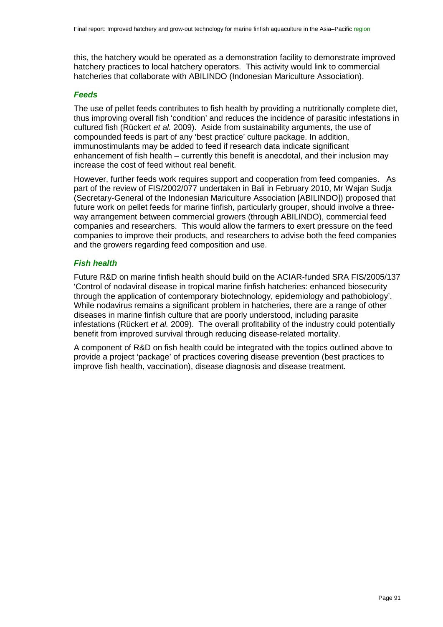this, the hatchery would be operated as a demonstration facility to demonstrate improved hatchery practices to local hatchery operators. This activity would link to commercial hatcheries that collaborate with ABILINDO (Indonesian Mariculture Association).

## *Feeds*

The use of pellet feeds contributes to fish health by providing a nutritionally complete diet, thus improving overall fish 'condition' and reduces the incidence of parasitic infestations in cultured fish (Rückert *et al.* 2009). Aside from sustainability arguments, the use of compounded feeds is part of any 'best practice' culture package. In addition, immunostimulants may be added to feed if research data indicate significant enhancement of fish health – currently this benefit is anecdotal, and their inclusion may increase the cost of feed without real benefit.

However, further feeds work requires support and cooperation from feed companies. As part of the review of FIS/2002/077 undertaken in Bali in February 2010, Mr Wajan Sudja (Secretary-General of the Indonesian Mariculture Association [ABILINDO]) proposed that future work on pellet feeds for marine finfish, particularly grouper, should involve a threeway arrangement between commercial growers (through ABILINDO), commercial feed companies and researchers. This would allow the farmers to exert pressure on the feed companies to improve their products, and researchers to advise both the feed companies and the growers regarding feed composition and use.

# *Fish health*

Future R&D on marine finfish health should build on the ACIAR-funded SRA FIS/2005/137 'Control of nodaviral disease in tropical marine finfish hatcheries: enhanced biosecurity through the application of contemporary biotechnology, epidemiology and pathobiology'. While nodavirus remains a significant problem in hatcheries, there are a range of other diseases in marine finfish culture that are poorly understood, including parasite infestations (Rückert *et al.* 2009). The overall profitability of the industry could potentially benefit from improved survival through reducing disease-related mortality.

A component of R&D on fish health could be integrated with the topics outlined above to provide a project 'package' of practices covering disease prevention (best practices to improve fish health, vaccination), disease diagnosis and disease treatment.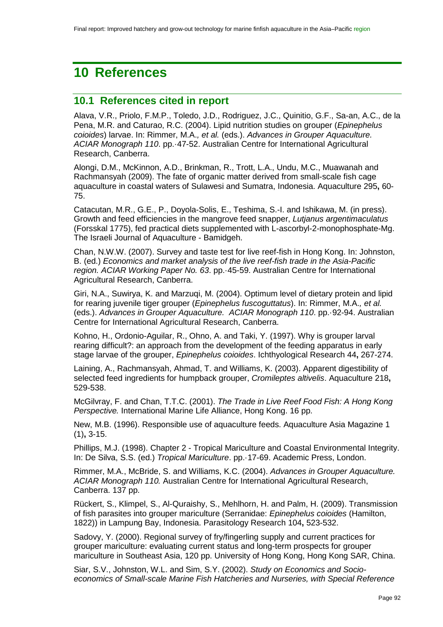# <span id="page-91-0"></span>**10 References**

# **10.1 References cited in report**

Alava, V.R., Priolo, F.M.P., Toledo, J.D., Rodriguez, J.C., Quinitio, G.F., Sa-an, A.C., de la Pena, M.R. and Caturao, R.C. (2004). Lipid nutrition studies on grouper (*Epinephelus coioides*) larvae. In: Rimmer, M.A.*, et al.* (eds.). *Advances in Grouper Aquaculture. ACIAR Monograph 110*. pp.·47-52. Australian Centre for International Agricultural Research, Canberra.

Alongi, D.M., McKinnon, A.D., Brinkman, R., Trott, L.A., Undu, M.C., Muawanah and Rachmansyah (2009). The fate of organic matter derived from small-scale fish cage aquaculture in coastal waters of Sulawesi and Sumatra, Indonesia. Aquaculture 295**,** 60- 75.

Catacutan, M.R., G.E., P., Doyola-Solis, E., Teshima, S.-I. and Ishikawa, M. (in press). Growth and feed efficiencies in the mangrove feed snapper, *Lutjanus argentimaculatus* (Forsskal 1775), fed practical diets supplemented with L-ascorbyl-2-monophosphate-Mg. The Israeli Journal of Aquaculture - Bamidgeh.

Chan, N.W.W. (2007). Survey and taste test for live reef-fish in Hong Kong. In: Johnston, B. (ed.) *Economics and market analysis of the live reef-fish trade in the Asia-Pacific region. ACIAR Working Paper No. 63*. pp.·45-59. Australian Centre for International Agricultural Research, Canberra.

Giri, N.A., Suwirya, K. and Marzuqi, M. (2004). Optimum level of dietary protein and lipid for rearing juvenile tiger grouper (*Epinephelus fuscoguttatus*). In: Rimmer, M.A.*, et al.* (eds.). *Advances in Grouper Aquaculture. ACIAR Monograph 110*. pp.·92-94. Australian Centre for International Agricultural Research, Canberra.

Kohno, H., Ordonio-Aguilar, R., Ohno, A. and Taki, Y. (1997). Why is grouper larval rearing difficult?: an approach from the development of the feeding apparatus in early stage larvae of the grouper, *Epinephelus coioides*. Ichthyological Research 44**,** 267-274.

Laining, A., Rachmansyah, Ahmad, T. and Williams, K. (2003). Apparent digestibility of selected feed ingredients for humpback grouper, *Cromileptes altivelis*. Aquaculture 218**,** 529-538.

McGilvray, F. and Chan, T.T.C. (2001). *The Trade in Live Reef Food Fish: A Hong Kong Perspective.* International Marine Life Alliance, Hong Kong. 16 pp.

New, M.B. (1996). Responsible use of aquaculture feeds. Aquaculture Asia Magazine 1 (1)**,** 3-15.

Phillips, M.J. (1998). Chapter 2 - Tropical Mariculture and Coastal Environmental Integrity. In: De Silva, S.S. (ed.) *Tropical Mariculture*. pp.·17-69. Academic Press, London.

Rimmer, M.A., McBride, S. and Williams, K.C. (2004). *Advances in Grouper Aquaculture. ACIAR Monograph 110.* Australian Centre for International Agricultural Research, Canberra. 137 pp.

Rückert, S., Klimpel, S., Al-Quraishy, S., Mehlhorn, H. and Palm, H. (2009). Transmission of fish parasites into grouper mariculture (Serranidae: *Epinephelus coioides* (Hamilton, 1822)) in Lampung Bay, Indonesia. Parasitology Research 104**,** 523-532.

Sadovy, Y. (2000). Regional survey of fry/fingerling supply and current practices for grouper mariculture: evaluating current status and long-term prospects for grouper mariculture in Southeast Asia, 120 pp. University of Hong Kong, Hong Kong SAR, China.

Siar, S.V., Johnston, W.L. and Sim, S.Y. (2002). *Study on Economics and Socioeconomics of Small-scale Marine Fish Hatcheries and Nurseries, with Special Reference*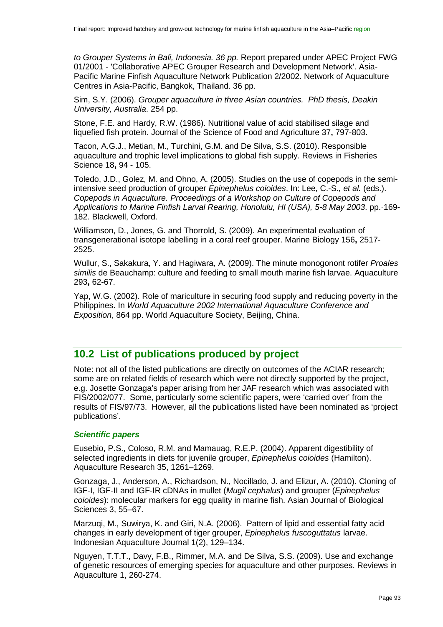*to Grouper Systems in Bali, Indonesia. 36 pp.* Report prepared under APEC Project FWG 01/2001 - 'Collaborative APEC Grouper Research and Development Network'. Asia-Pacific Marine Finfish Aquaculture Network Publication 2/2002. Network of Aquaculture Centres in Asia-Pacific, Bangkok, Thailand. 36 pp.

Sim, S.Y. (2006). *Grouper aquaculture in three Asian countries. PhD thesis, Deakin University, Australia*. 254 pp.

Stone, F.E. and Hardy, R.W. (1986). Nutritional value of acid stabilised silage and liquefied fish protein. Journal of the Science of Food and Agriculture 37**,** 797-803.

Tacon, A.G.J., Metian, M., Turchini, G.M. and De Silva, S.S. (2010). Responsible aquaculture and trophic level implications to global fish supply. Reviews in Fisheries Science 18**,** 94 - 105.

Toledo, J.D., Golez, M. and Ohno, A. (2005). Studies on the use of copepods in the semiintensive seed production of grouper *Epinephelus coioides*. In: Lee, C.-S.*, et al.* (eds.). *Copepods in Aquaculture. Proceedings of a Workshop on Culture of Copepods and Applications to Marine Finfish Larval Rearing, Honolulu, HI (USA), 5-8 May 2003*. pp.·169- 182. Blackwell, Oxford.

Williamson, D., Jones, G. and Thorrold, S. (2009). An experimental evaluation of transgenerational isotope labelling in a coral reef grouper. Marine Biology 156**,** 2517- 2525.

Wullur, S., Sakakura, Y. and Hagiwara, A. (2009). The minute monogonont rotifer *Proales similis* de Beauchamp: culture and feeding to small mouth marine fish larvae. Aquaculture 293**,** 62-67.

Yap, W.G. (2002). Role of mariculture in securing food supply and reducing poverty in the Philippines. In *World Aquaculture 2002 International Aquaculture Conference and Exposition*, 864 pp. World Aquaculture Society, Beijing, China.

# <span id="page-92-0"></span>**10.2 List of publications produced by project**

Note: not all of the listed publications are directly on outcomes of the ACIAR research; some are on related fields of research which were not directly supported by the project, e.g. Josette Gonzaga's paper arising from her JAF research which was associated with FIS/2002/077. Some, particularly some scientific papers, were 'carried over' from the results of FIS/97/73. However, all the publications listed have been nominated as 'project publications'.

#### *Scientific papers*

Eusebio, P.S., Coloso, R.M. and Mamauag, R.E.P. (2004). Apparent digestibility of selected ingredients in diets for juvenile grouper, *Epinephelus coioides* (Hamilton). Aquaculture Research 35, 1261–1269.

Gonzaga, J., Anderson, A., Richardson, N., Nocillado, J. and Elizur, A. (2010). Cloning of IGF-I, IGF-II and IGF-IR cDNAs in mullet (*Mugil cephalus*) and grouper (*Epinephelus coioides*): molecular markers for egg quality in marine fish. Asian Journal of Biological Sciences 3, 55–67.

Marzuqi, M., Suwirya, K. and Giri, N.A. (2006). Pattern of lipid and essential fatty acid changes in early development of tiger grouper, *Epinephelus fuscoguttatus* larvae. Indonesian Aquaculture Journal 1(2), 129–134.

Nguyen, T.T.T., Davy, F.B., Rimmer, M.A. and De Silva, S.S. (2009). Use and exchange of genetic resources of emerging species for aquaculture and other purposes. Reviews in Aquaculture 1, 260-274.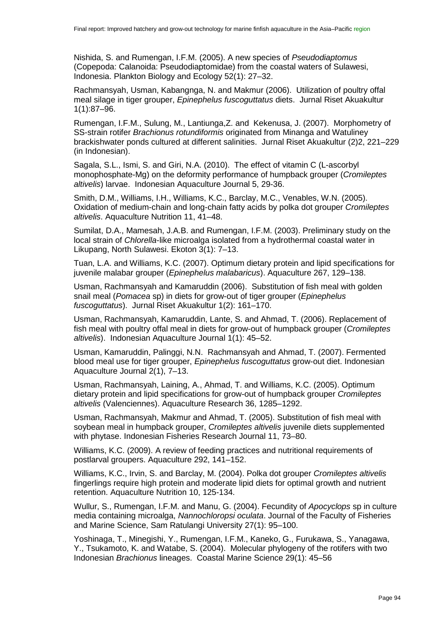Nishida, S. and Rumengan, I.F.M. (2005). A new species of *Pseudodiaptomus* (Copepoda: Calanoida: Pseudodiaptomidae) from the coastal waters of Sulawesi, Indonesia. Plankton Biology and Ecology 52(1): 27–32.

Rachmansyah, Usman, Kabangnga, N. and Makmur (2006). Utilization of poultry offal meal silage in tiger grouper, *Epinephelus fuscoguttatus* diets. Jurnal Riset Akuakultur 1(1):87–96.

Rumengan, I.F.M., Sulung, M., Lantiunga,Z. and Kekenusa, J. (2007). Morphometry of SS-strain rotifer *Brachionus rotundiformis* originated from Minanga and Watuliney brackishwater ponds cultured at different salinities. Jurnal Riset Akuakultur (2)2, 221–229 (in Indonesian).

Sagala, S.L., Ismi, S. and Giri, N.A. (2010). The effect of vitamin C (L-ascorbyl monophosphate-Mg) on the deformity performance of humpback grouper (*Cromileptes altivelis*) larvae. Indonesian Aquaculture Journal 5, 29-36.

Smith, D.M., Williams, I.H., Williams, K.C., Barclay, M.C., Venables, W.N. (2005). Oxidation of medium-chain and long-chain fatty acids by polka dot grouper *Cromileptes altivelis*. Aquaculture Nutrition 11, 41–48.

Sumilat, D.A., Mamesah, J.A.B. and Rumengan, I.F.M. (2003). Preliminary study on the local strain of *Chlorella*-like microalga isolated from a hydrothermal coastal water in Likupang, North Sulawesi. Ekoton 3(1): 7–13.

Tuan, L.A. and Williams, K.C. (2007). Optimum dietary protein and lipid specifications for juvenile malabar grouper (*Epinephelus malabaricus*). Aquaculture 267, 129–138.

Usman, Rachmansyah and Kamaruddin (2006). Substitution of fish meal with golden snail meal (*Pomacea* sp) in diets for grow-out of tiger grouper (*Epinephelus fuscoguttatus*). Jurnal Riset Akuakultur 1(2): 161–170.

Usman, Rachmansyah, Kamaruddin, Lante, S. and Ahmad, T. (2006). Replacement of fish meal with poultry offal meal in diets for grow-out of humpback grouper (*Cromileptes altivelis*). Indonesian Aquaculture Journal 1(1): 45–52.

Usman, Kamaruddin, Palinggi, N.N. Rachmansyah and Ahmad, T. (2007). Fermented blood meal use for tiger grouper, *Epinephelus fuscoguttatus* grow-out diet. Indonesian Aquaculture Journal 2(1), 7–13.

Usman, Rachmansyah, Laining, A., Ahmad, T. and Williams, K.C. (2005). Optimum dietary protein and lipid specifications for grow-out of humpback grouper *Cromileptes altivelis* (Valenciennes). Aquaculture Research 36, 1285–1292.

Usman, Rachmansyah, Makmur and Ahmad, T. (2005). Substitution of fish meal with soybean meal in humpback grouper, *Cromileptes altivelis* juvenile diets supplemented with phytase. Indonesian Fisheries Research Journal 11, 73–80.

Williams, K.C. (2009). A review of feeding practices and nutritional requirements of postlarval groupers. Aquaculture 292, 141–152.

Williams, K.C., Irvin, S. and Barclay, M. (2004). Polka dot grouper *Cromileptes altivelis* fingerlings require high protein and moderate lipid diets for optimal growth and nutrient retention. Aquaculture Nutrition 10, 125-134.

Wullur, S., Rumengan, I.F.M. and Manu, G. (2004). Fecundity of *Apocyclops* sp in culture media containing microalga, *Nannochloropsi oculata*. Journal of the Faculty of Fisheries and Marine Science, Sam Ratulangi University 27(1): 95–100.

Yoshinaga, T., Minegishi, Y., Rumengan, I.F.M., Kaneko, G., Furukawa, S., Yanagawa, Y., Tsukamoto, K. and Watabe, S. (2004). Molecular phylogeny of the rotifers with two Indonesian *Brachionus* lineages. Coastal Marine Science 29(1): 45–56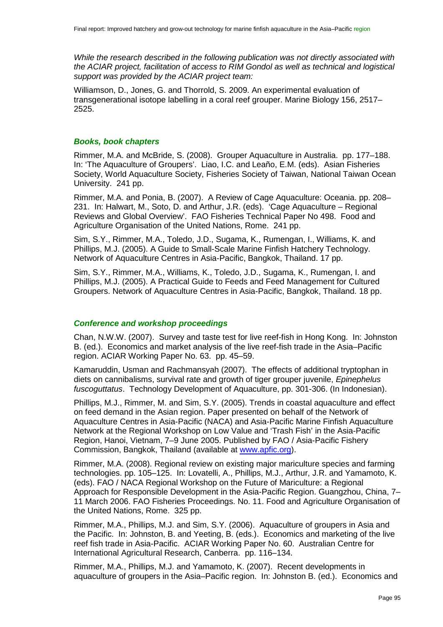*While the research described in the following publication was not directly associated with the ACIAR project, facilitation of access to RIM Gondol as well as technical and logistical support was provided by the ACIAR project team:*

Williamson, D., Jones, G. and Thorrold, S. 2009. An experimental evaluation of transgenerational isotope labelling in a coral reef grouper. Marine Biology 156, 2517– 2525.

#### *Books, book chapters*

Rimmer, M.A. and McBride, S. (2008). Grouper Aquaculture in Australia. pp. 177–188. In: 'The Aquaculture of Groupers'. Liao, I.C. and Leaño, E.M. (eds). Asian Fisheries Society, World Aquaculture Society, Fisheries Society of Taiwan, National Taiwan Ocean University. 241 pp.

Rimmer, M.A. and Ponia, B. (2007). A Review of Cage Aquaculture: Oceania. pp. 208– 231. In: Halwart, M., Soto, D. and Arthur, J.R. (eds). 'Cage Aquaculture – Regional Reviews and Global Overview'. FAO Fisheries Technical Paper No 498. Food and Agriculture Organisation of the United Nations. Rome. 241 pp.

Sim, S.Y., Rimmer, M.A., Toledo, J.D., Sugama, K., Rumengan, I., Williams, K. and Phillips, M.J. (2005). A Guide to Small-Scale Marine Finfish Hatchery Technology. Network of Aquaculture Centres in Asia-Pacific, Bangkok, Thailand. 17 pp.

Sim, S.Y., Rimmer, M.A., Williams, K., Toledo, J.D., Sugama, K., Rumengan, I. and Phillips, M.J. (2005). A Practical Guide to Feeds and Feed Management for Cultured Groupers. Network of Aquaculture Centres in Asia-Pacific, Bangkok, Thailand. 18 pp.

#### *Conference and workshop proceedings*

Chan, N.W.W. (2007). Survey and taste test for live reef-fish in Hong Kong. In: Johnston B. (ed.). Economics and market analysis of the live reef-fish trade in the Asia–Pacific region. ACIAR Working Paper No. 63. pp. 45–59.

Kamaruddin, Usman and Rachmansyah (2007). The effects of additional tryptophan in diets on cannibalisms, survival rate and growth of tiger grouper juvenile, *Epinephelus fuscoguttatus*. Technology Development of Aquaculture, pp. 301-306. (In Indonesian).

Phillips, M.J., Rimmer, M. and Sim, S.Y. (2005). Trends in coastal aquaculture and effect on feed demand in the Asian region. Paper presented on behalf of the Network of Aquaculture Centres in Asia-Pacific (NACA) and Asia-Pacific Marine Finfish Aquaculture Network at the Regional Workshop on Low Value and 'Trash Fish' in the Asia-Pacific Region, Hanoi, Vietnam, 7–9 June 2005. Published by FAO / Asia-Pacific Fishery Commission, Bangkok, Thailand (available at [www.apfic.org\)](http://www.apfic.org/).

Rimmer, M.A. (2008). Regional review on existing major mariculture species and farming technologies. pp. 105–125. In: Lovatelli, A., Phillips, M.J., Arthur, J.R. and Yamamoto, K. (eds). FAO / NACA Regional Workshop on the Future of Mariculture: a Regional Approach for Responsible Development in the Asia-Pacific Region. Guangzhou, China, 7– 11 March 2006. FAO Fisheries Proceedings. No. 11. Food and Agriculture Organisation of the United Nations, Rome. 325 pp.

Rimmer, M.A., Phillips, M.J. and Sim, S.Y. (2006). Aquaculture of groupers in Asia and the Pacific. In: Johnston, B. and Yeeting, B. (eds.). Economics and marketing of the live reef fish trade in Asia-Pacific. ACIAR Working Paper No. 60. Australian Centre for International Agricultural Research, Canberra. pp. 116–134.

Rimmer, M.A., Phillips, M.J. and Yamamoto, K. (2007). Recent developments in aquaculture of groupers in the Asia–Pacific region. In: Johnston B. (ed.). Economics and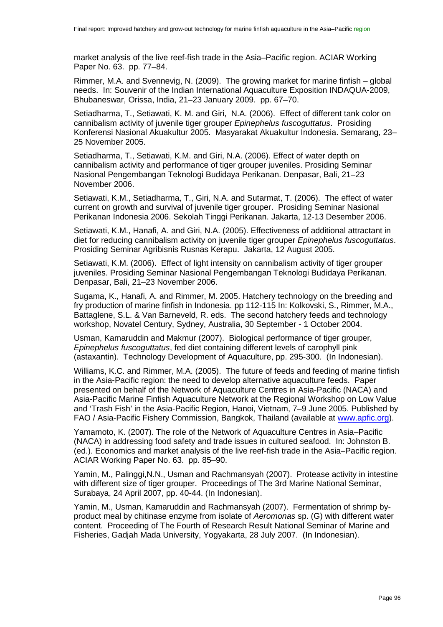market analysis of the live reef-fish trade in the Asia–Pacific region. ACIAR Working Paper No. 63. pp. 77–84.

Rimmer, M.A. and Svennevig, N. (2009). The growing market for marine finfish – global needs. In: Souvenir of the Indian International Aquaculture Exposition INDAQUA-2009, Bhubaneswar, Orissa, India, 21–23 January 2009. pp. 67–70.

Setiadharma, T., Setiawati, K. M. and Giri, N.A. (2006). Effect of different tank color on cannibalism activity of juvenile tiger grouper *Epinephelus fuscoguttatus*. Prosiding Konferensi Nasional Akuakultur 2005. Masyarakat Akuakultur Indonesia. Semarang, 23– 25 November 2005.

Setiadharma, T., Setiawati, K.M. and Giri, N.A. (2006). Effect of water depth on cannibalism activity and performance of tiger grouper juveniles. Prosiding Seminar Nasional Pengembangan Teknologi Budidaya Perikanan. Denpasar, Bali, 21–23 November 2006.

Setiawati, K.M., Setiadharma, T., Giri, N.A. and Sutarmat, T. (2006). The effect of water current on growth and survival of juvenile tiger grouper. Prosiding Seminar Nasional Perikanan Indonesia 2006. Sekolah Tinggi Perikanan. Jakarta, 12-13 Desember 2006.

Setiawati, K.M., Hanafi, A. and Giri, N.A. (2005). Effectiveness of additional attractant in diet for reducing cannibalism activity on juvenile tiger grouper *Epinephelus fuscoguttatus*. Prosiding Seminar Agribisnis Rusnas Kerapu. Jakarta, 12 August 2005.

Setiawati, K.M. (2006). Effect of light intensity on cannibalism activity of tiger grouper juveniles. Prosiding Seminar Nasional Pengembangan Teknologi Budidaya Perikanan. Denpasar, Bali, 21–23 November 2006.

Sugama, K., Hanafi, A. and Rimmer, M. 2005. Hatchery technology on the breeding and fry production of marine finfish in Indonesia. pp 112-115 In: Kolkovski, S., Rimmer, M.A., Battaglene, S.L. & Van Barneveld, R. eds. The second hatchery feeds and technology workshop, Novatel Century, Sydney, Australia, 30 September - 1 October 2004.

Usman, Kamaruddin and Makmur (2007). Biological performance of tiger grouper, *Epinephelus fuscoguttatus*, fed diet containing different levels of carophyll pink (astaxantin). Technology Development of Aquaculture, pp. 295-300. (In Indonesian).

Williams, K.C. and Rimmer, M.A. (2005). The future of feeds and feeding of marine finfish in the Asia-Pacific region: the need to develop alternative aquaculture feeds. Paper presented on behalf of the Network of Aquaculture Centres in Asia-Pacific (NACA) and Asia-Pacific Marine Finfish Aquaculture Network at the Regional Workshop on Low Value and 'Trash Fish' in the Asia-Pacific Region, Hanoi, Vietnam, 7–9 June 2005. Published by FAO / Asia-Pacific Fishery Commission, Bangkok, Thailand (available at [www.apfic.org\)](http://www.apfic.org/).

Yamamoto, K. (2007). The role of the Network of Aquaculture Centres in Asia–Pacific (NACA) in addressing food safety and trade issues in cultured seafood. In: Johnston B. (ed.). Economics and market analysis of the live reef-fish trade in the Asia–Pacific region. ACIAR Working Paper No. 63. pp. 85–90.

Yamin, M., Palinggi,N.N., Usman and Rachmansyah (2007). Protease activity in intestine with different size of tiger grouper. Proceedings of The 3rd Marine National Seminar, Surabaya, 24 April 2007, pp. 40-44. (In Indonesian).

Yamin, M., Usman, Kamaruddin and Rachmansyah (2007). Fermentation of shrimp byproduct meal by chitinase enzyme from isolate of *Aeromonas* sp. (G) with different water content. Proceeding of The Fourth of Research Result National Seminar of Marine and Fisheries, Gadjah Mada University, Yogyakarta, 28 July 2007. (In Indonesian).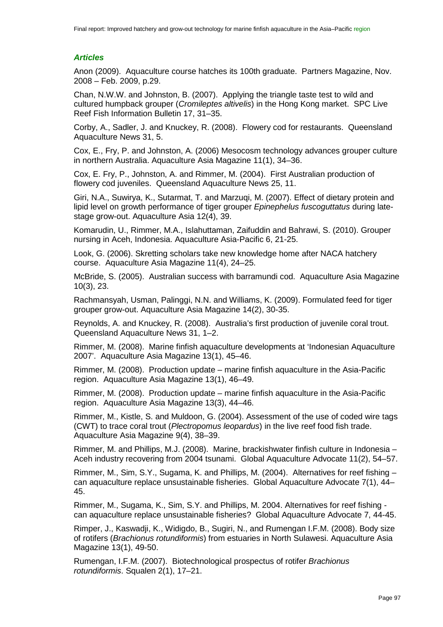# *Articles*

Anon (2009). Aquaculture course hatches its 100th graduate. Partners Magazine, Nov. 2008 – Feb. 2009, p.29.

Chan, N.W.W. and Johnston, B. (2007). Applying the triangle taste test to wild and cultured humpback grouper (*Cromileptes altivelis*) in the Hong Kong market. SPC Live Reef Fish Information Bulletin 17, 31–35.

Corby, A., Sadler, J. and Knuckey, R. (2008). Flowery cod for restaurants. Queensland Aquaculture News 31, 5.

Cox, E., Fry, P. and Johnston, A. (2006) Mesocosm technology advances grouper culture in northern Australia. Aquaculture Asia Magazine 11(1), 34–36.

Cox, E. Fry, P., Johnston, A. and Rimmer, M. (2004). First Australian production of flowery cod juveniles. Queensland Aquaculture News 25, 11.

Giri, N.A., Suwirya, K., Sutarmat, T. and Marzuqi, M. (2007). Effect of dietary protein and lipid level on growth performance of tiger grouper *Epinephelus fuscoguttatus* during latestage grow-out. Aquaculture Asia 12(4), 39.

Komarudin, U., Rimmer, M.A., Islahuttaman, Zaifuddin and Bahrawi, S. (2010). Grouper nursing in Aceh, Indonesia. Aquaculture Asia-Pacific 6, 21-25.

Look, G. (2006). Skretting scholars take new knowledge home after NACA hatchery course. Aquaculture Asia Magazine 11(4), 24–25.

McBride, S. (2005). Australian success with barramundi cod. Aquaculture Asia Magazine 10(3), 23.

Rachmansyah, Usman, Palinggi, N.N. and Williams, K. (2009). Formulated feed for tiger grouper grow-out. Aquaculture Asia Magazine 14(2), 30-35.

Reynolds, A. and Knuckey, R. (2008). Australia's first production of juvenile coral trout. Queensland Aquaculture News 31, 1–2.

Rimmer, M. (2008). Marine finfish aquaculture developments at 'Indonesian Aquaculture 2007'. Aquaculture Asia Magazine 13(1), 45–46.

Rimmer, M. (2008). Production update – marine finfish aquaculture in the Asia-Pacific region. Aquaculture Asia Magazine 13(1), 46–49.

Rimmer, M. (2008). Production update – marine finfish aquaculture in the Asia-Pacific region. Aquaculture Asia Magazine 13(3), 44–46.

Rimmer, M., Kistle, S. and Muldoon, G. (2004). Assessment of the use of coded wire tags (CWT) to trace coral trout (*Plectropomus leopardus*) in the live reef food fish trade. Aquaculture Asia Magazine 9(4), 38–39.

Rimmer, M. and Phillips, M.J. (2008). Marine, brackishwater finfish culture in Indonesia – Aceh industry recovering from 2004 tsunami. Global Aquaculture Advocate 11(2), 54–57.

Rimmer, M., Sim, S.Y., Sugama, K. and Phillips, M. (2004). Alternatives for reef fishing – can aquaculture replace unsustainable fisheries. Global Aquaculture Advocate 7(1), 44– 45.

Rimmer, M., Sugama, K., Sim, S.Y. and Phillips, M. 2004. Alternatives for reef fishing can aquaculture replace unsustainable fisheries? Global Aquaculture Advocate 7, 44-45.

Rimper, J., Kaswadji, K., Widigdo, B., Sugiri, N., and Rumengan I.F.M. (2008). Body size of rotifers (*Brachionus rotundiformis*) from estuaries in North Sulawesi. Aquaculture Asia Magazine 13(1), 49-50.

Rumengan, I.F.M. (2007). Biotechnological prospectus of rotifer *Brachionus rotundiformis*. Squalen 2(1), 17–21.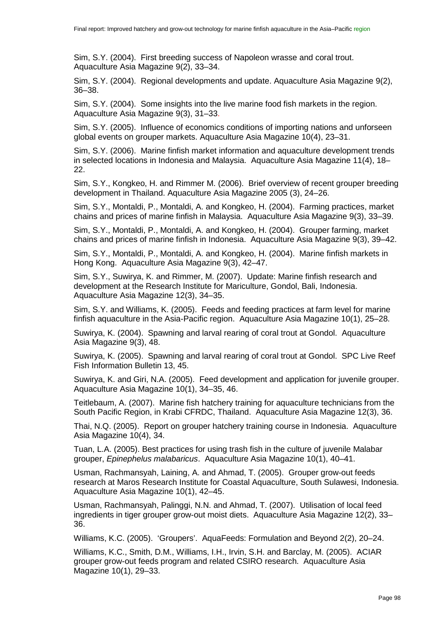Sim, S.Y. (2004). First breeding success of Napoleon wrasse and coral trout. Aquaculture Asia Magazine 9(2), 33–34.

Sim, S.Y. (2004). Regional developments and update. Aquaculture Asia Magazine 9(2), 36–38.

Sim, S.Y. (2004). Some insights into the live marine food fish markets in the region. Aquaculture Asia Magazine 9(3), 31–33.

Sim, S.Y. (2005). Influence of economics conditions of importing nations and unforseen global events on grouper markets. Aquaculture Asia Magazine 10(4), 23–31.

Sim, S.Y. (2006). Marine finfish market information and aquaculture development trends in selected locations in Indonesia and Malaysia. Aquaculture Asia Magazine 11(4), 18– 22.

Sim, S.Y., Kongkeo, H. and Rimmer M. (2006). Brief overview of recent grouper breeding development in Thailand. Aquaculture Asia Magazine 2005 (3), 24–26.

Sim, S.Y., Montaldi, P., Montaldi, A. and Kongkeo, H. (2004). Farming practices, market chains and prices of marine finfish in Malaysia. Aquaculture Asia Magazine 9(3), 33–39.

Sim, S.Y., Montaldi, P., Montaldi, A. and Kongkeo, H. (2004). Grouper farming, market chains and prices of marine finfish in Indonesia. Aquaculture Asia Magazine 9(3), 39–42.

Sim, S.Y., Montaldi, P., Montaldi, A. and Kongkeo, H. (2004). Marine finfish markets in Hong Kong. Aquaculture Asia Magazine 9(3), 42–47.

Sim, S.Y., Suwirya, K. and Rimmer, M. (2007). Update: Marine finfish research and development at the Research Institute for Mariculture, Gondol, Bali, Indonesia. Aquaculture Asia Magazine 12(3), 34–35.

Sim, S.Y. and Williams, K. (2005). Feeds and feeding practices at farm level for marine finfish aquaculture in the Asia-Pacific region. Aquaculture Asia Magazine 10(1), 25–28.

Suwirya, K. (2004). Spawning and larval rearing of coral trout at Gondol. Aquaculture Asia Magazine 9(3), 48.

Suwirya, K. (2005). Spawning and larval rearing of coral trout at Gondol. SPC Live Reef Fish Information Bulletin 13, 45.

Suwirya, K. and Giri, N.A. (2005). Feed development and application for juvenile grouper. Aquaculture Asia Magazine 10(1), 34–35, 46.

Teitlebaum, A. (2007). Marine fish hatchery training for aquaculture technicians from the South Pacific Region, in Krabi CFRDC, Thailand. Aquaculture Asia Magazine 12(3), 36.

Thai, N.Q. (2005). Report on grouper hatchery training course in Indonesia. Aquaculture Asia Magazine 10(4), 34.

Tuan, L.A. (2005). Best practices for using trash fish in the culture of juvenile Malabar grouper, *Epinephelus malabaricus*. Aquaculture Asia Magazine 10(1), 40–41.

Usman, Rachmansyah, Laining, A. and Ahmad, T. (2005). Grouper grow-out feeds research at Maros Research Institute for Coastal Aquaculture, South Sulawesi, Indonesia. Aquaculture Asia Magazine 10(1), 42–45.

Usman, Rachmansyah, Palinggi, N.N. and Ahmad, T. (2007). Utilisation of local feed ingredients in tiger grouper grow-out moist diets. Aquaculture Asia Magazine 12(2), 33– 36.

Williams, K.C. (2005). 'Groupers'. AquaFeeds: Formulation and Beyond 2(2), 20–24.

Williams, K.C., Smith, D.M., Williams, I.H., Irvin, S.H. and Barclay, M. (2005). ACIAR grouper grow-out feeds program and related CSIRO research. Aquaculture Asia Magazine 10(1), 29–33.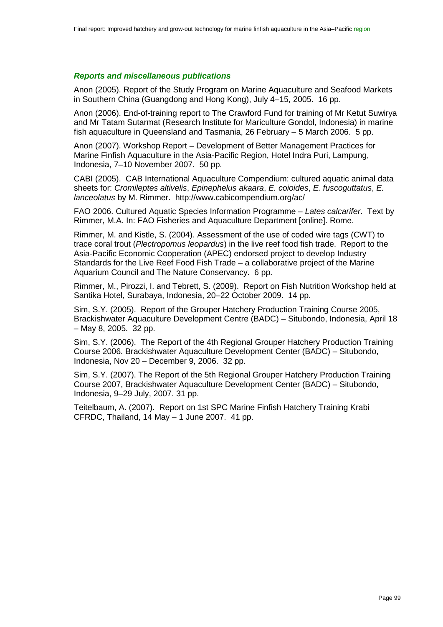## *Reports and miscellaneous publications*

Anon (2005). Report of the Study Program on Marine Aquaculture and Seafood Markets in Southern China (Guangdong and Hong Kong), July 4–15, 2005. 16 pp.

Anon (2006). End-of-training report to The Crawford Fund for training of Mr Ketut Suwirya and Mr Tatam Sutarmat (Research Institute for Mariculture Gondol, Indonesia) in marine fish aquaculture in Queensland and Tasmania, 26 February – 5 March 2006. 5 pp.

Anon (2007). Workshop Report – Development of Better Management Practices for Marine Finfish Aquaculture in the Asia-Pacific Region, Hotel Indra Puri, Lampung, Indonesia, 7–10 November 2007. 50 pp.

CABI (2005). CAB International Aquaculture Compendium: cultured aquatic animal data sheets for: *Cromileptes altivelis*, *Epinephelus akaara*, *E. coioides*, *E. fuscoguttatus*, *E. lanceolatus* by M. Rimmer. http://www.cabicompendium.org/ac/

FAO 2006. Cultured Aquatic Species Information Programme – *Lates calcarifer*. Text by Rimmer, M.A. In: FAO Fisheries and Aquaculture Department [online]. Rome.

Rimmer, M. and Kistle, S. (2004). Assessment of the use of coded wire tags (CWT) to trace coral trout (*Plectropomus leopardus*) in the live reef food fish trade. Report to the Asia-Pacific Economic Cooperation (APEC) endorsed project to develop Industry Standards for the Live Reef Food Fish Trade – a collaborative project of the Marine Aquarium Council and The Nature Conservancy. 6 pp.

Rimmer, M., Pirozzi, I. and Tebrett, S. (2009). Report on Fish Nutrition Workshop held at Santika Hotel, Surabaya, Indonesia, 20–22 October 2009. 14 pp.

Sim, S.Y. (2005). Report of the Grouper Hatchery Production Training Course 2005, Brackishwater Aquaculture Development Centre (BADC) – Situbondo, Indonesia, April 18 – May 8, 2005. 32 pp.

Sim, S.Y. (2006). The Report of the 4th Regional Grouper Hatchery Production Training Course 2006. Brackishwater Aquaculture Development Center (BADC) – Situbondo, Indonesia, Nov 20 – December 9, 2006. 32 pp.

Sim, S.Y. (2007). The Report of the 5th Regional Grouper Hatchery Production Training Course 2007, Brackishwater Aquaculture Development Center (BADC) – Situbondo, Indonesia, 9–29 July, 2007. 31 pp.

Teitelbaum, A. (2007). Report on 1st SPC Marine Finfish Hatchery Training Krabi CFRDC, Thailand, 14 May – 1 June 2007. 41 pp.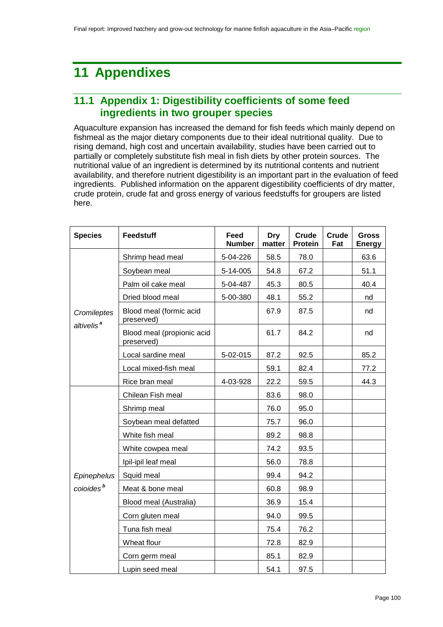# **11 Appendixes**

# **11.1 Appendix 1: Digestibility coefficients of some feed ingredients in two grouper species**

Aquaculture expansion has increased the demand for fish feeds which mainly depend on fishmeal as the major dietary components due to their ideal nutritional quality. Due to rising demand, high cost and uncertain availability, studies have been carried out to partially or completely substitute fish meal in fish diets by other protein sources. The nutritional value of an ingredient is determined by its nutritional contents and nutrient availability, and therefore nutrient digestibility is an important part in the evaluation of feed ingredients. Published information on the apparent digestibility coefficients of dry matter, crude protein, crude fat and gross energy of various feedstuffs for groupers are listed here.

| <b>Species</b>         | <b>Feedstuff</b>                         | Feed<br><b>Number</b> | Dry<br>matter | Crude<br>Protein | Crude<br>Fat | <b>Gross</b><br><b>Energy</b> |
|------------------------|------------------------------------------|-----------------------|---------------|------------------|--------------|-------------------------------|
| Cromileptes            | Shrimp head meal                         | 5-04-226              | 58.5          | 78.0             |              | 63.6                          |
|                        | Soybean meal                             | 5-14-005              | 54.8          | 67.2             |              | 51.1                          |
|                        | Palm oil cake meal                       | 5-04-487              | 45.3          | 80.5             |              | 40.4                          |
|                        | Dried blood meal                         | 5-00-380              | 48.1          | 55.2             |              | nd                            |
|                        | Blood meal (formic acid<br>preserved)    |                       | 67.9          | 87.5             |              | nd                            |
| altivelis <sup>a</sup> | Blood meal (propionic acid<br>preserved) |                       | 61.7          | 84.2             |              | nd                            |
|                        | Local sardine meal                       | 5-02-015              | 87.2          | 92.5             |              | 85.2                          |
|                        | Local mixed-fish meal                    |                       | 59.1          | 82.4             |              | 77.2                          |
|                        | Rice bran meal                           | 4-03-928              | 22.2          | 59.5             |              | 44.3                          |
|                        | Chilean Fish meal                        |                       | 83.6          | 98.0             |              |                               |
|                        | Shrimp meal                              |                       | 76.0          | 95.0             |              |                               |
|                        | Soybean meal defatted                    |                       | 75.7          | 96.0             |              |                               |
|                        | White fish meal                          |                       | 89.2          | 98.8             |              |                               |
|                        | White cowpea meal                        |                       | 74.2          | 93.5             |              |                               |
|                        | Ipil-ipil leaf meal                      |                       | 56.0          | 78.8             |              |                               |
| Epinephelus            | Squid meal                               |                       | 99.4          | 94.2             |              |                               |
| coioides <sup>b</sup>  | Meat & bone meal                         |                       | 60.8          | 98.9             |              |                               |
|                        | Blood meal (Australia)                   |                       | 36.9          | 15.4             |              |                               |
|                        | Corn gluten meal                         |                       | 94.0          | 99.5             |              |                               |
|                        | Tuna fish meal                           |                       | 75.4          | 76.2             |              |                               |
|                        | Wheat flour                              |                       | 72.8          | 82.9             |              |                               |
|                        | Corn germ meal                           |                       | 85.1          | 82.9             |              |                               |
|                        | Lupin seed meal                          |                       | 54.1          | 97.5             |              |                               |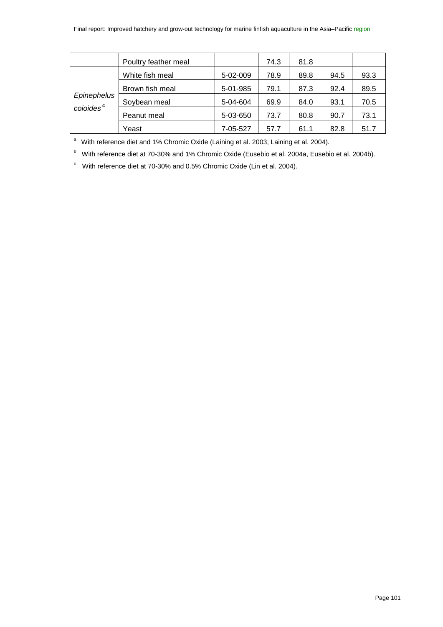|                                      | Poultry feather meal |          | 74.3 | 81.8 |      |      |
|--------------------------------------|----------------------|----------|------|------|------|------|
| Epinephelus<br>coloides <sup>c</sup> | White fish meal      | 5-02-009 | 78.9 | 89.8 | 94.5 | 93.3 |
|                                      | Brown fish meal      | 5-01-985 | 79.1 | 87.3 | 92.4 | 89.5 |
|                                      | Soybean meal         | 5-04-604 | 69.9 | 84.0 | 93.1 | 70.5 |
|                                      | Peanut meal          | 5-03-650 | 73.7 | 80.8 | 90.7 | 73.1 |
|                                      | Yeast                | 7-05-527 | 57.7 | 61.1 | 82.8 | 51.7 |

<sup>a</sup> With reference diet and 1% Chromic Oxide (Laining et al. 2003; Laining et al. 2004).

<sup>b</sup> With reference diet at 70-30% and 1% Chromic Oxide (Eusebio et al. 2004a, Eusebio et al. 2004b).

 $\degree$  With reference diet at 70-30% and 0.5% Chromic Oxide (Lin et al. 2004).